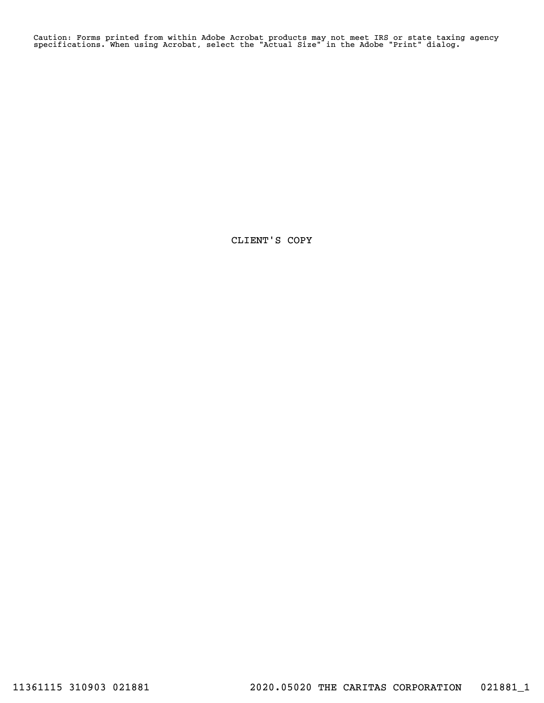Caution: Forms printed from within Adobe Acrobat products may not meet IRS or state taxing agency specifications. When using Acrobat, select the "Actual Size" in the Adobe "Print" dialog.

CLIENT'S COPY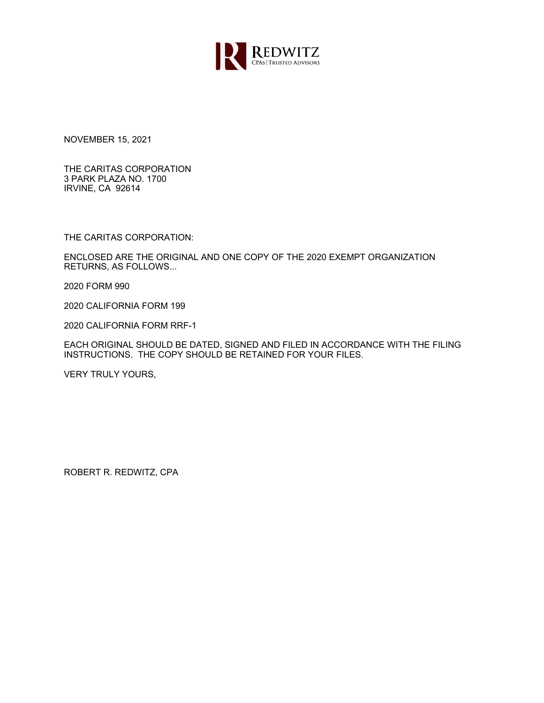

NOVEMBER 15, 2021

THE CARITAS CORPORATION 3 PARK PLAZA NO. 1700 IRVINE, CA 92614

THE CARITAS CORPORATION:

ENCLOSED ARE THE ORIGINAL AND ONE COPY OF THE 2020 EXEMPT ORGANIZATION RETURNS, AS FOLLOWS...

2020 FORM 990

2020 CALIFORNIA FORM 199

2020 CALIFORNIA FORM RRF-1

EACH ORIGINAL SHOULD BE DATED, SIGNED AND FILED IN ACCORDANCE WITH THE FILING INSTRUCTIONS. THE COPY SHOULD BE RETAINED FOR YOUR FILES.

VERY TRULY YOURS,

ROBERT R. REDWITZ, CPA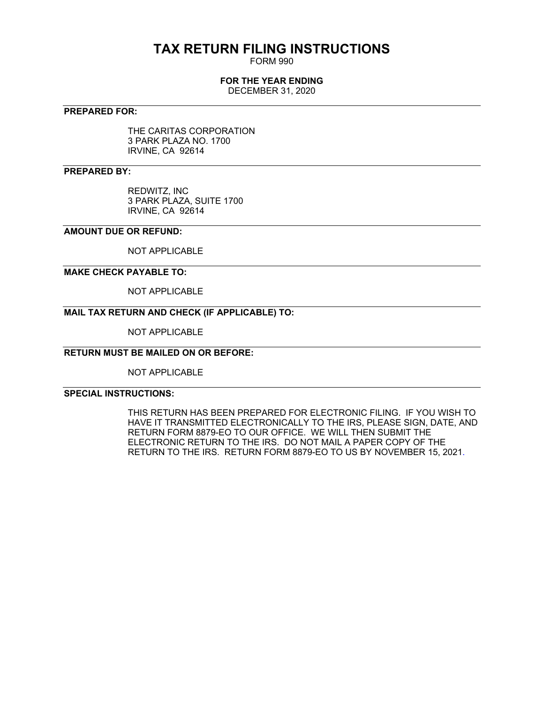# **TAX RETURN FILING INSTRUCTIONS**

FORM 990

# **FOR THE YEAR ENDING**

DECEMBER 31, 2020

### **PREPARED FOR:**

THE CARITAS CORPORATION 3 PARK PLAZA NO. 1700 IRVINE, CA 92614

# **PREPARED BY:**

REDWITZ, INC 3 PARK PLAZA, SUITE 1700 IRVINE, CA 92614

# **AMOUNT DUE OR REFUND:**

NOT APPLICABLE

### **MAKE CHECK PAYABLE TO:**

NOT APPLICABLE

# **MAIL TAX RETURN AND CHECK (IF APPLICABLE) TO:**

NOT APPLICABLE

# **RETURN MUST BE MAILED ON OR BEFORE:**

NOT APPLICABLE

# **SPECIAL INSTRUCTIONS:**

THIS RETURN HAS BEEN PREPARED FOR ELECTRONIC FILING. IF YOU WISH TO HAVE IT TRANSMITTED ELECTRONICALLY TO THE IRS, PLEASE SIGN, DATE, AND RETURN FORM 8879-EO TO OUR OFFICE. WE WILL THEN SUBMIT THE ELECTRONIC RETURN TO THE IRS. DO NOT MAIL A PAPER COPY OF THE RETURN TO THE IRS. RETURN FORM 8879-EO TO US BY NOVEMBER 15, 2021.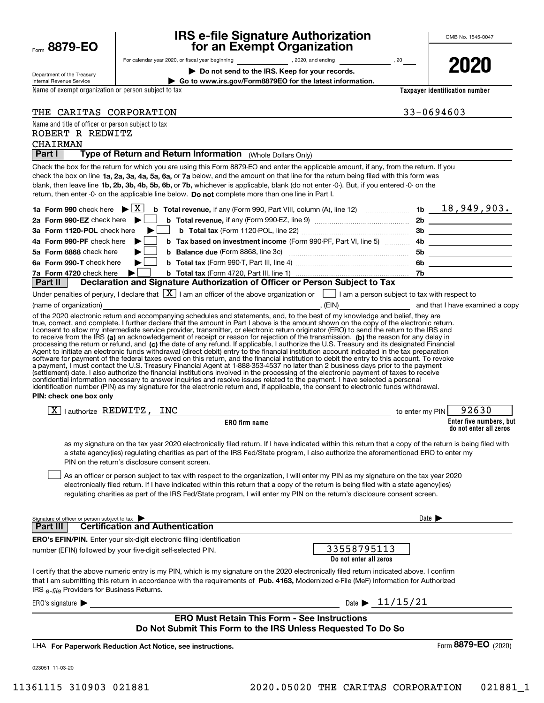| Form | 8879-E |  |
|------|--------|--|
|      |        |  |

# **IRS e-file Signature Authorization for an Exempt Organization**

| Department of the Treasury      |
|---------------------------------|
| <b>Internal Revenue Service</b> |

For calendar year 2020, or fiscal year beginning and the state of the state of the state of the state of the state of the state of the state of the state of the state of the state of the state of the state of the state of

**| Do not send to the IRS. Keep for your records.**

**2020**

**| Go to www.irs.gov/Form8879EO for the latest information.**

Name of exempt organization or person subject to tax

**Taxpayer identification number**

| THE CARITAS CORPORATION                                                                                                                                                                                                                                                                                                                                                                                                                                                                                                                                                                                                                                                                                                                                                                                                                                                                                                                                                                                                                                                                                                                                                                                                                                                                                                                                                                                                                                       |                                       | 33-0694603                                        |
|---------------------------------------------------------------------------------------------------------------------------------------------------------------------------------------------------------------------------------------------------------------------------------------------------------------------------------------------------------------------------------------------------------------------------------------------------------------------------------------------------------------------------------------------------------------------------------------------------------------------------------------------------------------------------------------------------------------------------------------------------------------------------------------------------------------------------------------------------------------------------------------------------------------------------------------------------------------------------------------------------------------------------------------------------------------------------------------------------------------------------------------------------------------------------------------------------------------------------------------------------------------------------------------------------------------------------------------------------------------------------------------------------------------------------------------------------------------|---------------------------------------|---------------------------------------------------|
| Name and title of officer or person subject to tax                                                                                                                                                                                                                                                                                                                                                                                                                                                                                                                                                                                                                                                                                                                                                                                                                                                                                                                                                                                                                                                                                                                                                                                                                                                                                                                                                                                                            |                                       |                                                   |
| ROBERT R REDWITZ                                                                                                                                                                                                                                                                                                                                                                                                                                                                                                                                                                                                                                                                                                                                                                                                                                                                                                                                                                                                                                                                                                                                                                                                                                                                                                                                                                                                                                              |                                       |                                                   |
| <b>CHAIRMAN</b>                                                                                                                                                                                                                                                                                                                                                                                                                                                                                                                                                                                                                                                                                                                                                                                                                                                                                                                                                                                                                                                                                                                                                                                                                                                                                                                                                                                                                                               |                                       |                                                   |
| Type of Return and Return Information (Whole Dollars Only)<br>Part I                                                                                                                                                                                                                                                                                                                                                                                                                                                                                                                                                                                                                                                                                                                                                                                                                                                                                                                                                                                                                                                                                                                                                                                                                                                                                                                                                                                          |                                       |                                                   |
| Check the box for the return for which you are using this Form 8879-EO and enter the applicable amount, if any, from the return. If you                                                                                                                                                                                                                                                                                                                                                                                                                                                                                                                                                                                                                                                                                                                                                                                                                                                                                                                                                                                                                                                                                                                                                                                                                                                                                                                       |                                       |                                                   |
| check the box on line 1a, 2a, 3a, 4a, 5a, 6a, or 7a below, and the amount on that line for the return being filed with this form was<br>blank, then leave line 1b, 2b, 3b, 4b, 5b, 6b, or 7b, whichever is applicable, blank (do not enter -0-). But, if you entered -0- on the                                                                                                                                                                                                                                                                                                                                                                                                                                                                                                                                                                                                                                                                                                                                                                                                                                                                                                                                                                                                                                                                                                                                                                               |                                       |                                                   |
| return, then enter -0- on the applicable line below. Do not complete more than one line in Part I.                                                                                                                                                                                                                                                                                                                                                                                                                                                                                                                                                                                                                                                                                                                                                                                                                                                                                                                                                                                                                                                                                                                                                                                                                                                                                                                                                            |                                       |                                                   |
|                                                                                                                                                                                                                                                                                                                                                                                                                                                                                                                                                                                                                                                                                                                                                                                                                                                                                                                                                                                                                                                                                                                                                                                                                                                                                                                                                                                                                                                               |                                       |                                                   |
| 2a Form 990-EZ check here $\blacktriangleright$                                                                                                                                                                                                                                                                                                                                                                                                                                                                                                                                                                                                                                                                                                                                                                                                                                                                                                                                                                                                                                                                                                                                                                                                                                                                                                                                                                                                               |                                       |                                                   |
| 3a Form 1120-POL check here<br>▶                                                                                                                                                                                                                                                                                                                                                                                                                                                                                                                                                                                                                                                                                                                                                                                                                                                                                                                                                                                                                                                                                                                                                                                                                                                                                                                                                                                                                              |                                       |                                                   |
| 4a Form 990-PF check here<br>▶                                                                                                                                                                                                                                                                                                                                                                                                                                                                                                                                                                                                                                                                                                                                                                                                                                                                                                                                                                                                                                                                                                                                                                                                                                                                                                                                                                                                                                |                                       |                                                   |
| 5a Form 8868 check here                                                                                                                                                                                                                                                                                                                                                                                                                                                                                                                                                                                                                                                                                                                                                                                                                                                                                                                                                                                                                                                                                                                                                                                                                                                                                                                                                                                                                                       |                                       |                                                   |
| 6a Form 990-T check here<br>▶                                                                                                                                                                                                                                                                                                                                                                                                                                                                                                                                                                                                                                                                                                                                                                                                                                                                                                                                                                                                                                                                                                                                                                                                                                                                                                                                                                                                                                 |                                       |                                                   |
| 7a Form 4720 check here<br>▶∣                                                                                                                                                                                                                                                                                                                                                                                                                                                                                                                                                                                                                                                                                                                                                                                                                                                                                                                                                                                                                                                                                                                                                                                                                                                                                                                                                                                                                                 |                                       |                                                   |
| Declaration and Signature Authorization of Officer or Person Subject to Tax<br>Part II                                                                                                                                                                                                                                                                                                                                                                                                                                                                                                                                                                                                                                                                                                                                                                                                                                                                                                                                                                                                                                                                                                                                                                                                                                                                                                                                                                        |                                       |                                                   |
| Under penalties of perjury, I declare that $\boxed{\mathbf{X}}$ I am an officer of the above organization or $\boxed{\phantom{\mathbf{X}}}$ I am a person subject to tax with respect to                                                                                                                                                                                                                                                                                                                                                                                                                                                                                                                                                                                                                                                                                                                                                                                                                                                                                                                                                                                                                                                                                                                                                                                                                                                                      |                                       |                                                   |
| of the 2020 electronic return and accompanying schedules and statements, and, to the best of my knowledge and belief, they are                                                                                                                                                                                                                                                                                                                                                                                                                                                                                                                                                                                                                                                                                                                                                                                                                                                                                                                                                                                                                                                                                                                                                                                                                                                                                                                                |                                       |                                                   |
| true, correct, and complete. I further declare that the amount in Part I above is the amount shown on the copy of the electronic return.<br>I consent to allow my intermediate service provider, transmitter, or electronic return originator (ERO) to send the return to the IRS and<br>to receive from the IRS (a) an acknowledgement of receipt or reason for rejection of the transmission, (b) the reason for any delay in<br>processing the return or refund, and (c) the date of any refund. If applicable, I authorize the U.S. Treasury and its designated Financial<br>Agent to initiate an electronic funds withdrawal (direct debit) entry to the financial institution account indicated in the tax preparation<br>software for payment of the federal taxes owed on this return, and the financial institution to debit the entry to this account. To revoke<br>a payment, I must contact the U.S. Treasury Financial Agent at 1-888-353-4537 no later than 2 business days prior to the payment<br>(settlement) date. I also authorize the financial institutions involved in the processing of the electronic payment of taxes to receive<br>confidential information necessary to answer inquiries and resolve issues related to the payment. I have selected a personal<br>identification number (PIN) as my signature for the electronic return and, if applicable, the consent to electronic funds withdrawal.<br>PIN: check one box only |                                       |                                                   |
| $\boxed{\text{X}}$ I authorize REDWITZ, INC<br><b>Example 2018</b> The Contract of the Contract of the Contract of the Contract of the Contract of the Contract of the Contract of the Contract of the Contract of the Contract of the Contract of the Contract of the Contract of                                                                                                                                                                                                                                                                                                                                                                                                                                                                                                                                                                                                                                                                                                                                                                                                                                                                                                                                                                                                                                                                                                                                                                            |                                       | 92630                                             |
| ERO firm name                                                                                                                                                                                                                                                                                                                                                                                                                                                                                                                                                                                                                                                                                                                                                                                                                                                                                                                                                                                                                                                                                                                                                                                                                                                                                                                                                                                                                                                 |                                       | Enter five numbers, but<br>do not enter all zeros |
| as my signature on the tax year 2020 electronically filed return. If I have indicated within this return that a copy of the return is being filed with<br>a state agency(ies) regulating charities as part of the IRS Fed/State program, I also authorize the aforementioned ERO to enter my<br>PIN on the return's disclosure consent screen.                                                                                                                                                                                                                                                                                                                                                                                                                                                                                                                                                                                                                                                                                                                                                                                                                                                                                                                                                                                                                                                                                                                |                                       |                                                   |
| As an officer or person subject to tax with respect to the organization, I will enter my PIN as my signature on the tax year 2020<br>electronically filed return. If I have indicated within this return that a copy of the return is being filed with a state agency(ies)<br>regulating charities as part of the IRS Fed/State program, I will enter my PIN on the return's disclosure consent screen.                                                                                                                                                                                                                                                                                                                                                                                                                                                                                                                                                                                                                                                                                                                                                                                                                                                                                                                                                                                                                                                       |                                       |                                                   |
| Signature of officer or person subject to tax                                                                                                                                                                                                                                                                                                                                                                                                                                                                                                                                                                                                                                                                                                                                                                                                                                                                                                                                                                                                                                                                                                                                                                                                                                                                                                                                                                                                                 |                                       | Date                                              |
| <b>Certification and Authentication</b><br><b>Part III</b>                                                                                                                                                                                                                                                                                                                                                                                                                                                                                                                                                                                                                                                                                                                                                                                                                                                                                                                                                                                                                                                                                                                                                                                                                                                                                                                                                                                                    |                                       |                                                   |
| <b>ERO's EFIN/PIN.</b> Enter your six-digit electronic filing identification                                                                                                                                                                                                                                                                                                                                                                                                                                                                                                                                                                                                                                                                                                                                                                                                                                                                                                                                                                                                                                                                                                                                                                                                                                                                                                                                                                                  |                                       |                                                   |
| number (EFIN) followed by your five-digit self-selected PIN.                                                                                                                                                                                                                                                                                                                                                                                                                                                                                                                                                                                                                                                                                                                                                                                                                                                                                                                                                                                                                                                                                                                                                                                                                                                                                                                                                                                                  | 33558795113<br>Do not enter all zeros |                                                   |
| I certify that the above numeric entry is my PIN, which is my signature on the 2020 electronically filed return indicated above. I confirm<br>that I am submitting this return in accordance with the requirements of Pub. 4163, Modernized e-File (MeF) Information for Authorized<br>IRS e-file Providers for Business Returns.                                                                                                                                                                                                                                                                                                                                                                                                                                                                                                                                                                                                                                                                                                                                                                                                                                                                                                                                                                                                                                                                                                                             |                                       |                                                   |
| ERO's signature $\blacktriangleright$                                                                                                                                                                                                                                                                                                                                                                                                                                                                                                                                                                                                                                                                                                                                                                                                                                                                                                                                                                                                                                                                                                                                                                                                                                                                                                                                                                                                                         | Date $\triangleright$ 11/15/21        |                                                   |
| <b>ERO Must Retain This Form - See Instructions</b>                                                                                                                                                                                                                                                                                                                                                                                                                                                                                                                                                                                                                                                                                                                                                                                                                                                                                                                                                                                                                                                                                                                                                                                                                                                                                                                                                                                                           |                                       |                                                   |
| Do Not Submit This Form to the IRS Unless Requested To Do So                                                                                                                                                                                                                                                                                                                                                                                                                                                                                                                                                                                                                                                                                                                                                                                                                                                                                                                                                                                                                                                                                                                                                                                                                                                                                                                                                                                                  |                                       |                                                   |
| LHA For Paperwork Reduction Act Notice, see instructions.                                                                                                                                                                                                                                                                                                                                                                                                                                                                                                                                                                                                                                                                                                                                                                                                                                                                                                                                                                                                                                                                                                                                                                                                                                                                                                                                                                                                     |                                       | Form 8879-EO (2020)                               |

LHA For Paperwork Reduction Act Notice, see instructions.

023051 11-03-20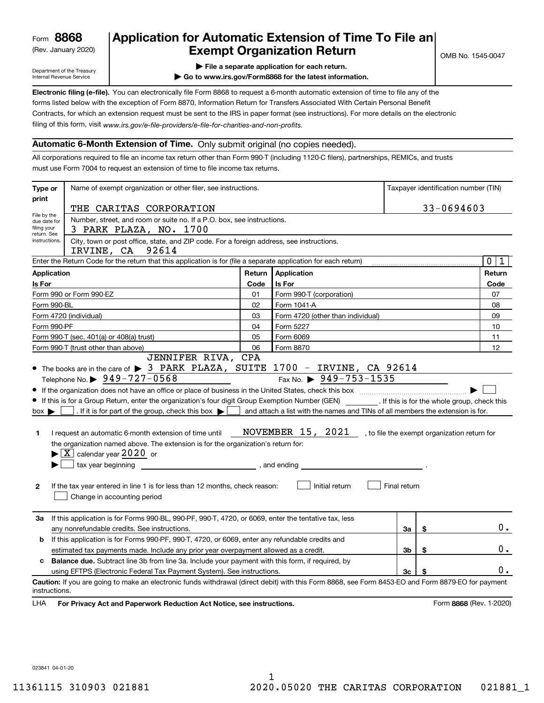(Rev. January 2020)

# **Application for Automatic Extension of Time To File an Exempt Organization Return**

Department of the Treasury Internal Revenue Service

- **| File a separate application for each return.**
- **| Go to www.irs.gov/Form8868 for the latest information.**

**Electronic filing (e-file).**  You can electronically file Form 8868 to request a 6-month automatic extension of time to file any of the filing of this form, visit www.irs.gov/e-file-providers/e-file-for-charities-and-non-profits. forms listed below with the exception of Form 8870, Information Return for Transfers Associated With Certain Personal Benefit Contracts, for which an extension request must be sent to the IRS in paper format (see instructions). For more details on the electronic

#### **Automatic 6-Month Extension of Time.** Only submit original (no copies needed).

All corporations required to file an income tax return other than Form 990-T (including 1120-C filers), partnerships, REMICs, and trusts must use Form 7004 to request an extension of time to file income tax returns.

| Type or                                                                    | Name of exempt organization or other filer, see instructions.                                                                                                                                                                                                                                                                                                                                                                                                                                                                                                                                                                                                                      |                |                                                                                                                                                                                                            |                |            | Taxpayer identification number (TIN) |
|----------------------------------------------------------------------------|------------------------------------------------------------------------------------------------------------------------------------------------------------------------------------------------------------------------------------------------------------------------------------------------------------------------------------------------------------------------------------------------------------------------------------------------------------------------------------------------------------------------------------------------------------------------------------------------------------------------------------------------------------------------------------|----------------|------------------------------------------------------------------------------------------------------------------------------------------------------------------------------------------------------------|----------------|------------|--------------------------------------|
| print                                                                      | THE CARITAS CORPORATION                                                                                                                                                                                                                                                                                                                                                                                                                                                                                                                                                                                                                                                            |                |                                                                                                                                                                                                            |                | 33-0694603 |                                      |
| File by the<br>due date for<br>filing your<br>return. See<br>instructions. | Number, street, and room or suite no. If a P.O. box, see instructions.<br>3 PARK PLAZA, NO. 1700<br>City, town or post office, state, and ZIP code. For a foreign address, see instructions.                                                                                                                                                                                                                                                                                                                                                                                                                                                                                       |                |                                                                                                                                                                                                            |                |            |                                      |
|                                                                            | IRVINE, CA 92614<br>Enter the Return Code for the return that this application is for (file a separate application for each return)                                                                                                                                                                                                                                                                                                                                                                                                                                                                                                                                                |                |                                                                                                                                                                                                            |                |            | 0 <sup>1</sup><br>1                  |
|                                                                            |                                                                                                                                                                                                                                                                                                                                                                                                                                                                                                                                                                                                                                                                                    |                |                                                                                                                                                                                                            |                |            |                                      |
| <b>Application</b><br>Is For                                               |                                                                                                                                                                                                                                                                                                                                                                                                                                                                                                                                                                                                                                                                                    | Return<br>Code | <b>Application</b><br>Is For                                                                                                                                                                               |                |            | Return<br>Code                       |
|                                                                            | Form 990 or Form 990-EZ                                                                                                                                                                                                                                                                                                                                                                                                                                                                                                                                                                                                                                                            | 01             | Form 990-T (corporation)                                                                                                                                                                                   |                |            | 07                                   |
| Form 990-BL                                                                |                                                                                                                                                                                                                                                                                                                                                                                                                                                                                                                                                                                                                                                                                    | 02             | Form 1041-A                                                                                                                                                                                                |                |            | 08                                   |
|                                                                            | Form 4720 (individual)                                                                                                                                                                                                                                                                                                                                                                                                                                                                                                                                                                                                                                                             | 03             | Form 4720 (other than individual)                                                                                                                                                                          |                |            | 09                                   |
| Form 990-PF                                                                |                                                                                                                                                                                                                                                                                                                                                                                                                                                                                                                                                                                                                                                                                    | 04             | Form 5227                                                                                                                                                                                                  |                |            | 10                                   |
|                                                                            | Form 990-T (sec. 401(a) or 408(a) trust)                                                                                                                                                                                                                                                                                                                                                                                                                                                                                                                                                                                                                                           | 05             | Form 6069                                                                                                                                                                                                  |                |            | 11                                   |
|                                                                            | Form 990-T (trust other than above)                                                                                                                                                                                                                                                                                                                                                                                                                                                                                                                                                                                                                                                | 06             | Form 8870                                                                                                                                                                                                  |                |            | 12                                   |
| $box \blacktriangleright$<br>1.<br>$\mathbf{2}$                            | • The books are in the care of > 3 PARK PLAZA, SUITE 1700 - IRVINE, CA 92614<br>Telephone No. $\triangleright$ 949-727-0568<br>If this is for a Group Return, enter the organization's four digit Group Exemption Number (GEN) If this is for the whole group, check this<br>. If it is for part of the group, check this box $\blacktriangleright$<br>I request an automatic 6-month extension of time until<br>the organization named above. The extension is for the organization's return for:<br>$\blacktriangleright$ $\boxed{\text{X}}$ calendar year 2020 or<br>If the tax year entered in line 1 is for less than 12 months, check reason:<br>Change in accounting period |                | Fax No. $\triangleright$ 949-753-1535<br>and attach a list with the names and TINs of all members the extension is for.<br>NOVEMBER 15, 2021, to file the exempt organization return for<br>Initial return | Final return   |            |                                      |
| За                                                                         | If this application is for Forms 990-BL, 990-PF, 990-T, 4720, or 6069, enter the tentative tax, less<br>any nonrefundable credits. See instructions.                                                                                                                                                                                                                                                                                                                                                                                                                                                                                                                               |                |                                                                                                                                                                                                            | 3a             | \$         | 0.                                   |
| b                                                                          | If this application is for Forms 990-PF, 990-T, 4720, or 6069, enter any refundable credits and                                                                                                                                                                                                                                                                                                                                                                                                                                                                                                                                                                                    |                |                                                                                                                                                                                                            |                |            |                                      |
|                                                                            | estimated tax payments made. Include any prior year overpayment allowed as a credit.                                                                                                                                                                                                                                                                                                                                                                                                                                                                                                                                                                                               |                |                                                                                                                                                                                                            | 3b             | \$         | 0.                                   |
| c                                                                          | <b>Balance due.</b> Subtract line 3b from line 3a. Include your payment with this form, if required, by                                                                                                                                                                                                                                                                                                                                                                                                                                                                                                                                                                            |                |                                                                                                                                                                                                            |                |            |                                      |
|                                                                            | using EFTPS (Electronic Federal Tax Payment System). See instructions.                                                                                                                                                                                                                                                                                                                                                                                                                                                                                                                                                                                                             |                |                                                                                                                                                                                                            | 3 <sub>c</sub> | \$         | υ.                                   |
| instructions.<br>LHA                                                       | Caution: If you are going to make an electronic funds withdrawal (direct debit) with this Form 8868, see Form 8453-EO and Form 8879-EO for payment<br>For Privacy Act and Paperwork Reduction Act Notice, see instructions.                                                                                                                                                                                                                                                                                                                                                                                                                                                        |                |                                                                                                                                                                                                            |                |            | Form 8868 (Rev. 1-2020)              |

023841 04-01-20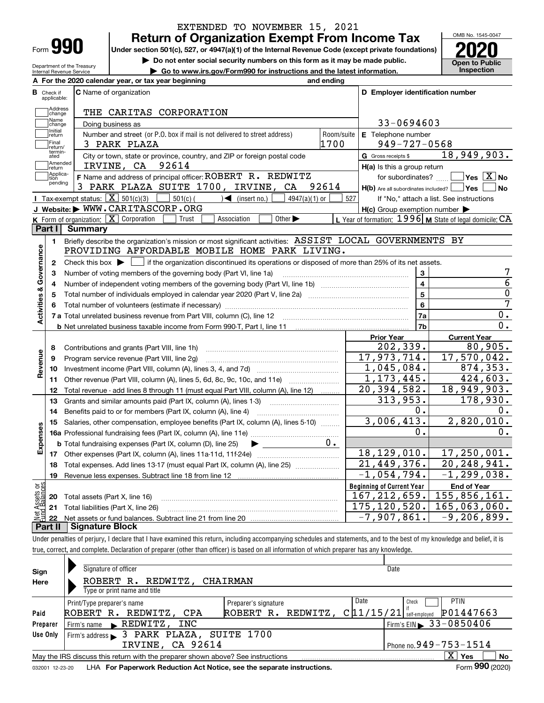| Form |  |
|------|--|

Department of the Treasury Internal Revenue Service

# **Return of Organization Exempt From Income Tax** EXTENDED TO NOVEMBER 15, 2021

**Under section 501(c), 527, or 4947(a)(1) of the Internal Revenue Code (except private foundations) 2020**

**| Do not enter social security numbers on this form as it may be made public.**

**| Go to www.irs.gov/Form990 for instructions and the latest information. Inspection**



| A For the 2020 calendar year, or tax year beginning                                                                                                    | and ending                 |                                                     |                                                           |  |
|--------------------------------------------------------------------------------------------------------------------------------------------------------|----------------------------|-----------------------------------------------------|-----------------------------------------------------------|--|
| <b>C</b> Name of organization<br>В<br>Check if<br>applicable:                                                                                          |                            | D Employer identification number                    |                                                           |  |
| Address<br>THE CARITAS CORPORATION<br>change                                                                                                           |                            |                                                     |                                                           |  |
| Name<br>Doing business as<br>change                                                                                                                    |                            | 33-0694603                                          |                                                           |  |
| Initial<br>Number and street (or P.O. box if mail is not delivered to street address)<br>return                                                        | Room/suite                 | <b>E</b> Telephone number                           |                                                           |  |
| Final<br>3 PARK PLAZA<br>return/                                                                                                                       | 1700<br>$949 - 727 - 0568$ |                                                     |                                                           |  |
| termin-<br>City or town, state or province, country, and ZIP or foreign postal code<br>ated                                                            |                            | G Gross receipts \$                                 | 18,949,903.                                               |  |
| Amended<br>92614<br>IRVINE, CA<br>return                                                                                                               |                            | $H(a)$ is this a group return                       |                                                           |  |
| Applica-<br>F Name and address of principal officer: ROBERT R. REDWITZ<br>tion                                                                         |                            | for subordinates?                                   | $Yes \quad X$ No                                          |  |
| pending<br>PARK PLAZA SUITE 1700, IRVINE, CA<br>3                                                                                                      | 92614                      | $H(b)$ Are all subordinates included? $\Box$ Yes    | <b>No</b>                                                 |  |
| Tax-exempt status: $\boxed{\mathbf{X}}$ 501(c)(3)<br>$501(c)$ (<br>$\mathcal{A}$ (insert no.)                                                          | $4947(a)(1)$ or<br>527     |                                                     | If "No," attach a list. See instructions                  |  |
| J Website: WWW.CARITASCORP.ORG                                                                                                                         |                            | $H(c)$ Group exemption number $\blacktriangleright$ |                                                           |  |
| <b>K</b> Form of organization: $\boxed{\mathbf{X}}$ Corporation<br>Trust<br>Association<br>Other $\blacktriangleright$                                 |                            |                                                     | L Year of formation: $1996$ M State of legal domicile: CA |  |
| Part I<br>Summary                                                                                                                                      |                            |                                                     |                                                           |  |
| Briefly describe the organization's mission or most significant activities: ASSIST LOCAL GOVERNMENTS BY<br>1.                                          |                            |                                                     |                                                           |  |
| Governance<br>PROVIDING AFFORDABLE MOBILE HOME PARK LIVING.                                                                                            |                            |                                                     |                                                           |  |
| Check this box $\blacktriangleright$   if the organization discontinued its operations or disposed of more than 25% of its net assets.<br>$\mathbf{2}$ |                            |                                                     |                                                           |  |
| Number of voting members of the governing body (Part VI, line 1a)<br>3                                                                                 |                            | 3                                                   |                                                           |  |
| 4                                                                                                                                                      |                            | $\overline{\mathbf{4}}$                             | $\overline{6}$                                            |  |
| 5                                                                                                                                                      |                            | $\overline{5}$                                      | $\pmb{0}$                                                 |  |
| 6                                                                                                                                                      |                            | 6                                                   | 7                                                         |  |
| Activities &                                                                                                                                           |                            | 7a                                                  | $\overline{0}$ .                                          |  |
|                                                                                                                                                        |                            | 7 <sub>b</sub>                                      | 0.                                                        |  |
|                                                                                                                                                        |                            | <b>Prior Year</b>                                   | <b>Current Year</b>                                       |  |
| Contributions and grants (Part VIII, line 1h)<br>8                                                                                                     |                            | 202,339.                                            | 80,905.                                                   |  |
| Revenue<br>Program service revenue (Part VIII, line 2g)<br>9                                                                                           |                            | 17,973,714.                                         | 17,570,042.                                               |  |
| 10                                                                                                                                                     |                            | 1,045,084.                                          | 874, 353.                                                 |  |
| Other revenue (Part VIII, column (A), lines 5, 6d, 8c, 9c, 10c, and 11e)<br>11                                                                         |                            | 1, 173, 445.                                        | 424,603.                                                  |  |
| Total revenue - add lines 8 through 11 (must equal Part VIII, column (A), line 12)<br>12                                                               |                            | 20,394,582.                                         | 18,949,903.                                               |  |
| 13<br>Grants and similar amounts paid (Part IX, column (A), lines 1-3)                                                                                 |                            | 313,953.                                            | 178,930.                                                  |  |
| Benefits paid to or for members (Part IX, column (A), line 4)<br>14                                                                                    |                            | 0.                                                  | 0.                                                        |  |
| Salaries, other compensation, employee benefits (Part IX, column (A), lines 5-10)<br>15                                                                |                            | 3,006,413.                                          | 2,820,010.                                                |  |
|                                                                                                                                                        |                            | 0.                                                  | 0.                                                        |  |
| Expenses<br><b>b</b> Total fundraising expenses (Part IX, column (D), line 25)<br>▶                                                                    | $0 \cdot$                  |                                                     |                                                           |  |
|                                                                                                                                                        |                            | 18, 129, 010.                                       | 17, 250, 001.                                             |  |
| Total expenses. Add lines 13-17 (must equal Part IX, column (A), line 25)<br>18                                                                        |                            | 21,449,376.                                         | 20, 248, 941.                                             |  |
| 19                                                                                                                                                     |                            | $-1,054,794.$                                       | $-1, 299, 038.$                                           |  |
| ăğ                                                                                                                                                     |                            | <b>Beginning of Current Year</b>                    | <b>End of Year</b>                                        |  |
| sets<br><b>20</b> Total assets (Part X, line 16)                                                                                                       |                            | 167, 212, 659.                                      | 155,856,161.                                              |  |
| 21 Total liabilities (Part X, line 26)                                                                                                                 |                            | 175, 120, 520.                                      | 165,063,060.                                              |  |
| 22                                                                                                                                                     |                            | $-7,907,861$ .                                      | $-9, 206, 899.$                                           |  |
| <b>Signature Block</b><br>Part II                                                                                                                      |                            |                                                     |                                                           |  |

Under penalties of perjury, I declare that I have examined this return, including accompanying schedules and statements, and to the best of my knowledge and belief, it is true, correct, and complete. Declaration of preparer (other than officer) is based on all information of which preparer has any knowledge.

| Sign                                                                                                         | Signature of officer                                                               | Date                                      |  |  |  |  |  |
|--------------------------------------------------------------------------------------------------------------|------------------------------------------------------------------------------------|-------------------------------------------|--|--|--|--|--|
| Here                                                                                                         | REDWITZ, CHAIRMAN<br>ROBERT R.                                                     |                                           |  |  |  |  |  |
|                                                                                                              | Type or print name and title                                                       |                                           |  |  |  |  |  |
|                                                                                                              | Date<br><b>PTIN</b><br>Check<br>Print/Type preparer's name<br>Preparer's signature |                                           |  |  |  |  |  |
| Paid                                                                                                         | ROBERT R. REDWITZ,<br>ROBERT R. REDWITZ, CPA                                       | P01447663<br>$C$ $11/15/21$ self-employed |  |  |  |  |  |
| Preparer                                                                                                     | Firm's name REDWITZ, INC                                                           | Firm's EIN 33-0850406                     |  |  |  |  |  |
| Use Only                                                                                                     | Firm's address > 3 PARK PLAZA, SUITE 1700                                          |                                           |  |  |  |  |  |
|                                                                                                              | Phone no. $949 - 753 - 1514$<br>IRVINE, CA 92614                                   |                                           |  |  |  |  |  |
| ΧI<br>No<br>Yes<br>May the IRS discuss this return with the preparer shown above? See instructions           |                                                                                    |                                           |  |  |  |  |  |
| Form 990 (2020)<br>LHA For Paperwork Reduction Act Notice, see the separate instructions.<br>032001 12-23-20 |                                                                                    |                                           |  |  |  |  |  |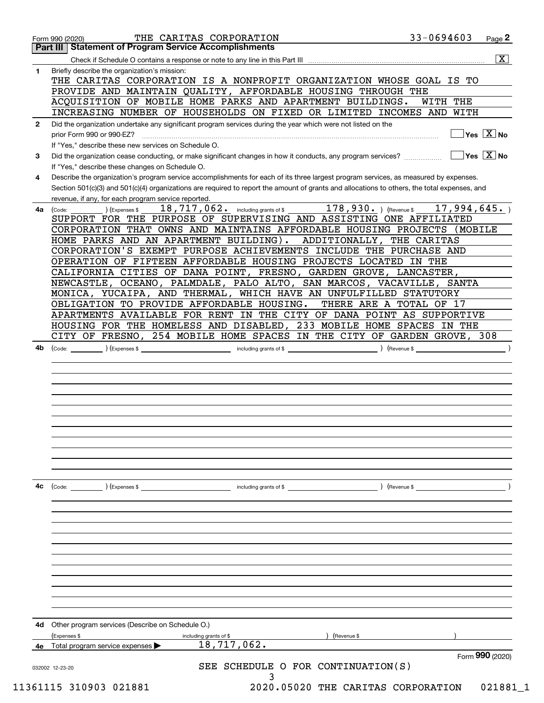|              | 33-0694603<br>THE CARITAS CORPORATION<br>Form 990 (2020)<br><b>Part III   Statement of Program Service Accomplishments</b>                   | $Page$ 2                |
|--------------|----------------------------------------------------------------------------------------------------------------------------------------------|-------------------------|
|              |                                                                                                                                              | $\overline{\mathtt{x}}$ |
| 1.           | Briefly describe the organization's mission:                                                                                                 |                         |
|              | THE CARITAS CORPORATION IS A NONPROFIT ORGANIZATION WHOSE GOAL IS TO                                                                         |                         |
|              | PROVIDE AND MAINTAIN QUALITY, AFFORDABLE HOUSING THROUGH THE                                                                                 |                         |
|              | ACQUISITION OF MOBILE HOME PARKS AND APARTMENT BUILDINGS.<br>WITH THE                                                                        |                         |
|              | INCREASING NUMBER OF HOUSEHOLDS ON FIXED OR LIMITED INCOMES AND WITH                                                                         |                         |
|              |                                                                                                                                              |                         |
| $\mathbf{2}$ | Did the organization undertake any significant program services during the year which were not listed on the<br>$Yes \ \boxed{X}$ No         |                         |
|              | prior Form 990 or 990-EZ?                                                                                                                    |                         |
|              | If "Yes," describe these new services on Schedule O.                                                                                         |                         |
| 3            | $Yes \ \boxed{X}$ No<br>Did the organization cease conducting, or make significant changes in how it conducts, any program services?         |                         |
|              | If "Yes," describe these changes on Schedule O.                                                                                              |                         |
| 4            | Describe the organization's program service accomplishments for each of its three largest program services, as measured by expenses.         |                         |
|              | Section 501(c)(3) and 501(c)(4) organizations are required to report the amount of grants and allocations to others, the total expenses, and |                         |
|              | revenue, if any, for each program service reported.                                                                                          |                         |
| 4a           | $178,930.$ (Revenue \$<br>18,717,062. including grants of \$<br>17,994,645.<br>(Expenses \$<br>(Code:                                        |                         |
|              | SUPPORT FOR THE PURPOSE OF SUPERVISING AND ASSISTING ONE AFFILIATED                                                                          |                         |
|              | CORPORATION THAT OWNS AND MAINTAINS AFFORDABLE HOUSING PROJECTS (MOBILE                                                                      |                         |
|              | HOME PARKS AND AN APARTMENT BUILDING).<br>ADDITIONALLY, THE CARITAS                                                                          |                         |
|              | CORPORATION'S EXEMPT PURPOSE ACHIEVEMENTS INCLUDE THE PURCHASE AND                                                                           |                         |
|              | OPERATION OF FIFTEEN AFFORDABLE HOUSING PROJECTS LOCATED IN THE                                                                              |                         |
|              | CALIFORNIA CITIES OF DANA POINT, FRESNO, GARDEN GROVE, LANCASTER,                                                                            |                         |
|              | NEWCASTLE, OCEANO, PALMDALE, PALO ALTO, SAN MARCOS, VACAVILLE, SANTA                                                                         |                         |
|              | MONICA, YUCAIPA, AND THERMAL, WHICH HAVE AN UNFULFILLED STATUTORY                                                                            |                         |
|              | OBLIGATION TO PROVIDE AFFORDABLE HOUSING.<br>THERE ARE A TOTAL OF 17                                                                         |                         |
|              | APARTMENTS AVAILABLE FOR RENT IN THE CITY OF DANA POINT AS SUPPORTIVE                                                                        |                         |
|              | HOUSING FOR THE HOMELESS AND DISABLED, 233 MOBILE HOME SPACES IN THE                                                                         |                         |
|              | CITY OF FRESNO, 254 MOBILE HOME SPACES IN THE CITY OF GARDEN GROVE, 308                                                                      |                         |
|              |                                                                                                                                              |                         |
|              |                                                                                                                                              |                         |
|              |                                                                                                                                              |                         |
|              |                                                                                                                                              |                         |
|              |                                                                                                                                              |                         |
|              |                                                                                                                                              |                         |
|              |                                                                                                                                              |                         |
|              |                                                                                                                                              |                         |
|              | ) (Revenue \$<br>(Expenses \$<br>including grants of \$<br>(Code:                                                                            |                         |
| 4c           |                                                                                                                                              |                         |
|              |                                                                                                                                              |                         |
|              |                                                                                                                                              |                         |
|              |                                                                                                                                              |                         |
|              |                                                                                                                                              |                         |
|              |                                                                                                                                              |                         |
|              |                                                                                                                                              |                         |
|              |                                                                                                                                              |                         |
|              |                                                                                                                                              |                         |
|              |                                                                                                                                              |                         |
|              |                                                                                                                                              |                         |
| 4d           | Other program services (Describe on Schedule O.)                                                                                             |                         |
|              | (Expenses \$<br>including grants of \$<br>(Revenue \$                                                                                        |                         |
| 4e           | 18,717,062.<br>Total program service expenses                                                                                                |                         |
|              | Form 990 (2020)<br>SEE SCHEDULE O FOR CONTINUATION(S)<br>032002 12-23-20                                                                     |                         |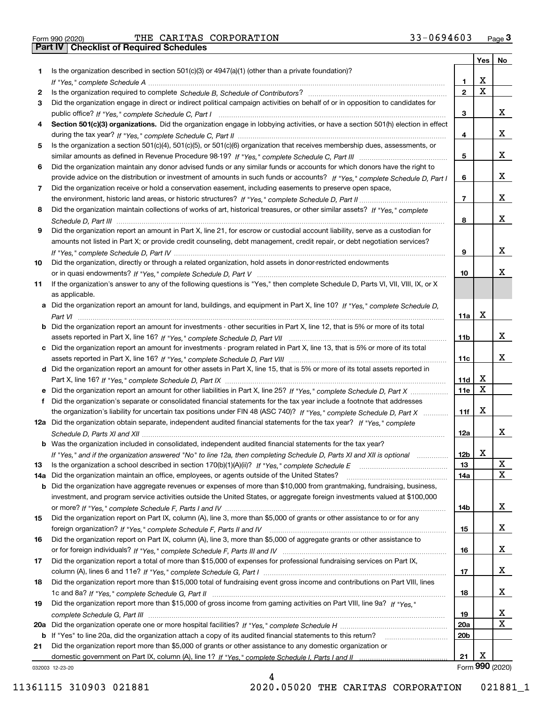|     |                                                                                                                                       |                 | Yes                     | No              |
|-----|---------------------------------------------------------------------------------------------------------------------------------------|-----------------|-------------------------|-----------------|
| 1.  | Is the organization described in section $501(c)(3)$ or $4947(a)(1)$ (other than a private foundation)?                               |                 |                         |                 |
|     |                                                                                                                                       | 1.              | X                       |                 |
| 2   |                                                                                                                                       | $\overline{2}$  | $\overline{\mathbf{x}}$ |                 |
| 3   | Did the organization engage in direct or indirect political campaign activities on behalf of or in opposition to candidates for       |                 |                         |                 |
|     |                                                                                                                                       | 3               |                         | x               |
| 4   | Section 501(c)(3) organizations. Did the organization engage in lobbying activities, or have a section 501(h) election in effect      |                 |                         |                 |
|     |                                                                                                                                       | 4               |                         | x               |
| 5   | Is the organization a section 501(c)(4), 501(c)(5), or 501(c)(6) organization that receives membership dues, assessments, or          |                 |                         |                 |
|     |                                                                                                                                       | 5               |                         | x               |
| 6   | Did the organization maintain any donor advised funds or any similar funds or accounts for which donors have the right to             |                 |                         | x               |
|     | provide advice on the distribution or investment of amounts in such funds or accounts? If "Yes," complete Schedule D, Part I          | 6               |                         |                 |
| 7   | Did the organization receive or hold a conservation easement, including easements to preserve open space,                             | $\overline{7}$  |                         | x               |
|     |                                                                                                                                       |                 |                         |                 |
| 8   | Did the organization maintain collections of works of art, historical treasures, or other similar assets? If "Yes," complete          | 8               |                         | x               |
|     | Did the organization report an amount in Part X, line 21, for escrow or custodial account liability, serve as a custodian for         |                 |                         |                 |
| 9   | amounts not listed in Part X; or provide credit counseling, debt management, credit repair, or debt negotiation services?             |                 |                         |                 |
|     |                                                                                                                                       | 9               |                         | x               |
| 10  | Did the organization, directly or through a related organization, hold assets in donor-restricted endowments                          |                 |                         |                 |
|     |                                                                                                                                       | 10              |                         | x               |
| 11  | If the organization's answer to any of the following questions is "Yes," then complete Schedule D, Parts VI, VII, VIII, IX, or X      |                 |                         |                 |
|     | as applicable.                                                                                                                        |                 |                         |                 |
|     | a Did the organization report an amount for land, buildings, and equipment in Part X, line 10? If "Yes," complete Schedule D.         |                 |                         |                 |
|     |                                                                                                                                       | 11a             | X                       |                 |
|     | <b>b</b> Did the organization report an amount for investments - other securities in Part X, line 12, that is 5% or more of its total |                 |                         |                 |
|     |                                                                                                                                       | 11 <sub>b</sub> |                         | x               |
|     | c Did the organization report an amount for investments - program related in Part X, line 13, that is 5% or more of its total         |                 |                         |                 |
|     |                                                                                                                                       | 11c             |                         | x               |
|     | d Did the organization report an amount for other assets in Part X, line 15, that is 5% or more of its total assets reported in       |                 |                         |                 |
|     |                                                                                                                                       | 11d             | х                       |                 |
|     | e Did the organization report an amount for other liabilities in Part X, line 25? If "Yes," complete Schedule D, Part X               | 11e             | $\mathbf X$             |                 |
| f   | Did the organization's separate or consolidated financial statements for the tax year include a footnote that addresses               |                 |                         |                 |
|     | the organization's liability for uncertain tax positions under FIN 48 (ASC 740)? If "Yes," complete Schedule D, Part X                | 11f             | X                       |                 |
|     | 12a Did the organization obtain separate, independent audited financial statements for the tax year? If "Yes," complete               |                 |                         |                 |
|     |                                                                                                                                       | 12a             |                         | x               |
|     | <b>b</b> Was the organization included in consolidated, independent audited financial statements for the tax year?                    |                 |                         |                 |
|     | If "Yes," and if the organization answered "No" to line 12a, then completing Schedule D, Parts XI and XII is optional                 | 12b             | ▵                       |                 |
| 13  | Is the organization a school described in section $170(b)(1)(A)(ii)?$ If "Yes," complete Schedule E                                   | 13              |                         | х               |
| 14a | Did the organization maintain an office, employees, or agents outside of the United States?                                           | 14a             |                         | X               |
|     | <b>b</b> Did the organization have aggregate revenues or expenses of more than \$10,000 from grantmaking, fundraising, business,      |                 |                         |                 |
|     | investment, and program service activities outside the United States, or aggregate foreign investments valued at \$100,000            |                 |                         |                 |
|     |                                                                                                                                       | 14b             |                         | X               |
| 15  | Did the organization report on Part IX, column (A), line 3, more than \$5,000 of grants or other assistance to or for any             |                 |                         |                 |
|     |                                                                                                                                       | 15              |                         | x               |
| 16  | Did the organization report on Part IX, column (A), line 3, more than \$5,000 of aggregate grants or other assistance to              |                 |                         |                 |
|     |                                                                                                                                       | 16              |                         | x               |
| 17  | Did the organization report a total of more than \$15,000 of expenses for professional fundraising services on Part IX,               |                 |                         |                 |
|     |                                                                                                                                       | 17              |                         | x               |
| 18  | Did the organization report more than \$15,000 total of fundraising event gross income and contributions on Part VIII, lines          |                 |                         |                 |
|     |                                                                                                                                       | 18              |                         | x               |
| 19  | Did the organization report more than \$15,000 of gross income from gaming activities on Part VIII, line 9a? If "Yes."                |                 |                         |                 |
|     |                                                                                                                                       | 19              |                         | X               |
|     |                                                                                                                                       | 20a             |                         | $\mathbf X$     |
|     | <b>b</b> If "Yes" to line 20a, did the organization attach a copy of its audited financial statements to this return?                 | 20 <sub>b</sub> |                         |                 |
| 21  | Did the organization report more than \$5,000 of grants or other assistance to any domestic organization or                           |                 |                         |                 |
|     |                                                                                                                                       | 21              | X                       | Form 990 (2020) |
|     | 032003 12-23-20                                                                                                                       |                 |                         |                 |

4

032003 12-23-20

11361115 310903 021881 2020.05020 THE CARITAS CORPORATION 021881\_1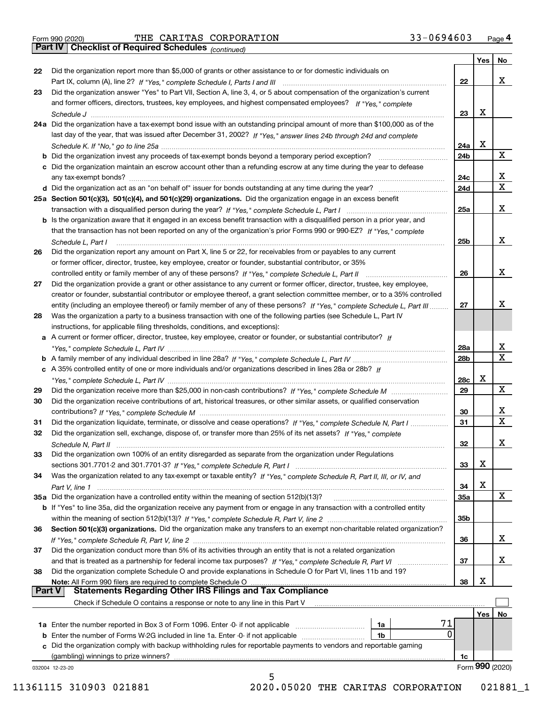*(continued)*

|               |                                                                                                                                    |                 | Yes | No              |
|---------------|------------------------------------------------------------------------------------------------------------------------------------|-----------------|-----|-----------------|
| 22            | Did the organization report more than \$5,000 of grants or other assistance to or for domestic individuals on                      |                 |     |                 |
|               |                                                                                                                                    | 22              |     | x               |
| 23            | Did the organization answer "Yes" to Part VII, Section A, line 3, 4, or 5 about compensation of the organization's current         |                 |     |                 |
|               | and former officers, directors, trustees, key employees, and highest compensated employees? If "Yes," complete                     |                 |     |                 |
|               |                                                                                                                                    | 23              | X   |                 |
|               | 24a Did the organization have a tax-exempt bond issue with an outstanding principal amount of more than \$100,000 as of the        |                 |     |                 |
|               | last day of the year, that was issued after December 31, 2002? If "Yes," answer lines 24b through 24d and complete                 |                 |     |                 |
|               |                                                                                                                                    | 24a             | х   |                 |
|               | b Did the organization invest any proceeds of tax-exempt bonds beyond a temporary period exception?                                | 24b             |     | X               |
|               | c Did the organization maintain an escrow account other than a refunding escrow at any time during the year to defease             |                 |     |                 |
|               | any tax-exempt bonds?                                                                                                              | 24c             |     | x               |
|               |                                                                                                                                    | 24d             |     | $\mathbf X$     |
|               | 25a Section 501(c)(3), 501(c)(4), and 501(c)(29) organizations. Did the organization engage in an excess benefit                   |                 |     |                 |
|               |                                                                                                                                    | 25a             |     | х               |
|               | b Is the organization aware that it engaged in an excess benefit transaction with a disqualified person in a prior year, and       |                 |     |                 |
|               | that the transaction has not been reported on any of the organization's prior Forms 990 or 990-EZ? If "Yes," complete              |                 |     |                 |
|               | Schedule L. Part I                                                                                                                 | 25b             |     | x               |
| 26            | Did the organization report any amount on Part X, line 5 or 22, for receivables from or payables to any current                    |                 |     |                 |
|               | or former officer, director, trustee, key employee, creator or founder, substantial contributor, or 35%                            |                 |     |                 |
|               |                                                                                                                                    | 26              |     | x               |
| 27            | Did the organization provide a grant or other assistance to any current or former officer, director, trustee, key employee,        |                 |     |                 |
|               | creator or founder, substantial contributor or employee thereof, a grant selection committee member, or to a 35% controlled        |                 |     |                 |
|               | entity (including an employee thereof) or family member of any of these persons? If "Yes," complete Schedule L, Part III           | 27              |     | x               |
| 28            | Was the organization a party to a business transaction with one of the following parties (see Schedule L, Part IV                  |                 |     |                 |
|               | instructions, for applicable filing thresholds, conditions, and exceptions):                                                       |                 |     |                 |
|               | a A current or former officer, director, trustee, key employee, creator or founder, or substantial contributor? If                 |                 |     |                 |
|               |                                                                                                                                    | 28a             |     | x               |
|               |                                                                                                                                    | 28 <sub>b</sub> |     | $\mathbf X$     |
|               | c A 35% controlled entity of one or more individuals and/or organizations described in lines 28a or 28b? If                        |                 |     |                 |
|               |                                                                                                                                    | 28c             | х   |                 |
| 29            |                                                                                                                                    | 29              |     | X               |
| 30            | Did the organization receive contributions of art, historical treasures, or other similar assets, or qualified conservation        |                 |     |                 |
|               |                                                                                                                                    | 30              |     | x               |
| 31            | Did the organization liquidate, terminate, or dissolve and cease operations? If "Yes," complete Schedule N, Part I                 | 31              |     | $\mathbf X$     |
| 32            | Did the organization sell, exchange, dispose of, or transfer more than 25% of its net assets? If "Yes," complete                   |                 |     |                 |
|               | Schedule N, Part II                                                                                                                | 32              |     | х               |
| 33            | Did the organization own 100% of an entity disregarded as separate from the organization under Regulations                         |                 |     |                 |
|               |                                                                                                                                    | 33              | X   |                 |
| 34            | Was the organization related to any tax-exempt or taxable entity? If "Yes," complete Schedule R, Part II, III, or IV, and          |                 |     |                 |
|               |                                                                                                                                    | 34              | х   |                 |
|               | 35a Did the organization have a controlled entity within the meaning of section 512(b)(13)?                                        | <b>35a</b>      |     | X               |
|               | <b>b</b> If "Yes" to line 35a, did the organization receive any payment from or engage in any transaction with a controlled entity |                 |     |                 |
|               |                                                                                                                                    | 35b             |     |                 |
| 36            | Section 501(c)(3) organizations. Did the organization make any transfers to an exempt non-charitable related organization?         |                 |     |                 |
|               |                                                                                                                                    | 36              |     | x               |
| 37            | Did the organization conduct more than 5% of its activities through an entity that is not a related organization                   |                 |     |                 |
|               |                                                                                                                                    | 37              |     | х               |
| 38            | Did the organization complete Schedule O and provide explanations in Schedule O for Part VI, lines 11b and 19?                     |                 |     |                 |
|               | Note: All Form 990 filers are required to complete Schedule O                                                                      | 38              | х   |                 |
| <b>Part V</b> | <b>Statements Regarding Other IRS Filings and Tax Compliance</b>                                                                   |                 |     |                 |
|               | Check if Schedule O contains a response or note to any line in this Part V                                                         |                 |     |                 |
|               |                                                                                                                                    |                 | Yes | No              |
|               | 71<br><b>1a</b> Enter the number reported in Box 3 of Form 1096. Enter -0- if not applicable <i>manumumumum</i><br>1a              |                 |     |                 |
|               | 0<br><b>b</b> Enter the number of Forms W-2G included in line 1a. Enter -0- if not applicable<br>1b                                |                 |     |                 |
|               | c Did the organization comply with backup withholding rules for reportable payments to vendors and reportable gaming               |                 |     |                 |
|               | (gambling) winnings to prize winners?                                                                                              | 1c              |     |                 |
|               | 032004 12-23-20<br>5                                                                                                               |                 |     | Form 990 (2020) |
|               |                                                                                                                                    |                 |     |                 |

 <sup>11361115 310903 021881 2020.05020</sup> THE CARITAS CORPORATION 021881\_1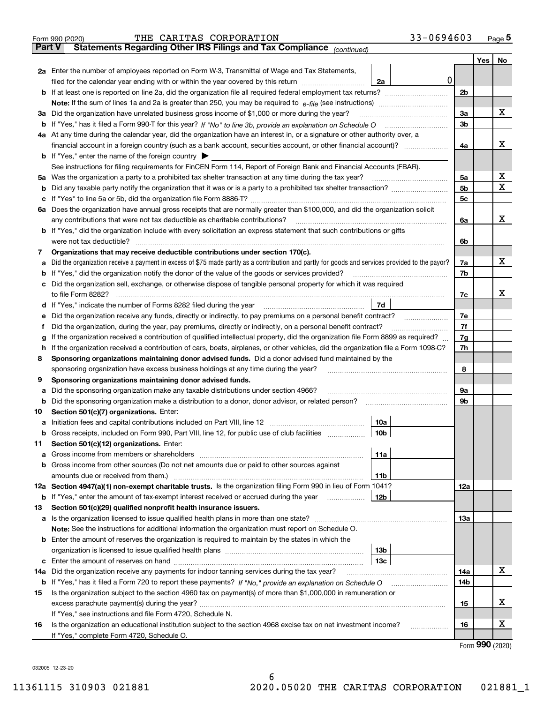|               | $33 - 0694603$<br>THE CARITAS CORPORATION<br>Form 990 (2020)                                                                                    |                | Page <sub>5</sub> |
|---------------|-------------------------------------------------------------------------------------------------------------------------------------------------|----------------|-------------------|
| <b>Part V</b> | Statements Regarding Other IRS Filings and Tax Compliance (continued)                                                                           |                |                   |
|               |                                                                                                                                                 |                | Yes   No          |
|               | 2a Enter the number of employees reported on Form W-3, Transmittal of Wage and Tax Statements,                                                  |                |                   |
|               | 0<br>filed for the calendar year ending with or within the year covered by this return <i>manumumumum</i><br>2a                                 |                |                   |
|               |                                                                                                                                                 | 2 <sub>b</sub> |                   |
|               |                                                                                                                                                 |                |                   |
|               | 3a Did the organization have unrelated business gross income of \$1,000 or more during the year?                                                | 3a             | х                 |
|               |                                                                                                                                                 | 3 <sub>b</sub> |                   |
|               | 4a At any time during the calendar year, did the organization have an interest in, or a signature or other authority over, a                    |                |                   |
|               |                                                                                                                                                 | 4a             | х                 |
|               | <b>b</b> If "Yes," enter the name of the foreign country $\blacktriangleright$                                                                  |                |                   |
|               | See instructions for filing requirements for FinCEN Form 114, Report of Foreign Bank and Financial Accounts (FBAR).                             |                |                   |
| 5а            |                                                                                                                                                 | 5a             | х                 |
| b             |                                                                                                                                                 | 5b             | x                 |
| c             |                                                                                                                                                 | 5c             |                   |
|               | 6a Does the organization have annual gross receipts that are normally greater than \$100,000, and did the organization solicit                  |                |                   |
|               |                                                                                                                                                 | 6a             | х                 |
|               | <b>b</b> If "Yes," did the organization include with every solicitation an express statement that such contributions or gifts                   |                |                   |
|               | were not tax deductible?                                                                                                                        | 6b             |                   |
| 7             | Organizations that may receive deductible contributions under section 170(c).                                                                   |                |                   |
| а             | Did the organization receive a payment in excess of \$75 made partly as a contribution and partly for goods and services provided to the payor? | 7a             | х                 |
|               | <b>b</b> If "Yes," did the organization notify the donor of the value of the goods or services provided?                                        | 7b             |                   |
|               | c Did the organization sell, exchange, or otherwise dispose of tangible personal property for which it was required                             |                |                   |
|               |                                                                                                                                                 | 7c             | x                 |
|               | 7d                                                                                                                                              |                |                   |
| е             | Did the organization receive any funds, directly or indirectly, to pay premiums on a personal benefit contract?                                 | 7e             |                   |
| f             | Did the organization, during the year, pay premiums, directly or indirectly, on a personal benefit contract?                                    | 7f             |                   |
| g             | If the organization received a contribution of qualified intellectual property, did the organization file Form 8899 as required?                | 7g             |                   |
| h.            | If the organization received a contribution of cars, boats, airplanes, or other vehicles, did the organization file a Form 1098-C?              | 7h             |                   |
| 8             | Sponsoring organizations maintaining donor advised funds. Did a donor advised fund maintained by the                                            |                |                   |
|               | sponsoring organization have excess business holdings at any time during the year?                                                              | 8              |                   |
| 9             | Sponsoring organizations maintaining donor advised funds.                                                                                       |                |                   |
| а             | Did the sponsoring organization make any taxable distributions under section 4966?                                                              | 9а             |                   |
| b             | Did the sponsoring organization make a distribution to a donor, donor advisor, or related person?                                               | 9b             |                   |
| 10            | Section 501(c)(7) organizations. Enter:                                                                                                         |                |                   |
|               | 10a                                                                                                                                             |                |                   |
|               | 10b<br>Gross receipts, included on Form 990, Part VIII, line 12, for public use of club facilities                                              |                |                   |
| 11            | Section 501(c)(12) organizations. Enter:                                                                                                        |                |                   |
| a             | Gross income from members or shareholders<br>11a                                                                                                |                |                   |
|               | b Gross income from other sources (Do not net amounts due or paid to other sources against                                                      |                |                   |
|               | 11b                                                                                                                                             |                |                   |
|               | 12a Section 4947(a)(1) non-exempt charitable trusts. Is the organization filing Form 990 in lieu of Form 1041?                                  | 12a            |                   |
|               | 12b<br><b>b</b> If "Yes," enter the amount of tax-exempt interest received or accrued during the year                                           |                |                   |
| 13            | Section 501(c)(29) qualified nonprofit health insurance issuers.                                                                                |                |                   |
|               | a Is the organization licensed to issue qualified health plans in more than one state?                                                          | 13а            |                   |
|               | Note: See the instructions for additional information the organization must report on Schedule O.                                               |                |                   |
|               | <b>b</b> Enter the amount of reserves the organization is required to maintain by the states in which the                                       |                |                   |
|               | 13b                                                                                                                                             |                |                   |
|               | 13 <sub>c</sub>                                                                                                                                 |                |                   |
| 14a           | Did the organization receive any payments for indoor tanning services during the tax year?                                                      | 14a            | x                 |
|               | b If "Yes," has it filed a Form 720 to report these payments? If "No," provide an explanation on Schedule O                                     | 14b            |                   |
| 15            | Is the organization subject to the section 4960 tax on payment(s) of more than \$1,000,000 in remuneration or                                   |                |                   |
|               |                                                                                                                                                 | 15             | X                 |
|               | If "Yes," see instructions and file Form 4720, Schedule N.                                                                                      |                |                   |
| 16            | Is the organization an educational institution subject to the section 4968 excise tax on net investment income?                                 | 16             | х                 |
|               | If "Yes," complete Form 4720, Schedule O.                                                                                                       |                |                   |
|               |                                                                                                                                                 |                | $000 \times 000$  |

|  |  | Form 990 (2020) |
|--|--|-----------------|
|--|--|-----------------|

032005 12-23-20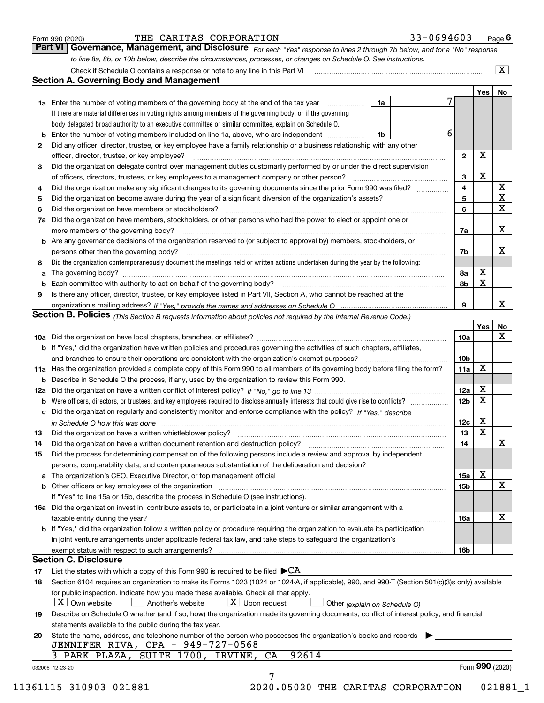|  | Form 990 (2020) |
|--|-----------------|
|  |                 |

# THE CARITAS CORPORATION 33-0694603

*For each "Yes" response to lines 2 through 7b below, and for a "No" response to line 8a, 8b, or 10b below, describe the circumstances, processes, or changes on Schedule O. See instructions.* Form 990 (2020) **Form 990 (2020)** THE CARITAS CORPORATION **1998 1-899 1-899 1-899 1-899 1-899 1-899 1-899 1-899**<br>**Part VI Governance, Management, and Disclosure** *For each "Yes" response to lines 2 through 7b below, and* 

|    |                                                                                                                                                                            |    |   |                 | Yes             | No          |
|----|----------------------------------------------------------------------------------------------------------------------------------------------------------------------------|----|---|-----------------|-----------------|-------------|
|    | <b>1a</b> Enter the number of voting members of the governing body at the end of the tax year                                                                              | 1a | 7 |                 |                 |             |
|    | If there are material differences in voting rights among members of the governing body, or if the governing                                                                |    |   |                 |                 |             |
|    | body delegated broad authority to an executive committee or similar committee, explain on Schedule O.                                                                      |    |   |                 |                 |             |
|    |                                                                                                                                                                            | 1b | 6 |                 |                 |             |
| 2  | Did any officer, director, trustee, or key employee have a family relationship or a business relationship with any other                                                   |    |   |                 |                 |             |
|    | officer, director, trustee, or key employee?                                                                                                                               |    |   | $\mathbf{2}$    | X               |             |
| 3  | Did the organization delegate control over management duties customarily performed by or under the direct supervision                                                      |    |   |                 |                 |             |
|    |                                                                                                                                                                            |    |   | 3               | X               |             |
| 4  | Did the organization make any significant changes to its governing documents since the prior Form 990 was filed?                                                           |    |   | 4               |                 | $\mathbf X$ |
| 5  |                                                                                                                                                                            |    |   | 5               |                 | $\mathbf X$ |
| 6  | Did the organization have members or stockholders?                                                                                                                         |    |   | 6               |                 | X           |
|    | 7a Did the organization have members, stockholders, or other persons who had the power to elect or appoint one or                                                          |    |   |                 |                 |             |
|    |                                                                                                                                                                            |    |   | 7a              |                 | X           |
|    | <b>b</b> Are any governance decisions of the organization reserved to (or subject to approval by) members, stockholders, or                                                |    |   |                 |                 |             |
|    | persons other than the governing body?                                                                                                                                     |    |   | 7b              |                 | X           |
| 8  | Did the organization contemporaneously document the meetings held or written actions undertaken during the year by the following:                                          |    |   |                 |                 |             |
| a  |                                                                                                                                                                            |    |   | 8a              | X               |             |
|    |                                                                                                                                                                            |    |   | 8b              | X               |             |
| 9  | Is there any officer, director, trustee, or key employee listed in Part VII, Section A, who cannot be reached at the                                                       |    |   |                 |                 |             |
|    |                                                                                                                                                                            |    |   | 9               |                 | x           |
|    | Section B. Policies (This Section B requests information about policies not required by the Internal Revenue Code.)                                                        |    |   |                 |                 |             |
|    |                                                                                                                                                                            |    |   |                 | Yes∣            | No          |
|    |                                                                                                                                                                            |    |   | 10a             |                 | X           |
|    | <b>b</b> If "Yes," did the organization have written policies and procedures governing the activities of such chapters, affiliates,                                        |    |   |                 |                 |             |
|    |                                                                                                                                                                            |    |   | 10 <sub>b</sub> |                 |             |
|    | 11a Has the organization provided a complete copy of this Form 990 to all members of its governing body before filing the form?                                            |    |   | 11a             | X               |             |
|    | <b>b</b> Describe in Schedule O the process, if any, used by the organization to review this Form 990.                                                                     |    |   |                 |                 |             |
|    |                                                                                                                                                                            |    |   | 12a             | X               |             |
| b  |                                                                                                                                                                            |    |   | 12b             | X               |             |
|    | c Did the organization regularly and consistently monitor and enforce compliance with the policy? If "Yes," describe                                                       |    |   |                 |                 |             |
|    | in Schedule O how this was done encourance and the control of the control of the control of the control of the                                                             |    |   | 12c             | X               |             |
| 13 |                                                                                                                                                                            |    |   | 13              | X               |             |
| 14 | Did the organization have a written document retention and destruction policy? manufactured and the organization have a written document retention and destruction policy? |    |   | 14              |                 | $\mathbf X$ |
| 15 | Did the process for determining compensation of the following persons include a review and approval by independent                                                         |    |   |                 |                 |             |
|    | persons, comparability data, and contemporaneous substantiation of the deliberation and decision?                                                                          |    |   |                 |                 |             |
|    |                                                                                                                                                                            |    |   | 15a             | X               |             |
|    | <b>b</b> Other officers or key employees of the organization                                                                                                               |    |   | 15 <sub>b</sub> |                 | $\mathbf X$ |
|    | If "Yes" to line 15a or 15b, describe the process in Schedule O (see instructions).                                                                                        |    |   |                 |                 |             |
|    | 16a Did the organization invest in, contribute assets to, or participate in a joint venture or similar arrangement with a                                                  |    |   |                 |                 |             |
|    | taxable entity during the year?                                                                                                                                            |    |   | 16a             |                 | X           |
|    | b If "Yes," did the organization follow a written policy or procedure requiring the organization to evaluate its participation                                             |    |   |                 |                 |             |
|    | in joint venture arrangements under applicable federal tax law, and take steps to safeguard the organization's                                                             |    |   |                 |                 |             |
|    |                                                                                                                                                                            |    |   | 16b             |                 |             |
|    | <b>Section C. Disclosure</b>                                                                                                                                               |    |   |                 |                 |             |
| 17 | List the states with which a copy of this Form 990 is required to be filed $\blacktriangleright$ CA                                                                        |    |   |                 |                 |             |
| 18 | Section 6104 requires an organization to make its Forms 1023 (1024 or 1024-A, if applicable), 990, and 990-T (Section 501(c)(3)s only) available                           |    |   |                 |                 |             |
|    | for public inspection. Indicate how you made these available. Check all that apply.                                                                                        |    |   |                 |                 |             |
|    | $X$ Upon request<br>  X   Own website<br>Another's website<br>Other (explain on Schedule O)                                                                                |    |   |                 |                 |             |
| 19 | Describe on Schedule O whether (and if so, how) the organization made its governing documents, conflict of interest policy, and financial                                  |    |   |                 |                 |             |
|    | statements available to the public during the tax year.                                                                                                                    |    |   |                 |                 |             |
| 20 | State the name, address, and telephone number of the person who possesses the organization's books and records                                                             |    |   |                 |                 |             |
|    | JENNIFER RIVA, CPA - 949-727-0568                                                                                                                                          |    |   |                 |                 |             |
|    | 92614<br>3 PARK PLAZA, SUITE 1700, IRVINE,<br>CA                                                                                                                           |    |   |                 |                 |             |
|    |                                                                                                                                                                            |    |   |                 | Form 990 (2020) |             |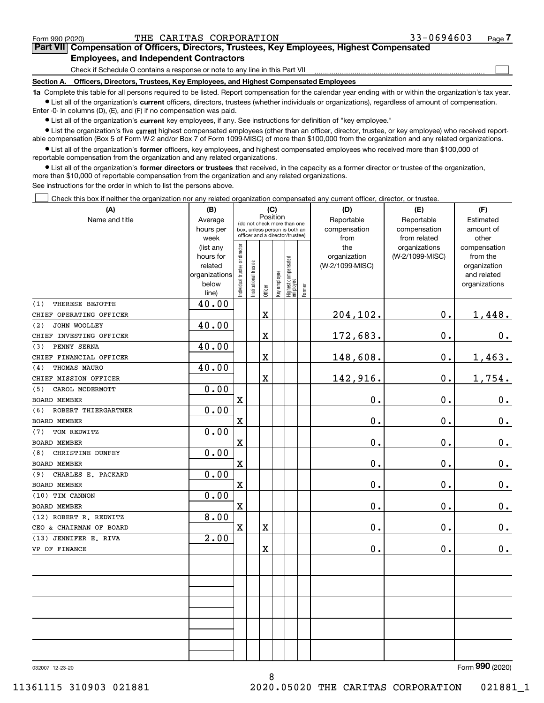$\mathcal{L}^{\text{max}}$ 

| Form 990 (2020) |                                               | THE CARITAS CORPORATION | $33 - 0694603$                                                                             | Page <i>I</i> |
|-----------------|-----------------------------------------------|-------------------------|--------------------------------------------------------------------------------------------|---------------|
|                 |                                               |                         | Part VII Compensation of Officers, Directors, Trustees, Key Employees, Highest Compensated |               |
|                 | <b>Employees, and Independent Contractors</b> |                         |                                                                                            |               |

Check if Schedule O contains a response or note to any line in this Part VII

**Section A. Officers, Directors, Trustees, Key Employees, and Highest Compensated Employees**

**1a**  Complete this table for all persons required to be listed. Report compensation for the calendar year ending with or within the organization's tax year. **•** List all of the organization's current officers, directors, trustees (whether individuals or organizations), regardless of amount of compensation.

Enter -0- in columns (D), (E), and (F) if no compensation was paid.

 $\bullet$  List all of the organization's  $\,$ current key employees, if any. See instructions for definition of "key employee."

**•** List the organization's five current highest compensated employees (other than an officer, director, trustee, or key employee) who received reportable compensation (Box 5 of Form W-2 and/or Box 7 of Form 1099-MISC) of more than \$100,000 from the organization and any related organizations.

**•** List all of the organization's former officers, key employees, and highest compensated employees who received more than \$100,000 of reportable compensation from the organization and any related organizations.

**former directors or trustees**  ¥ List all of the organization's that received, in the capacity as a former director or trustee of the organization, more than \$10,000 of reportable compensation from the organization and any related organizations.

See instructions for the order in which to list the persons above.

Check this box if neither the organization nor any related organization compensated any current officer, director, or trustee.  $\mathcal{L}^{\text{max}}$ 

| (A)                        | (B)                      | (C)                            |                       |                                         |              |                                  |        | (D)             | (E)             | (F)                         |  |  |  |
|----------------------------|--------------------------|--------------------------------|-----------------------|-----------------------------------------|--------------|----------------------------------|--------|-----------------|-----------------|-----------------------------|--|--|--|
| Name and title             | Average                  |                                |                       | Position<br>(do not check more than one |              |                                  |        | Reportable      | Reportable      | Estimated                   |  |  |  |
|                            | hours per                |                                |                       | box, unless person is both an           |              |                                  |        | compensation    | compensation    | amount of                   |  |  |  |
|                            | week                     |                                |                       | officer and a director/trustee)         |              |                                  |        | from            | from related    | other                       |  |  |  |
|                            | (list any                |                                |                       |                                         |              |                                  |        | the             | organizations   | compensation                |  |  |  |
|                            | hours for                |                                |                       |                                         |              |                                  |        | organization    | (W-2/1099-MISC) | from the                    |  |  |  |
|                            | related<br>organizations |                                |                       |                                         |              |                                  |        | (W-2/1099-MISC) |                 | organization<br>and related |  |  |  |
|                            | below                    |                                |                       |                                         |              |                                  |        |                 |                 | organizations               |  |  |  |
|                            | line)                    | Individual trustee or director | Institutional trustee | Officer                                 | Key employee | Highest compensated<br> employee | Former |                 |                 |                             |  |  |  |
| THERESE BEJOTTE<br>(1)     | 40.00                    |                                |                       |                                         |              |                                  |        |                 |                 |                             |  |  |  |
| CHIEF OPERATING OFFICER    |                          |                                |                       | X                                       |              |                                  |        | 204, 102.       | 0.              | 1,448.                      |  |  |  |
| (2)<br>JOHN WOOLLEY        | 40.00                    |                                |                       |                                         |              |                                  |        |                 |                 |                             |  |  |  |
| CHIEF INVESTING OFFICER    |                          |                                |                       | Χ                                       |              |                                  |        | 172,683.        | 0.              | 0.                          |  |  |  |
| PENNY SERNA<br>(3)         | 40.00                    |                                |                       |                                         |              |                                  |        |                 |                 |                             |  |  |  |
| CHIEF FINANCIAL OFFICER    |                          |                                |                       | X                                       |              |                                  |        | 148,608.        | 0.              | 1,463.                      |  |  |  |
| THOMAS MAURO<br>(4)        | 40.00                    |                                |                       |                                         |              |                                  |        |                 |                 |                             |  |  |  |
| CHIEF MISSION OFFICER      |                          |                                |                       | X                                       |              |                                  |        | 142,916.        | 0.              | 1,754.                      |  |  |  |
| CAROL MCDERMOTT<br>(5)     | 0.00                     |                                |                       |                                         |              |                                  |        |                 |                 |                             |  |  |  |
| <b>BOARD MEMBER</b>        |                          | $\mathbf X$                    |                       |                                         |              |                                  |        | $0$ .           | $0$ .           | $\mathbf 0$ .               |  |  |  |
| ROBERT THIERGARTNER<br>(6) | 0.00                     |                                |                       |                                         |              |                                  |        |                 |                 |                             |  |  |  |
| BOARD MEMBER               |                          | $\mathbf X$                    |                       |                                         |              |                                  |        | 0.              | 0.              | 0.                          |  |  |  |
| TOM REDWITZ<br>(7)         | 0.00                     |                                |                       |                                         |              |                                  |        |                 |                 |                             |  |  |  |
| <b>BOARD MEMBER</b>        |                          | $\mathbf X$                    |                       |                                         |              |                                  |        | $\mathbf 0$ .   | 0.              | $\mathbf 0$ .               |  |  |  |
| CHRISTINE DUNFEY<br>(8)    | 0.00                     |                                |                       |                                         |              |                                  |        |                 |                 |                             |  |  |  |
| <b>BOARD MEMBER</b>        |                          | $\mathbf X$                    |                       |                                         |              |                                  |        | 0.              | 0.              | 0.                          |  |  |  |
| CHARLES E. PACKARD<br>(9)  | 0.00                     |                                |                       |                                         |              |                                  |        |                 |                 |                             |  |  |  |
| <b>BOARD MEMBER</b>        |                          | $\mathbf X$                    |                       |                                         |              |                                  |        | 0.              | 0.              | $\mathbf 0$ .               |  |  |  |
| (10) TIM CANNON            | 0.00                     |                                |                       |                                         |              |                                  |        |                 |                 |                             |  |  |  |
| BOARD MEMBER               |                          | $\overline{\mathbf{X}}$        |                       |                                         |              |                                  |        | 0.              | 0.              | 0.                          |  |  |  |
| (12) ROBERT R. REDWITZ     | 8.00                     |                                |                       |                                         |              |                                  |        |                 |                 |                             |  |  |  |
| CEO & CHAIRMAN OF BOARD    |                          | $\mathbf X$                    |                       | X                                       |              |                                  |        | $0$ .           | 0.              | 0.                          |  |  |  |
| (13) JENNIFER E. RIVA      | 2.00                     |                                |                       |                                         |              |                                  |        |                 |                 |                             |  |  |  |
| VP OF FINANCE              |                          |                                |                       | $\overline{\textbf{X}}$                 |              |                                  |        | 0.              | 0.              | 0.                          |  |  |  |
|                            |                          |                                |                       |                                         |              |                                  |        |                 |                 |                             |  |  |  |
|                            |                          |                                |                       |                                         |              |                                  |        |                 |                 |                             |  |  |  |
|                            |                          |                                |                       |                                         |              |                                  |        |                 |                 |                             |  |  |  |
|                            |                          |                                |                       |                                         |              |                                  |        |                 |                 |                             |  |  |  |
|                            |                          |                                |                       |                                         |              |                                  |        |                 |                 |                             |  |  |  |
|                            |                          |                                |                       |                                         |              |                                  |        |                 |                 |                             |  |  |  |
|                            |                          |                                |                       |                                         |              |                                  |        |                 |                 |                             |  |  |  |
|                            |                          |                                |                       |                                         |              |                                  |        |                 |                 |                             |  |  |  |
|                            |                          |                                |                       |                                         |              |                                  |        |                 |                 |                             |  |  |  |
|                            |                          |                                |                       |                                         |              |                                  |        |                 |                 | $\overline{2}$              |  |  |  |

8

032007 12-23-20

Form (2020) **990**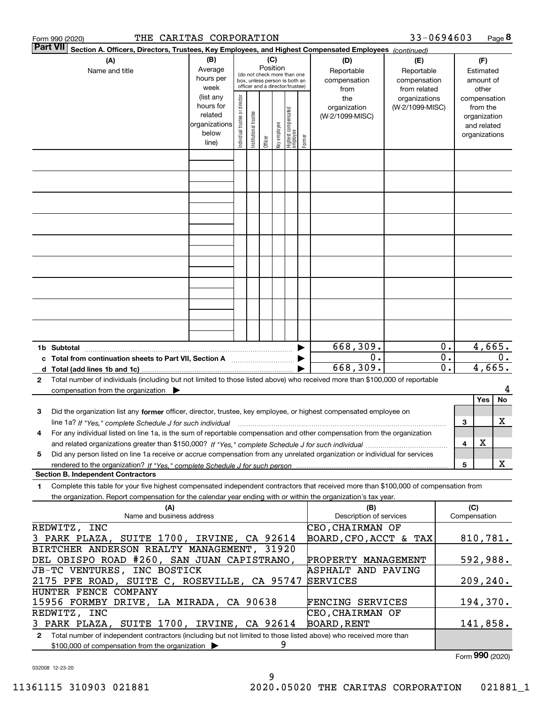|                                                             | THE CARITAS CORPORATION<br>Form 990 (2020)                                                                                                          |               |                                |                       |          |              |                                                              |        |                           | 33-0694603      |                  |              |               | Page 8    |
|-------------------------------------------------------------|-----------------------------------------------------------------------------------------------------------------------------------------------------|---------------|--------------------------------|-----------------------|----------|--------------|--------------------------------------------------------------|--------|---------------------------|-----------------|------------------|--------------|---------------|-----------|
| <b>Part VII</b>                                             | Section A. Officers, Directors, Trustees, Key Employees, and Highest Compensated Employees (continued)                                              |               |                                |                       |          |              |                                                              |        |                           |                 |                  |              |               |           |
|                                                             | (A)                                                                                                                                                 | (B)           |                                |                       | (C)      |              |                                                              |        | (D)                       | (E)             |                  |              | (F)           |           |
|                                                             | Name and title                                                                                                                                      | Average       |                                |                       | Position |              |                                                              |        | Reportable                | Reportable      |                  |              | Estimated     |           |
|                                                             |                                                                                                                                                     | hours per     |                                |                       |          |              | (do not check more than one<br>box, unless person is both an |        | compensation              | compensation    |                  |              | amount of     |           |
|                                                             |                                                                                                                                                     | week          |                                |                       |          |              | officer and a director/trustee)                              |        | from                      | from related    |                  |              | other         |           |
|                                                             |                                                                                                                                                     | (list any     |                                |                       |          |              |                                                              |        | the                       | organizations   |                  |              | compensation  |           |
|                                                             |                                                                                                                                                     | hours for     |                                |                       |          |              |                                                              |        | organization              | (W-2/1099-MISC) |                  |              | from the      |           |
|                                                             |                                                                                                                                                     | related       |                                |                       |          |              |                                                              |        | (W-2/1099-MISC)           |                 |                  |              | organization  |           |
|                                                             |                                                                                                                                                     | organizations |                                |                       |          |              |                                                              |        |                           |                 |                  |              | and related   |           |
|                                                             |                                                                                                                                                     | below         |                                |                       |          |              |                                                              |        |                           |                 |                  |              | organizations |           |
|                                                             |                                                                                                                                                     | line)         | Individual trustee or director | Institutional trustee | Officer  | key employee | Highest compensated<br> employee                             | Former |                           |                 |                  |              |               |           |
|                                                             |                                                                                                                                                     |               |                                |                       |          |              |                                                              |        |                           |                 |                  |              |               |           |
|                                                             |                                                                                                                                                     |               |                                |                       |          |              |                                                              |        |                           |                 |                  |              |               |           |
|                                                             |                                                                                                                                                     |               |                                |                       |          |              |                                                              |        |                           |                 |                  |              |               |           |
|                                                             |                                                                                                                                                     |               |                                |                       |          |              |                                                              |        |                           |                 |                  |              |               |           |
|                                                             |                                                                                                                                                     |               |                                |                       |          |              |                                                              |        |                           |                 |                  |              |               |           |
|                                                             |                                                                                                                                                     |               |                                |                       |          |              |                                                              |        |                           |                 |                  |              |               |           |
|                                                             |                                                                                                                                                     |               |                                |                       |          |              |                                                              |        |                           |                 |                  |              |               |           |
|                                                             |                                                                                                                                                     |               |                                |                       |          |              |                                                              |        |                           |                 |                  |              |               |           |
|                                                             |                                                                                                                                                     |               |                                |                       |          |              |                                                              |        |                           |                 |                  |              |               |           |
|                                                             |                                                                                                                                                     |               |                                |                       |          |              |                                                              |        |                           |                 |                  |              |               |           |
|                                                             |                                                                                                                                                     |               |                                |                       |          |              |                                                              |        |                           |                 |                  |              |               |           |
|                                                             |                                                                                                                                                     |               |                                |                       |          |              |                                                              |        |                           |                 |                  |              |               |           |
|                                                             |                                                                                                                                                     |               |                                |                       |          |              |                                                              |        |                           |                 |                  |              |               |           |
|                                                             |                                                                                                                                                     |               |                                |                       |          |              |                                                              |        |                           |                 |                  |              |               |           |
|                                                             |                                                                                                                                                     |               |                                |                       |          |              |                                                              |        |                           |                 |                  |              |               |           |
|                                                             |                                                                                                                                                     |               |                                |                       |          |              |                                                              |        |                           |                 |                  |              |               |           |
|                                                             |                                                                                                                                                     |               |                                |                       |          |              |                                                              |        |                           |                 |                  |              |               |           |
|                                                             |                                                                                                                                                     |               |                                |                       |          |              |                                                              |        |                           |                 |                  |              |               |           |
|                                                             |                                                                                                                                                     |               |                                |                       |          |              |                                                              |        |                           |                 |                  |              |               |           |
|                                                             |                                                                                                                                                     |               |                                |                       |          |              |                                                              |        |                           |                 |                  |              |               |           |
|                                                             | 1b Subtotal                                                                                                                                         |               |                                |                       |          |              |                                                              |        | 668,309.                  |                 | 0.               |              |               | 4,665.    |
|                                                             | c Total from continuation sheets to Part VII, Section A manufactured by                                                                             |               |                                |                       |          |              |                                                              |        | 0.                        |                 | $\overline{0}$ . |              |               | $0$ .     |
|                                                             |                                                                                                                                                     |               |                                |                       |          |              |                                                              |        | 668,309.                  |                 | 0.               |              | 4,665.        |           |
| 2                                                           | Total number of individuals (including but not limited to those listed above) who received more than \$100,000 of reportable                        |               |                                |                       |          |              |                                                              |        |                           |                 |                  |              |               |           |
|                                                             | compensation from the organization                                                                                                                  |               |                                |                       |          |              |                                                              |        |                           |                 |                  |              |               | 4         |
|                                                             |                                                                                                                                                     |               |                                |                       |          |              |                                                              |        |                           |                 |                  |              | Yes           | No        |
| 3                                                           |                                                                                                                                                     |               |                                |                       |          |              |                                                              |        |                           |                 |                  |              |               |           |
|                                                             | Did the organization list any former officer, director, trustee, key employee, or highest compensated employee on                                   |               |                                |                       |          |              |                                                              |        |                           |                 |                  |              |               |           |
|                                                             | line 1a? If "Yes," complete Schedule J for such individual manumanamental communities and the 1a? If "Yes," complete Schedule J for such individual |               |                                |                       |          |              |                                                              |        |                           |                 |                  | 3            |               | х         |
|                                                             | For any individual listed on line 1a, is the sum of reportable compensation and other compensation from the organization                            |               |                                |                       |          |              |                                                              |        |                           |                 |                  |              |               |           |
|                                                             |                                                                                                                                                     |               |                                |                       |          |              |                                                              |        |                           |                 |                  | 4            | X             |           |
| 5                                                           | Did any person listed on line 1a receive or accrue compensation from any unrelated organization or individual for services                          |               |                                |                       |          |              |                                                              |        |                           |                 |                  |              |               |           |
|                                                             | rendered to the organization? If "Yes." complete Schedule J for such person                                                                         |               |                                |                       |          |              |                                                              |        |                           |                 |                  | 5            |               | X         |
|                                                             | <b>Section B. Independent Contractors</b>                                                                                                           |               |                                |                       |          |              |                                                              |        |                           |                 |                  |              |               |           |
| 1.                                                          | Complete this table for your five highest compensated independent contractors that received more than \$100,000 of compensation from                |               |                                |                       |          |              |                                                              |        |                           |                 |                  |              |               |           |
|                                                             | the organization. Report compensation for the calendar year ending with or within the organization's tax year.                                      |               |                                |                       |          |              |                                                              |        |                           |                 |                  |              |               |           |
|                                                             | (A)                                                                                                                                                 |               |                                |                       |          |              |                                                              |        | (B)                       |                 |                  | (C)          |               |           |
|                                                             | Name and business address                                                                                                                           |               |                                |                       |          |              |                                                              |        | Description of services   |                 |                  | Compensation |               |           |
|                                                             | REDWITZ, INC                                                                                                                                        |               |                                |                       |          |              |                                                              |        | CEO,CHAIRMAN OF           |                 |                  |              |               |           |
|                                                             | 3 PARK PLAZA, SUITE 1700, IRVINE, CA 92614                                                                                                          |               |                                |                       |          |              |                                                              |        | BOARD, CFO, ACCT & TAX    |                 |                  |              | 810,781.      |           |
|                                                             |                                                                                                                                                     |               |                                |                       |          |              |                                                              |        |                           |                 |                  |              |               |           |
|                                                             | BIRTCHER ANDERSON REALTY MANAGEMENT, 31920                                                                                                          |               |                                |                       |          |              |                                                              |        |                           |                 |                  |              |               |           |
|                                                             | DEL OBISPO ROAD #260, SAN JUAN CAPISTRANO,                                                                                                          |               |                                |                       |          |              |                                                              |        | PROPERTY MANAGEMENT       |                 |                  |              | 592,988.      |           |
|                                                             | JB-TC VENTURES, INC BOSTICK                                                                                                                         |               |                                |                       |          |              |                                                              |        | <b>ASPHALT AND PAVING</b> |                 |                  |              |               |           |
|                                                             | 2175 PFE ROAD, SUITE C, ROSEVILLE, CA 95747                                                                                                         |               |                                |                       |          |              |                                                              |        | SERVICES                  |                 |                  |              | 209, 240.     |           |
|                                                             | HUNTER FENCE COMPANY                                                                                                                                |               |                                |                       |          |              |                                                              |        |                           |                 |                  |              |               |           |
| FENCING SERVICES<br>15956 FORMBY DRIVE, LA MIRADA, CA 90638 |                                                                                                                                                     |               |                                |                       |          |              |                                                              |        |                           | 194,370.        |                  |              |               |           |
|                                                             | REDWITZ, INC                                                                                                                                        |               |                                |                       |          |              |                                                              |        | <b>CEO, CHAIRMAN OF</b>   |                 |                  |              |               |           |
|                                                             | 3 PARK PLAZA, SUITE 1700, IRVINE, CA 92614                                                                                                          |               |                                |                       |          |              |                                                              |        | BOARD, RENT               |                 |                  |              | 141,858.      |           |
|                                                             |                                                                                                                                                     |               |                                |                       |          |              |                                                              |        |                           |                 |                  |              |               |           |
| $\mathbf{2}$                                                | Total number of independent contractors (including but not limited to those listed above) who received more than                                    |               |                                |                       |          |              |                                                              |        |                           |                 |                  |              |               |           |
|                                                             | \$100,000 of compensation from the organization                                                                                                     |               |                                |                       |          | 9            |                                                              |        |                           |                 |                  |              |               | $QQ$ $QQ$ |

9

032008 12-23-20

Form (2020) **990**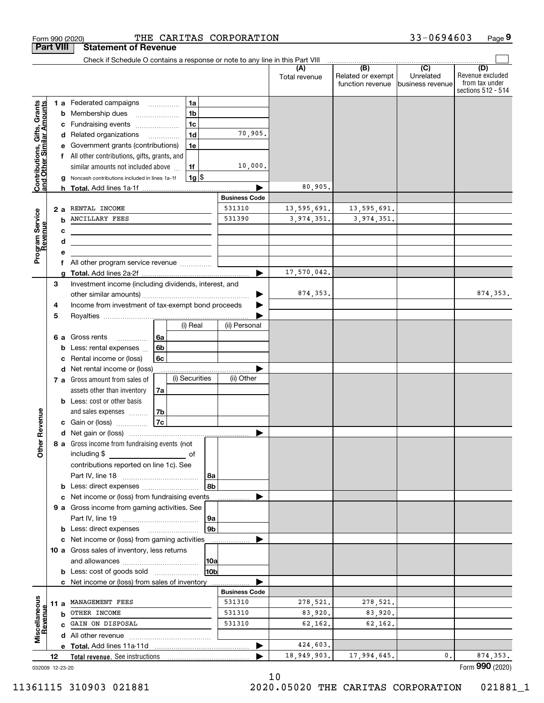|                                                           | <b>Part VIII</b> |                 | <b>Statement of Revenue</b>                                                   |                |                    |      |                      |                      |                                              |                                                 |                                                                 |
|-----------------------------------------------------------|------------------|-----------------|-------------------------------------------------------------------------------|----------------|--------------------|------|----------------------|----------------------|----------------------------------------------|-------------------------------------------------|-----------------------------------------------------------------|
|                                                           |                  |                 | Check if Schedule O contains a response or note to any line in this Part VIII |                |                    |      |                      |                      |                                              |                                                 |                                                                 |
|                                                           |                  |                 |                                                                               |                |                    |      |                      | (A)<br>Total revenue | (B)<br>Related or exempt<br>function revenue | $\overline{C}$<br>Unrelated<br>business revenue | (D)<br>Revenue excluded<br>from tax under<br>sections 512 - 514 |
|                                                           |                  |                 | 1 a Federated campaigns                                                       |                | 1a                 |      |                      |                      |                                              |                                                 |                                                                 |
|                                                           |                  | b               | Membership dues                                                               |                | 1 <sub>b</sub>     |      |                      |                      |                                              |                                                 |                                                                 |
|                                                           |                  | c               | Fundraising events                                                            |                | 1 <sub>c</sub>     |      |                      |                      |                                              |                                                 |                                                                 |
|                                                           |                  |                 | d Related organizations                                                       | .              | 1 <sub>d</sub>     |      | 70,905.              |                      |                                              |                                                 |                                                                 |
|                                                           |                  |                 | Government grants (contributions)                                             |                | 1e                 |      |                      |                      |                                              |                                                 |                                                                 |
|                                                           |                  |                 | All other contributions, gifts, grants, and                                   |                |                    |      |                      |                      |                                              |                                                 |                                                                 |
|                                                           |                  |                 | similar amounts not included above                                            |                | 1f                 |      | 10,000.              |                      |                                              |                                                 |                                                                 |
| Contributions, Gifts, Grants<br>and Other Similar Amounts |                  | g               | Noncash contributions included in lines 1a-1f                                 |                | $1g$ $\frac{1}{3}$ |      |                      |                      |                                              |                                                 |                                                                 |
|                                                           |                  | h.              |                                                                               |                |                    |      |                      | 80,905.              |                                              |                                                 |                                                                 |
|                                                           |                  |                 |                                                                               |                |                    |      | <b>Business Code</b> |                      |                                              |                                                 |                                                                 |
|                                                           |                  | 2 a             | RENTAL INCOME                                                                 |                |                    |      | 531310               | 13,595,691.          | 13,595,691.                                  |                                                 |                                                                 |
| Program Service<br>Revenue                                |                  | b               | ANCILLARY FEES                                                                |                |                    |      | 531390               | 3,974,351.           | 3,974,351.                                   |                                                 |                                                                 |
|                                                           |                  | c               |                                                                               |                |                    |      |                      |                      |                                              |                                                 |                                                                 |
|                                                           |                  | d               |                                                                               |                |                    |      |                      |                      |                                              |                                                 |                                                                 |
|                                                           |                  | е               |                                                                               |                |                    |      |                      |                      |                                              |                                                 |                                                                 |
|                                                           |                  |                 | All other program service revenue                                             |                |                    |      |                      | 17,570,042.          |                                              |                                                 |                                                                 |
|                                                           | 3                |                 | Investment income (including dividends, interest, and                         |                |                    |      |                      |                      |                                              |                                                 |                                                                 |
|                                                           |                  |                 |                                                                               |                |                    |      |                      | 874, 353.            |                                              |                                                 | 874, 353.                                                       |
|                                                           | 4                |                 | Income from investment of tax-exempt bond proceeds                            |                |                    |      |                      |                      |                                              |                                                 |                                                                 |
|                                                           | 5                |                 |                                                                               |                |                    |      |                      |                      |                                              |                                                 |                                                                 |
|                                                           |                  |                 |                                                                               |                | (i) Real           |      | (ii) Personal        |                      |                                              |                                                 |                                                                 |
|                                                           |                  | 6а              | Gross rents<br>.                                                              | 6a             |                    |      |                      |                      |                                              |                                                 |                                                                 |
|                                                           |                  |                 | Less: rental expenses                                                         | 6 <sub>b</sub> |                    |      |                      |                      |                                              |                                                 |                                                                 |
|                                                           |                  | с               | Rental income or (loss)                                                       | 6c             |                    |      |                      |                      |                                              |                                                 |                                                                 |
|                                                           |                  |                 | d Net rental income or (loss)                                                 |                |                    |      |                      |                      |                                              |                                                 |                                                                 |
|                                                           |                  |                 | 7 a Gross amount from sales of                                                |                | (i) Securities     |      | (ii) Other           |                      |                                              |                                                 |                                                                 |
|                                                           |                  |                 | assets other than inventory                                                   | 7a             |                    |      |                      |                      |                                              |                                                 |                                                                 |
|                                                           |                  |                 | <b>b</b> Less: cost or other basis                                            |                |                    |      |                      |                      |                                              |                                                 |                                                                 |
| evenue                                                    |                  |                 | and sales expenses                                                            | 7b             |                    |      |                      |                      |                                              |                                                 |                                                                 |
|                                                           |                  |                 | c Gain or (loss)                                                              | 7c             |                    |      |                      |                      |                                              |                                                 |                                                                 |
| œ                                                         |                  |                 |                                                                               |                |                    |      |                      |                      |                                              |                                                 |                                                                 |
| <b>Other</b>                                              |                  |                 | 8 a Gross income from fundraising events (not                                 |                |                    |      |                      |                      |                                              |                                                 |                                                                 |
|                                                           |                  |                 | including \$<br>contributions reported on line 1c). See                       |                | оf                 |      |                      |                      |                                              |                                                 |                                                                 |
|                                                           |                  |                 |                                                                               |                |                    | 8a   |                      |                      |                                              |                                                 |                                                                 |
|                                                           |                  |                 | <b>b</b> Less: direct expenses <i>manually contained</i>                      |                |                    | 8b   |                      |                      |                                              |                                                 |                                                                 |
|                                                           |                  |                 | c Net income or (loss) from fundraising events                                |                |                    |      |                      |                      |                                              |                                                 |                                                                 |
|                                                           |                  |                 | 9 a Gross income from gaming activities. See                                  |                |                    |      |                      |                      |                                              |                                                 |                                                                 |
|                                                           |                  |                 |                                                                               |                |                    | 9a   |                      |                      |                                              |                                                 |                                                                 |
|                                                           |                  |                 | <b>b</b> Less: direct expenses <b>manually</b>                                |                |                    | 9b   |                      |                      |                                              |                                                 |                                                                 |
|                                                           |                  |                 | c Net income or (loss) from gaming activities                                 |                |                    |      |                      |                      |                                              |                                                 |                                                                 |
|                                                           |                  |                 | 10 a Gross sales of inventory, less returns                                   |                |                    |      |                      |                      |                                              |                                                 |                                                                 |
|                                                           |                  |                 |                                                                               |                |                    | 10a  |                      |                      |                                              |                                                 |                                                                 |
|                                                           |                  |                 | <b>b</b> Less: cost of goods sold                                             |                |                    | 10bl |                      |                      |                                              |                                                 |                                                                 |
|                                                           |                  |                 | c Net income or (loss) from sales of inventory                                |                |                    |      |                      |                      |                                              |                                                 |                                                                 |
|                                                           |                  |                 |                                                                               |                |                    |      | <b>Business Code</b> |                      |                                              |                                                 |                                                                 |
| Miscellaneous<br>Revenue                                  |                  |                 | 11 a MANAGEMENT FEES                                                          |                |                    |      | 531310               | 278,521.             | 278,521.                                     |                                                 |                                                                 |
|                                                           |                  | b               | OTHER INCOME                                                                  |                |                    |      | 531310               | 83,920.              | 83,920.                                      |                                                 |                                                                 |
|                                                           |                  |                 | GAIN ON DISPOSAL                                                              |                |                    |      | 531310               | 62,162.              | 62,162.                                      |                                                 |                                                                 |
|                                                           |                  |                 |                                                                               |                |                    |      |                      |                      |                                              |                                                 |                                                                 |
|                                                           |                  |                 |                                                                               |                |                    |      |                      | 424,603.             |                                              | 0.                                              |                                                                 |
|                                                           | 12               | 032009 12-23-20 |                                                                               |                |                    |      |                      | 18,949,903.          | 17,994,645.                                  |                                                 | 874, 353.<br>Form 990 (2020)                                    |

10

Form 990 (2020) Page THE CARITAS CORPORATION

**9** 33-0694603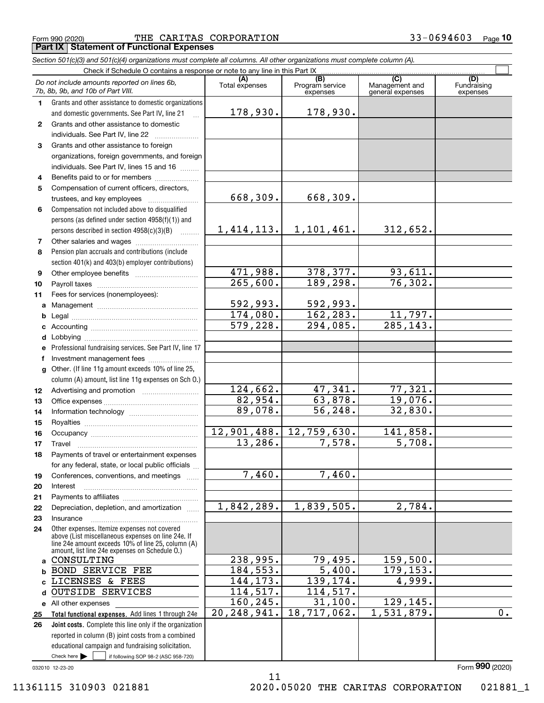Form 990 (2020) Page THE CARITAS CORPORATION 33-0694603 **Part IX Statement of Functional Expenses**

|              | Section 501(c)(3) and 501(c)(4) organizations must complete all columns. All other organizations must complete column (A).                                                                                 |                        |                                    |                                           |                                |
|--------------|------------------------------------------------------------------------------------------------------------------------------------------------------------------------------------------------------------|------------------------|------------------------------------|-------------------------------------------|--------------------------------|
|              | Check if Schedule O contains a response or note to any line in this Part IX                                                                                                                                |                        |                                    |                                           |                                |
|              | Do not include amounts reported on lines 6b,<br>7b, 8b, 9b, and 10b of Part VIII.                                                                                                                          | (A)<br>Total expenses  | (B)<br>Program service<br>expenses | (C)<br>Management and<br>general expenses | (D)<br>Fundraising<br>expenses |
| 1.           | Grants and other assistance to domestic organizations                                                                                                                                                      |                        |                                    |                                           |                                |
|              | and domestic governments. See Part IV, line 21                                                                                                                                                             | 178,930.               | 178,930.                           |                                           |                                |
| $\mathbf{2}$ | Grants and other assistance to domestic                                                                                                                                                                    |                        |                                    |                                           |                                |
|              | individuals. See Part IV, line 22                                                                                                                                                                          |                        |                                    |                                           |                                |
| 3            | Grants and other assistance to foreign                                                                                                                                                                     |                        |                                    |                                           |                                |
|              | organizations, foreign governments, and foreign                                                                                                                                                            |                        |                                    |                                           |                                |
|              | individuals. See Part IV, lines 15 and 16                                                                                                                                                                  |                        |                                    |                                           |                                |
| 4            | Benefits paid to or for members                                                                                                                                                                            |                        |                                    |                                           |                                |
| 5            | Compensation of current officers, directors,                                                                                                                                                               |                        |                                    |                                           |                                |
|              | trustees, and key employees                                                                                                                                                                                | 668,309.               | 668,309.                           |                                           |                                |
| 6            | Compensation not included above to disqualified                                                                                                                                                            |                        |                                    |                                           |                                |
|              | persons (as defined under section 4958(f)(1)) and                                                                                                                                                          |                        |                                    |                                           |                                |
|              | persons described in section 4958(c)(3)(B)                                                                                                                                                                 | 1,414,113.             | 1,101,461.                         | 312,652.                                  |                                |
| 7            | Other salaries and wages                                                                                                                                                                                   |                        |                                    |                                           |                                |
| 8            | Pension plan accruals and contributions (include                                                                                                                                                           |                        |                                    |                                           |                                |
|              | section 401(k) and 403(b) employer contributions)                                                                                                                                                          |                        |                                    |                                           |                                |
| 9            |                                                                                                                                                                                                            | 471,988.               | 378, 377.                          | 93,611.                                   |                                |
| 10           |                                                                                                                                                                                                            | 265,600.               | 189, 298.                          | 76, 302.                                  |                                |
| 11           | Fees for services (nonemployees):                                                                                                                                                                          |                        |                                    |                                           |                                |
| a            |                                                                                                                                                                                                            | 592,993.               | 592,993.                           |                                           |                                |
| b            |                                                                                                                                                                                                            | 174,080.               | 162, 283.                          | 11,797.                                   |                                |
| c            |                                                                                                                                                                                                            | $\overline{579,228}$ . | 294,085.                           | 285, 143.                                 |                                |
| d            |                                                                                                                                                                                                            |                        |                                    |                                           |                                |
| e            | Professional fundraising services. See Part IV, line 17                                                                                                                                                    |                        |                                    |                                           |                                |
| f            | Investment management fees                                                                                                                                                                                 |                        |                                    |                                           |                                |
| $\mathbf{q}$ | Other. (If line 11g amount exceeds 10% of line 25,                                                                                                                                                         |                        |                                    |                                           |                                |
|              | column (A) amount, list line 11g expenses on Sch O.)                                                                                                                                                       |                        |                                    |                                           |                                |
| 12           |                                                                                                                                                                                                            | 124,662.               | 47,341.                            | 77,321.                                   |                                |
| 13           |                                                                                                                                                                                                            | 82,954.                | 63,878.                            | 19,076.                                   |                                |
| 14           |                                                                                                                                                                                                            | 89,078.                | 56, 248.                           | 32,830.                                   |                                |
| 15           |                                                                                                                                                                                                            |                        |                                    |                                           |                                |
| 16           |                                                                                                                                                                                                            | 12,901,488.            | 12,759,630.                        | 141,858.                                  |                                |
| 17           |                                                                                                                                                                                                            | 13,286.                | 7,578.                             | $\overline{5,708}$ .                      |                                |
| 18           | Payments of travel or entertainment expenses                                                                                                                                                               |                        |                                    |                                           |                                |
|              | for any federal, state, or local public officials                                                                                                                                                          |                        |                                    |                                           |                                |
| 19           | Conferences, conventions, and meetings                                                                                                                                                                     | 7,460.                 | 7,460.                             |                                           |                                |
| 20           | Interest                                                                                                                                                                                                   |                        |                                    |                                           |                                |
| 21           |                                                                                                                                                                                                            | 1,842,289.             |                                    |                                           |                                |
| 22           | Depreciation, depletion, and amortization                                                                                                                                                                  |                        | 1,839,505.                         | 2,784.                                    |                                |
| 23           | Insurance                                                                                                                                                                                                  |                        |                                    |                                           |                                |
| 24           | Other expenses. Itemize expenses not covered<br>above (List miscellaneous expenses on line 24e. If<br>line 24e amount exceeds 10% of line 25, column (A)<br>amount, list line 24e expenses on Schedule 0.) |                        |                                    |                                           |                                |
| a            | CONSULTING                                                                                                                                                                                                 | 238,995.               | 79,495.                            | 159,500.                                  |                                |
| b            | <b>BOND SERVICE FEE</b>                                                                                                                                                                                    | 184, 553.              | 5,400.                             | 179, 153.                                 |                                |
| C            | LICENSES & FEES                                                                                                                                                                                            | 144, 173.              | 139, 174.                          | 4,999.                                    |                                |
| d            | <b>OUTSIDE SERVICES</b>                                                                                                                                                                                    | 114, 517.              | 114, 517.                          |                                           |                                |
|              | e All other expenses                                                                                                                                                                                       | 160, 245.              | 31,100.                            | 129,145.                                  |                                |
| 25           | Total functional expenses. Add lines 1 through 24e                                                                                                                                                         | 20, 248, 941.          | 18,717,062.                        | 1,531,879.                                | $0$ .                          |
| 26           | Joint costs. Complete this line only if the organization                                                                                                                                                   |                        |                                    |                                           |                                |
|              | reported in column (B) joint costs from a combined                                                                                                                                                         |                        |                                    |                                           |                                |
|              | educational campaign and fundraising solicitation.                                                                                                                                                         |                        |                                    |                                           |                                |
|              | Check here $\blacktriangleright$<br>if following SOP 98-2 (ASC 958-720)                                                                                                                                    |                        |                                    |                                           |                                |

11

032010 12-23-20

Form (2020) **990**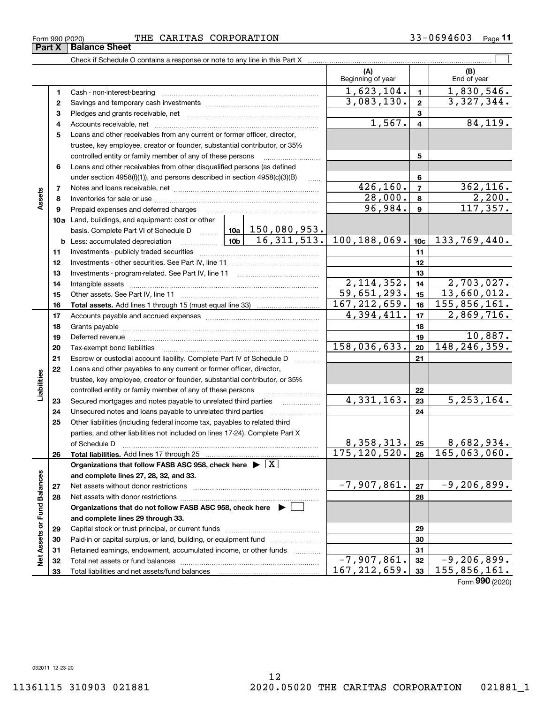Form 990 (2020) Page THE CARITAS CORPORATION 33-0694603 **Part X** Balance Sheet

Check if Schedule O contains a response or note to any line in this Part X

**(A) (B)** Beginning of year | | End of year  $1,623,104.$  1,830,546. **11**Cash - non-interest-bearing ~~~~~~~~~~~~~~~~~~~~~~~~~  $3,083,130.$  2 3,327,344. **22**Savings and temporary cash investments ~~~~~~~~~~~~~~~~~~**33** Pledges and grants receivable, net  $\ldots$  **multimes contained and grants receivable**, net **multimes contained and grants receivable**, net **multimes contained and grants receivable** 1,567. 4 84,119. Accounts receivable, net ~~~~~~~~~~~~~~~~~~~~~~~~~~ **445**Loans and other receivables from any current or former officer, director, trustee, key employee, creator or founder, substantial contributor, or 35% controlled entity or family member of any of these persons ~~~~~~~~~ **5**Loans and other receivables from other disqualified persons (as defined **6**under section  $4958(f)(1)$ , and persons described in section  $4958(c)(3)(B)$ **6** $426, 160. |7| 362, 116.$ **77**Notes and loans receivable, net ~~~~~~~~~~~~~~~~~~~~~~~**Assets**  $28,000.$  8  $2,200.$ **88**Inventories for sale or use ~~~~~~~~~~~~~~~~~~~~~~~~~~  $96,984.$   $9$   $117,357.$ **99**Prepaid expenses and deferred charges ~~~~~~~~~~~~~~~~~~ **10a**Land, buildings, and equipment: cost or other basis. Complete Part VI of Schedule D ............ | 10a <sup>|</sup> 150 **,** 080 **,** 953 **.** 16,311,513. | 100,188,069. | <sub>10c</sub> | 133,769,440. **10cb** Less: accumulated depreciation  $\ldots$  **10b 1111**Investments - publicly traded securities ~~~~~~~~~~~~~~~~~~~ **1212**Investments - other securities. See Part IV, line 11 ~~~~~~~~~~~~~~**1313**Investments - program-related. See Part IV, line 11 ~~~~~~~~~~~~~2,703,027. 2,114,352. **1414**Intangible assets ~~~~~~~~~~~~~~~~~~~~~~~~~~~~~~ Other assets. See Part IV, line 11 ~~~~~~~~~~~~~~~~~~~~~~  $59,651,293.$   $15$   $\mid$   $13,660,012.$ **1515**167,212,659. 155,856,161. **1616Total assets.**  Add lines 1 through 15 (must equal line 33)  $4,394,411.$   $|17|$  2,869,716. **1717**Accounts payable and accrued expenses ~~~~~~~~~~~~~~~~~~**1818**Grants payable ~~~~~~~~~~~~~~~~~~~~~~~~~~~~~~~ 10,887. **1919**Deferred revenue ~~~~~~~~~~~~~~~~~~~~~~~~~~~~~~ $158,036,633.$  20 148,246,359. **2020**Tax-exempt bond liabilities …………………………………………………………… Escrow or custodial account liability. Complete Part IV of Schedule D **212122**Loans and other payables to any current or former officer, director, **Liabilities** iabilities trustee, key employee, creator or founder, substantial contributor, or 35% controlled entity or family member of any of these persons ~~~~~~~~~**22** $4,331,163. |23 | 5,253,164.$ **2323**Secured mortgages and notes payable to unrelated third parties Unsecured notes and loans payable to unrelated third parties **242425**Other liabilities (including federal income tax, payables to related third parties, and other liabilities not included on lines 17-24). Complete Part X of Schedule D ~~~~~~~~~~~~~~~~~~~~~~~~~~~~~~~  $8,358,313. |25 | 8,682,934.$ **25** $175, 120, 520. |26 | 165, 063, 060.$ **2626Total liabilities.**  Add lines 17 through 25 **Organizations that follow FASB ASC 958, check here** | X Assets or Fund Balances **Net Assets or Fund Balances and complete lines 27, 28, 32, and 33.**  $-7,907,861.$   $27$   $-9,206,899.$ **2727**Net assets without donor restrictions <sub>…………………………………………………</sub>…… **2828**Net assets with donor restrictions ~~~~~~~~~~~~~~~~~~~~~~**Organizations that do not follow FASB ASC 958, check here** | **and complete lines 29 through 33. 2929**Capital stock or trust principal, or current funds ~~~~~~~~~~~~~~~ **3030**Paid-in or capital surplus, or land, building, or equipment fund www.commun.com **31**Retained earnings, endowment, accumulated income, or other funds **31**ξ Total net assets or fund balances ~~~~~~~~~~~~~~~~~~~~~~  $-7,907,861.$   $32$   $-9,206,899.$ **3232** $167, 212, 659.$  33 | 155,856,161. Total liabilities and net assets/fund balances **3333**

33-0694603 <sub>Page</sub> 11

 $\mathcal{L}^{\text{max}}$ 

Form (2020) **990**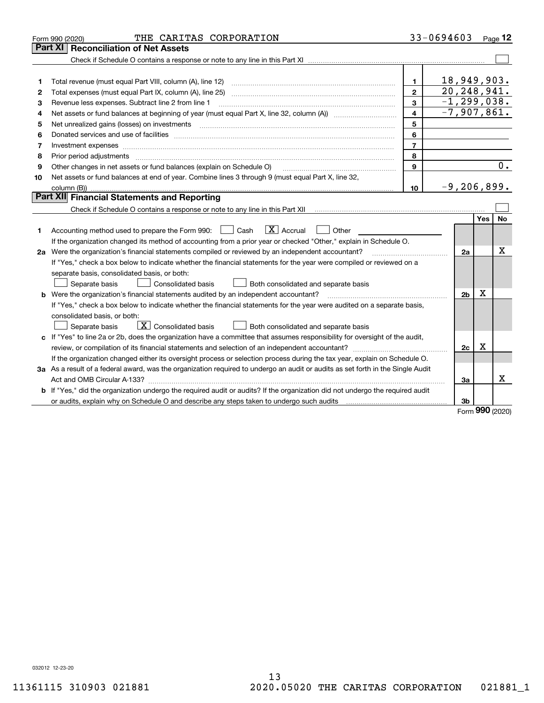|    | THE CARITAS CORPORATION<br>Form 990 (2020)                                                                                      |                 | 33-0694603 |                 |      | Page $12$ |
|----|---------------------------------------------------------------------------------------------------------------------------------|-----------------|------------|-----------------|------|-----------|
|    | Part XI<br><b>Reconciliation of Net Assets</b>                                                                                  |                 |            |                 |      |           |
|    |                                                                                                                                 |                 |            |                 |      |           |
|    |                                                                                                                                 |                 |            |                 |      |           |
| 1  |                                                                                                                                 | 1               |            | 18,949,903.     |      |           |
| 2  |                                                                                                                                 | $\mathbf{2}$    |            | 20, 248, 941.   |      |           |
| з  | Revenue less expenses. Subtract line 2 from line 1                                                                              | 3               |            | $-1, 299, 038.$ |      |           |
| 4  |                                                                                                                                 | 4               |            | $-7,907,861.$   |      |           |
| 5  | Net unrealized gains (losses) on investments                                                                                    | 5               |            |                 |      |           |
| 6  |                                                                                                                                 | 6               |            |                 |      |           |
| 7  |                                                                                                                                 | $\overline{7}$  |            |                 |      |           |
| 8  | Prior period adjustments www.communication.communication.com/news/communication.com/news/communication.com/new                  | 8               |            |                 |      |           |
| 9  | Other changes in net assets or fund balances (explain on Schedule O)                                                            | 9               |            |                 |      | 0.        |
| 10 | Net assets or fund balances at end of year. Combine lines 3 through 9 (must equal Part X, line 32,                              |                 |            |                 |      |           |
|    |                                                                                                                                 | 10 <sup>1</sup> |            | $-9, 206, 899.$ |      |           |
|    | <b>Part XII</b> Financial Statements and Reporting                                                                              |                 |            |                 |      |           |
|    |                                                                                                                                 |                 |            |                 |      |           |
|    |                                                                                                                                 |                 |            |                 | Yes  | <b>No</b> |
| 1. | $\boxed{\mathbf{X}}$ Accrual<br>Accounting method used to prepare the Form 990: <u>[</u> Cash<br>Other                          |                 |            |                 |      |           |
|    | If the organization changed its method of accounting from a prior year or checked "Other," explain in Schedule O.               |                 |            |                 |      |           |
|    | 2a Were the organization's financial statements compiled or reviewed by an independent accountant?                              |                 |            | 2a              |      | Х         |
|    | If "Yes," check a box below to indicate whether the financial statements for the year were compiled or reviewed on a            |                 |            |                 |      |           |
|    | separate basis, consolidated basis, or both:                                                                                    |                 |            |                 |      |           |
|    | Separate basis<br><b>Consolidated basis</b><br>Both consolidated and separate basis                                             |                 |            |                 |      |           |
|    | b Were the organization's financial statements audited by an independent accountant?                                            |                 |            | 2 <sub>b</sub>  | х    |           |
|    | If "Yes," check a box below to indicate whether the financial statements for the year were audited on a separate basis,         |                 |            |                 |      |           |
|    | consolidated basis, or both:                                                                                                    |                 |            |                 |      |           |
|    | $\boxed{\mathbf{X}}$ Consolidated basis<br>Both consolidated and separate basis<br>Separate basis                               |                 |            |                 |      |           |
|    | c If "Yes" to line 2a or 2b, does the organization have a committee that assumes responsibility for oversight of the audit,     |                 |            |                 |      |           |
|    |                                                                                                                                 |                 |            | 2c              | х    |           |
|    | If the organization changed either its oversight process or selection process during the tax year, explain on Schedule O.       |                 |            |                 |      |           |
|    | 3a As a result of a federal award, was the organization required to undergo an audit or audits as set forth in the Single Audit |                 |            |                 |      |           |
|    |                                                                                                                                 |                 |            | За              |      | x         |
|    | b If "Yes," did the organization undergo the required audit or audits? If the organization did not undergo the required audit   |                 |            |                 |      |           |
|    |                                                                                                                                 |                 |            | 3b              | nnn. |           |

Form (2020) **990**

032012 12-23-20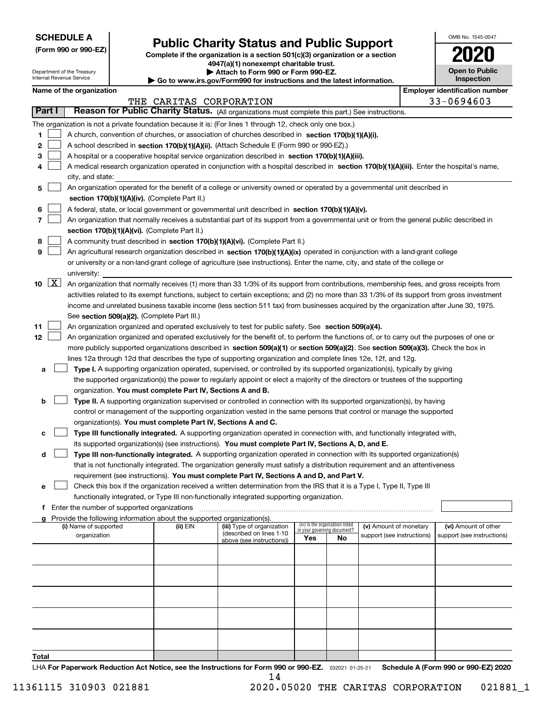| <b>SCHEDULE A</b> |
|-------------------|
|-------------------|

Department of the Treasury Internal Revenue Service

**(Form 990 or 990-EZ)**

# **Public Charity Status and Public Support**

**Complete if the organization is a section 501(c)(3) organization or a section 4947(a)(1) nonexempt charitable trust.**

**| Attach to Form 990 or Form 990-EZ.** 

**| Go to www.irs.gov/Form990 for instructions and the latest information.**

| OMB No. 1545-0047                   |
|-------------------------------------|
| U                                   |
| <b>Open to Public</b><br>Inspection |

| Name of the organization |  |
|--------------------------|--|
|--------------------------|--|

|                      | Name of the organization                                                                                                                     | THE CARITAS CORPORATION |                            |                                    |                                 |                            | <b>Employer identification number</b><br>33-0694603 |
|----------------------|----------------------------------------------------------------------------------------------------------------------------------------------|-------------------------|----------------------------|------------------------------------|---------------------------------|----------------------------|-----------------------------------------------------|
| Part I               | Reason for Public Charity Status. (All organizations must complete this part.) See instructions.                                             |                         |                            |                                    |                                 |                            |                                                     |
|                      |                                                                                                                                              |                         |                            |                                    |                                 |                            |                                                     |
|                      | The organization is not a private foundation because it is: (For lines 1 through 12, check only one box.)                                    |                         |                            |                                    |                                 |                            |                                                     |
| 1                    | A church, convention of churches, or association of churches described in section 170(b)(1)(A)(i).                                           |                         |                            |                                    |                                 |                            |                                                     |
| 2                    | A school described in section 170(b)(1)(A)(ii). (Attach Schedule E (Form 990 or 990-EZ).)                                                    |                         |                            |                                    |                                 |                            |                                                     |
| 3                    | A hospital or a cooperative hospital service organization described in section $170(b)(1)(A)(iii)$ .                                         |                         |                            |                                    |                                 |                            |                                                     |
| 4                    | A medical research organization operated in conjunction with a hospital described in section 170(b)(1)(A)(iii). Enter the hospital's name,   |                         |                            |                                    |                                 |                            |                                                     |
|                      | city, and state:                                                                                                                             |                         |                            |                                    |                                 |                            |                                                     |
| 5                    | An organization operated for the benefit of a college or university owned or operated by a governmental unit described in                    |                         |                            |                                    |                                 |                            |                                                     |
|                      | section 170(b)(1)(A)(iv). (Complete Part II.)                                                                                                |                         |                            |                                    |                                 |                            |                                                     |
| 6                    | A federal, state, or local government or governmental unit described in section 170(b)(1)(A)(v).                                             |                         |                            |                                    |                                 |                            |                                                     |
| 7                    | An organization that normally receives a substantial part of its support from a governmental unit or from the general public described in    |                         |                            |                                    |                                 |                            |                                                     |
|                      | section 170(b)(1)(A)(vi). (Complete Part II.)                                                                                                |                         |                            |                                    |                                 |                            |                                                     |
| 8                    | A community trust described in section 170(b)(1)(A)(vi). (Complete Part II.)                                                                 |                         |                            |                                    |                                 |                            |                                                     |
| 9                    | An agricultural research organization described in section 170(b)(1)(A)(ix) operated in conjunction with a land-grant college                |                         |                            |                                    |                                 |                            |                                                     |
|                      | or university or a non-land-grant college of agriculture (see instructions). Enter the name, city, and state of the college or               |                         |                            |                                    |                                 |                            |                                                     |
|                      | university:                                                                                                                                  |                         |                            |                                    |                                 |                            |                                                     |
| $10 \quad \boxed{X}$ | An organization that normally receives (1) more than 33 1/3% of its support from contributions, membership fees, and gross receipts from     |                         |                            |                                    |                                 |                            |                                                     |
|                      | activities related to its exempt functions, subject to certain exceptions; and (2) no more than 33 1/3% of its support from gross investment |                         |                            |                                    |                                 |                            |                                                     |
|                      | income and unrelated business taxable income (less section 511 tax) from businesses acquired by the organization after June 30, 1975.        |                         |                            |                                    |                                 |                            |                                                     |
|                      | See section 509(a)(2). (Complete Part III.)                                                                                                  |                         |                            |                                    |                                 |                            |                                                     |
| 11                   | An organization organized and operated exclusively to test for public safety. See section 509(a)(4).                                         |                         |                            |                                    |                                 |                            |                                                     |
| 12                   | An organization organized and operated exclusively for the benefit of, to perform the functions of, or to carry out the purposes of one or   |                         |                            |                                    |                                 |                            |                                                     |
|                      | more publicly supported organizations described in section 509(a)(1) or section 509(a)(2). See section 509(a)(3). Check the box in           |                         |                            |                                    |                                 |                            |                                                     |
|                      | lines 12a through 12d that describes the type of supporting organization and complete lines 12e, 12f, and 12g.                               |                         |                            |                                    |                                 |                            |                                                     |
| а                    | Type I. A supporting organization operated, supervised, or controlled by its supported organization(s), typically by giving                  |                         |                            |                                    |                                 |                            |                                                     |
|                      | the supported organization(s) the power to regularly appoint or elect a majority of the directors or trustees of the supporting              |                         |                            |                                    |                                 |                            |                                                     |
|                      | organization. You must complete Part IV, Sections A and B.                                                                                   |                         |                            |                                    |                                 |                            |                                                     |
| b                    | Type II. A supporting organization supervised or controlled in connection with its supported organization(s), by having                      |                         |                            |                                    |                                 |                            |                                                     |
|                      | control or management of the supporting organization vested in the same persons that control or manage the supported                         |                         |                            |                                    |                                 |                            |                                                     |
|                      | organization(s). You must complete Part IV, Sections A and C.                                                                                |                         |                            |                                    |                                 |                            |                                                     |
| с                    | Type III functionally integrated. A supporting organization operated in connection with, and functionally integrated with,                   |                         |                            |                                    |                                 |                            |                                                     |
|                      | its supported organization(s) (see instructions). You must complete Part IV, Sections A, D, and E.                                           |                         |                            |                                    |                                 |                            |                                                     |
| d                    | Type III non-functionally integrated. A supporting organization operated in connection with its supported organization(s)                    |                         |                            |                                    |                                 |                            |                                                     |
|                      | that is not functionally integrated. The organization generally must satisfy a distribution requirement and an attentiveness                 |                         |                            |                                    |                                 |                            |                                                     |
|                      | requirement (see instructions). You must complete Part IV, Sections A and D, and Part V.                                                     |                         |                            |                                    |                                 |                            |                                                     |
|                      | Check this box if the organization received a written determination from the IRS that it is a Type I, Type II, Type III                      |                         |                            |                                    |                                 |                            |                                                     |
|                      | functionally integrated, or Type III non-functionally integrated supporting organization.                                                    |                         |                            |                                    |                                 |                            |                                                     |
|                      | f Enter the number of supported organizations                                                                                                |                         |                            |                                    |                                 |                            |                                                     |
|                      | g Provide the following information about the supported organization(s).<br>(i) Name of supported                                            | (ii) EIN                | (iii) Type of organization |                                    | (iv) Is the organization listed | (v) Amount of monetary     | (vi) Amount of other                                |
|                      | organization                                                                                                                                 |                         | (described on lines 1-10   | in your governing document?<br>Yes | No                              | support (see instructions) | support (see instructions)                          |
|                      |                                                                                                                                              |                         | above (see instructions))  |                                    |                                 |                            |                                                     |
|                      |                                                                                                                                              |                         |                            |                                    |                                 |                            |                                                     |
|                      |                                                                                                                                              |                         |                            |                                    |                                 |                            |                                                     |
|                      |                                                                                                                                              |                         |                            |                                    |                                 |                            |                                                     |
|                      |                                                                                                                                              |                         |                            |                                    |                                 |                            |                                                     |
|                      |                                                                                                                                              |                         |                            |                                    |                                 |                            |                                                     |
|                      |                                                                                                                                              |                         |                            |                                    |                                 |                            |                                                     |
|                      |                                                                                                                                              |                         |                            |                                    |                                 |                            |                                                     |
|                      |                                                                                                                                              |                         |                            |                                    |                                 |                            |                                                     |
|                      |                                                                                                                                              |                         |                            |                                    |                                 |                            |                                                     |
| Total                |                                                                                                                                              |                         |                            |                                    |                                 |                            |                                                     |

LHA For Paperwork Reduction Act Notice, see the Instructions for Form 990 or 990-EZ. <sub>032021</sub> o1-25-21 Schedule A (Form 990 or 990-EZ) 2020 14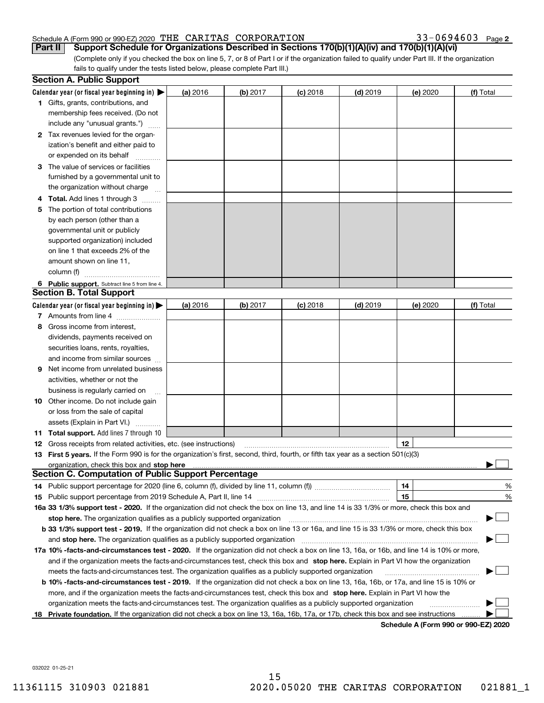33-0694603 Page 2

(Complete only if you checked the box on line 5, 7, or 8 of Part I or if the organization failed to qualify under Part III. If the organization fails to qualify under the tests listed below, please complete Part III.) **Part II** Support Schedule for Organizations Described in Sections 170(b)(1)(A)(iv) and 170(b)(1)(A)(vi)

|    | <b>Section A. Public Support</b>                                                                                                               |          |          |            |            |          |                                      |
|----|------------------------------------------------------------------------------------------------------------------------------------------------|----------|----------|------------|------------|----------|--------------------------------------|
|    | Calendar year (or fiscal year beginning in) $\blacktriangleright$                                                                              | (a) 2016 | (b) 2017 | $(c)$ 2018 | $(d)$ 2019 | (e) 2020 | (f) Total                            |
|    | <b>1</b> Gifts, grants, contributions, and                                                                                                     |          |          |            |            |          |                                      |
|    | membership fees received. (Do not                                                                                                              |          |          |            |            |          |                                      |
|    | include any "unusual grants.")                                                                                                                 |          |          |            |            |          |                                      |
|    | <b>2</b> Tax revenues levied for the organ-                                                                                                    |          |          |            |            |          |                                      |
|    | ization's benefit and either paid to                                                                                                           |          |          |            |            |          |                                      |
|    | or expended on its behalf                                                                                                                      |          |          |            |            |          |                                      |
|    | 3 The value of services or facilities                                                                                                          |          |          |            |            |          |                                      |
|    | furnished by a governmental unit to                                                                                                            |          |          |            |            |          |                                      |
|    | the organization without charge                                                                                                                |          |          |            |            |          |                                      |
|    | 4 Total. Add lines 1 through 3                                                                                                                 |          |          |            |            |          |                                      |
| 5. | The portion of total contributions                                                                                                             |          |          |            |            |          |                                      |
|    | by each person (other than a                                                                                                                   |          |          |            |            |          |                                      |
|    | governmental unit or publicly                                                                                                                  |          |          |            |            |          |                                      |
|    | supported organization) included                                                                                                               |          |          |            |            |          |                                      |
|    | on line 1 that exceeds 2% of the                                                                                                               |          |          |            |            |          |                                      |
|    | amount shown on line 11,                                                                                                                       |          |          |            |            |          |                                      |
|    | column (f)                                                                                                                                     |          |          |            |            |          |                                      |
|    | 6 Public support. Subtract line 5 from line 4.                                                                                                 |          |          |            |            |          |                                      |
|    | <b>Section B. Total Support</b>                                                                                                                |          |          |            |            |          |                                      |
|    | Calendar year (or fiscal year beginning in)                                                                                                    | (a) 2016 | (b) 2017 | $(c)$ 2018 | $(d)$ 2019 | (e) 2020 | (f) Total                            |
|    | 7 Amounts from line 4                                                                                                                          |          |          |            |            |          |                                      |
|    | 8 Gross income from interest,                                                                                                                  |          |          |            |            |          |                                      |
|    | dividends, payments received on                                                                                                                |          |          |            |            |          |                                      |
|    | securities loans, rents, royalties,                                                                                                            |          |          |            |            |          |                                      |
|    | and income from similar sources                                                                                                                |          |          |            |            |          |                                      |
| 9. | Net income from unrelated business                                                                                                             |          |          |            |            |          |                                      |
|    | activities, whether or not the                                                                                                                 |          |          |            |            |          |                                      |
|    | business is regularly carried on                                                                                                               |          |          |            |            |          |                                      |
|    | <b>10</b> Other income. Do not include gain                                                                                                    |          |          |            |            |          |                                      |
|    | or loss from the sale of capital                                                                                                               |          |          |            |            |          |                                      |
|    | assets (Explain in Part VI.)                                                                                                                   |          |          |            |            |          |                                      |
|    | <b>11 Total support.</b> Add lines 7 through 10                                                                                                |          |          |            |            |          |                                      |
|    | <b>12</b> Gross receipts from related activities, etc. (see instructions)                                                                      |          |          |            |            | 12       |                                      |
|    | 13 First 5 years. If the Form 990 is for the organization's first, second, third, fourth, or fifth tax year as a section 501(c)(3)             |          |          |            |            |          |                                      |
|    | organization, check this box and <b>stop here</b> www.communication.communication.communication.communication.communic                         |          |          |            |            |          |                                      |
|    | <b>Section C. Computation of Public Support Percentage</b>                                                                                     |          |          |            |            |          |                                      |
|    |                                                                                                                                                |          |          |            |            | 14       | %                                    |
|    |                                                                                                                                                |          |          |            |            | 15       | $\%$                                 |
|    | 16a 33 1/3% support test - 2020. If the organization did not check the box on line 13, and line 14 is 33 1/3% or more, check this box and      |          |          |            |            |          |                                      |
|    | stop here. The organization qualifies as a publicly supported organization                                                                     |          |          |            |            |          |                                      |
|    | b 33 1/3% support test - 2019. If the organization did not check a box on line 13 or 16a, and line 15 is 33 1/3% or more, check this box       |          |          |            |            |          |                                      |
|    | and stop here. The organization qualifies as a publicly supported organization                                                                 |          |          |            |            |          |                                      |
|    | 17a 10% -facts-and-circumstances test - 2020. If the organization did not check a box on line 13, 16a, or 16b, and line 14 is 10% or more,     |          |          |            |            |          |                                      |
|    | and if the organization meets the facts-and-circumstances test, check this box and stop here. Explain in Part VI how the organization          |          |          |            |            |          |                                      |
|    | meets the facts-and-circumstances test. The organization qualifies as a publicly supported organization                                        |          |          |            |            |          |                                      |
|    | <b>b 10% -facts-and-circumstances test - 2019.</b> If the organization did not check a box on line 13, 16a, 16b, or 17a, and line 15 is 10% or |          |          |            |            |          |                                      |
|    | more, and if the organization meets the facts-and-circumstances test, check this box and stop here. Explain in Part VI how the                 |          |          |            |            |          |                                      |
|    | organization meets the facts-and-circumstances test. The organization qualifies as a publicly supported organization                           |          |          |            |            |          |                                      |
|    | 18 Private foundation. If the organization did not check a box on line 13, 16a, 16b, 17a, or 17b, check this box and see instructions          |          |          |            |            |          |                                      |
|    |                                                                                                                                                |          |          |            |            |          | Schedule A (Form 990 or 990-F7) 2020 |

**Schedule A (Form 990 or 990-EZ) 2020**

032022 01-25-21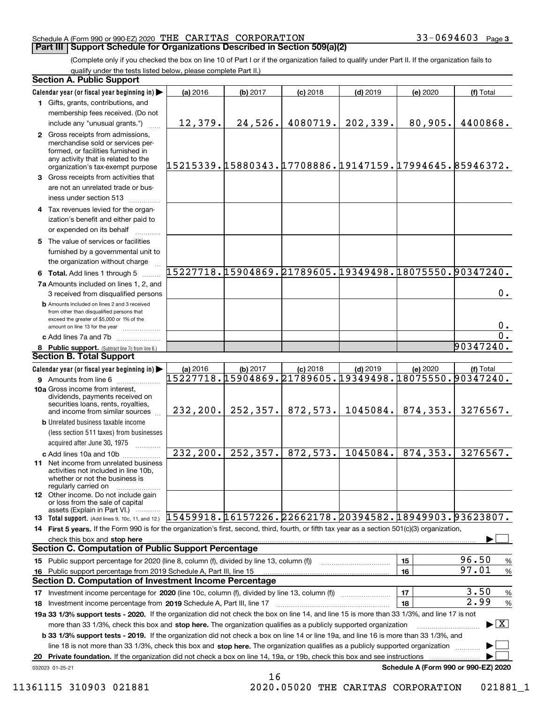(Complete only if you checked the box on line 10 of Part I or if the organization failed to qualify under Part II. If the organization fails to qualify under the tests listed below, please complete Part II.)

|    | <b>Section A. Public Support</b>                                                                                                                                                                                               |                        |           |                                 |                                                        |           |                                      |
|----|--------------------------------------------------------------------------------------------------------------------------------------------------------------------------------------------------------------------------------|------------------------|-----------|---------------------------------|--------------------------------------------------------|-----------|--------------------------------------|
|    | Calendar year (or fiscal year beginning in)                                                                                                                                                                                    | (a) 2016               | (b) 2017  | $(c)$ 2018                      | $(d)$ 2019                                             | (e) 2020  | (f) Total                            |
|    | 1 Gifts, grants, contributions, and                                                                                                                                                                                            |                        |           |                                 |                                                        |           |                                      |
|    | membership fees received. (Do not                                                                                                                                                                                              |                        |           |                                 |                                                        |           |                                      |
|    | include any "unusual grants.")                                                                                                                                                                                                 | 12,379.                | 24,526.   | 4080719.                        | 202,339.                                               | 80,905.   | 4400868.                             |
|    | 2 Gross receipts from admissions,<br>merchandise sold or services per-<br>formed, or facilities furnished in<br>any activity that is related to the<br>organization's tax-exempt purpose                                       |                        |           |                                 | 15215339.15880343.17708886.19147159.17994645.85946372. |           |                                      |
|    | 3 Gross receipts from activities that                                                                                                                                                                                          |                        |           |                                 |                                                        |           |                                      |
|    | are not an unrelated trade or bus-<br>iness under section 513                                                                                                                                                                  |                        |           |                                 |                                                        |           |                                      |
|    | 4 Tax revenues levied for the organ-                                                                                                                                                                                           |                        |           |                                 |                                                        |           |                                      |
|    | ization's benefit and either paid to<br>or expended on its behalf                                                                                                                                                              |                        |           |                                 |                                                        |           |                                      |
|    | 5 The value of services or facilities                                                                                                                                                                                          |                        |           |                                 |                                                        |           |                                      |
|    | furnished by a governmental unit to                                                                                                                                                                                            |                        |           |                                 |                                                        |           |                                      |
|    | the organization without charge                                                                                                                                                                                                |                        |           |                                 |                                                        |           |                                      |
|    | 6 Total. Add lines 1 through 5                                                                                                                                                                                                 |                        |           |                                 | 15227718.15904869.21789605.19349498.18075550.90347240. |           |                                      |
|    | 7a Amounts included on lines 1, 2, and                                                                                                                                                                                         |                        |           |                                 |                                                        |           |                                      |
|    | 3 received from disqualified persons                                                                                                                                                                                           |                        |           |                                 |                                                        |           | 0.                                   |
|    | <b>b</b> Amounts included on lines 2 and 3 received<br>from other than disqualified persons that<br>exceed the greater of \$5,000 or 1% of the                                                                                 |                        |           |                                 |                                                        |           | 0.                                   |
|    | amount on line 13 for the year<br>c Add lines 7a and 7b                                                                                                                                                                        |                        |           |                                 |                                                        |           | $\overline{0}$ .                     |
|    | 8 Public support. (Subtract line 7c from line 6.)                                                                                                                                                                              |                        |           |                                 |                                                        |           | 90347240.                            |
|    | <b>Section B. Total Support</b>                                                                                                                                                                                                |                        |           |                                 |                                                        |           |                                      |
|    | Calendar year (or fiscal year beginning in)                                                                                                                                                                                    | (a) 2016               | (b) 2017  | $(c)$ 2018                      | $(d)$ 2019                                             | (e) 2020  | (f) Total                            |
|    | <b>9</b> Amounts from line 6                                                                                                                                                                                                   |                        |           |                                 | 15227718.15904869.21789605.19349498.18075550.90347240. |           |                                      |
|    | 10a Gross income from interest,<br>dividends, payments received on<br>securities loans, rents, royalties,<br>and income from similar sources                                                                                   |                        |           | $232, 200.$ 252, 357. 872, 573. | 1045084.                                               | 874,353.  | 3276567.                             |
|    | <b>b</b> Unrelated business taxable income                                                                                                                                                                                     |                        |           |                                 |                                                        |           |                                      |
|    | (less section 511 taxes) from businesses                                                                                                                                                                                       |                        |           |                                 |                                                        |           |                                      |
|    | acquired after June 30, 1975                                                                                                                                                                                                   |                        |           |                                 |                                                        |           |                                      |
|    | c Add lines 10a and 10b                                                                                                                                                                                                        | $\overline{232,200}$ . | 252, 357. | 872,573.                        | 1045084.                                               | 874, 353. | 3276567.                             |
|    | 11 Net income from unrelated business<br>activities not included in line 10b,<br>whether or not the business is<br>regularly carried on                                                                                        |                        |           |                                 |                                                        |           |                                      |
|    | <b>12</b> Other income. Do not include gain<br>or loss from the sale of capital<br>assets (Explain in Part VI.)                                                                                                                |                        |           |                                 |                                                        |           |                                      |
|    | 13 Total support. (Add lines 9, 10c, 11, and 12.) [15459918. [16157226. 22662178. 20394582. [18949903. 93623807.                                                                                                               |                        |           |                                 |                                                        |           |                                      |
|    | 14 First 5 years. If the Form 990 is for the organization's first, second, third, fourth, or fifth tax year as a section 501(c)(3) organization,                                                                               |                        |           |                                 |                                                        |           |                                      |
|    | check this box and stop here with the continuum control of the state of the state of the state of the state of the state of the state of the state of the state of the state of the state of the state of the state of the sta |                        |           |                                 |                                                        |           |                                      |
|    | <b>Section C. Computation of Public Support Percentage</b>                                                                                                                                                                     |                        |           |                                 |                                                        |           |                                      |
|    |                                                                                                                                                                                                                                |                        |           |                                 |                                                        | 15        | 96.50<br>%                           |
|    | 16 Public support percentage from 2019 Schedule A, Part III, line 15                                                                                                                                                           |                        |           |                                 |                                                        | 16        | 97.01<br>$\%$                        |
|    | <b>Section D. Computation of Investment Income Percentage</b>                                                                                                                                                                  |                        |           |                                 |                                                        |           |                                      |
|    | 17 Investment income percentage for 2020 (line 10c, column (f), divided by line 13, column (f))                                                                                                                                |                        |           |                                 |                                                        | 17        | 3.50<br>$\%$                         |
|    | 18 Investment income percentage from 2019 Schedule A, Part III, line 17                                                                                                                                                        |                        |           |                                 |                                                        | 18        | 2.99<br>$\%$                         |
|    | 19a 33 1/3% support tests - 2020. If the organization did not check the box on line 14, and line 15 is more than 33 1/3%, and line 17 is not                                                                                   |                        |           |                                 |                                                        |           |                                      |
|    | more than 33 1/3%, check this box and stop here. The organization qualifies as a publicly supported organization                                                                                                               |                        |           |                                 |                                                        |           | $\blacktriangleright$ $\vert$ X      |
|    | <b>b 33 1/3% support tests - 2019.</b> If the organization did not check a box on line 14 or line 19a, and line 16 is more than 33 1/3%, and                                                                                   |                        |           |                                 |                                                        |           |                                      |
|    | line 18 is not more than 33 1/3%, check this box and stop here. The organization qualifies as a publicly supported organization                                                                                                |                        |           |                                 |                                                        |           |                                      |
| 20 | Private foundation. If the organization did not check a box on line 14, 19a, or 19b, check this box and see instructions                                                                                                       |                        |           |                                 |                                                        |           |                                      |
|    | 032023 01-25-21                                                                                                                                                                                                                |                        |           |                                 |                                                        |           | Schedule A (Form 990 or 990-EZ) 2020 |

16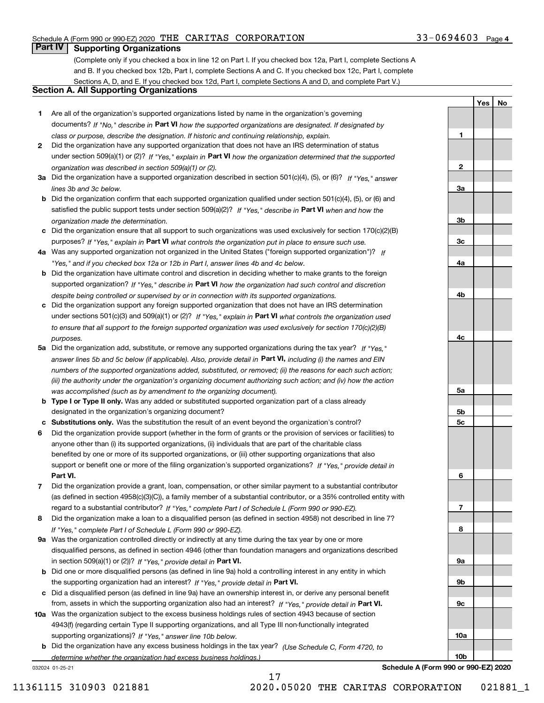# **Part IV Supporting Organizations**

(Complete only if you checked a box in line 12 on Part I. If you checked box 12a, Part I, complete Sections A and B. If you checked box 12b, Part I, complete Sections A and C. If you checked box 12c, Part I, complete Sections A, D, and E. If you checked box 12d, Part I, complete Sections A and D, and complete Part V.)

# **Section A. All Supporting Organizations**

- **1** Are all of the organization's supported organizations listed by name in the organization's governing documents? If "No," describe in **Part VI** how the supported organizations are designated. If designated by *class or purpose, describe the designation. If historic and continuing relationship, explain.*
- **2** Did the organization have any supported organization that does not have an IRS determination of status under section 509(a)(1) or (2)? If "Yes," explain in Part VI how the organization determined that the supported *organization was described in section 509(a)(1) or (2).*
- **3a** Did the organization have a supported organization described in section 501(c)(4), (5), or (6)? If "Yes," answer *lines 3b and 3c below.*
- **b** Did the organization confirm that each supported organization qualified under section 501(c)(4), (5), or (6) and satisfied the public support tests under section 509(a)(2)? If "Yes," describe in **Part VI** when and how the *organization made the determination.*
- **c**Did the organization ensure that all support to such organizations was used exclusively for section 170(c)(2)(B) purposes? If "Yes," explain in **Part VI** what controls the organization put in place to ensure such use.
- **4a***If* Was any supported organization not organized in the United States ("foreign supported organization")? *"Yes," and if you checked box 12a or 12b in Part I, answer lines 4b and 4c below.*
- **b** Did the organization have ultimate control and discretion in deciding whether to make grants to the foreign supported organization? If "Yes," describe in **Part VI** how the organization had such control and discretion *despite being controlled or supervised by or in connection with its supported organizations.*
- **c** Did the organization support any foreign supported organization that does not have an IRS determination under sections 501(c)(3) and 509(a)(1) or (2)? If "Yes," explain in **Part VI** what controls the organization used *to ensure that all support to the foreign supported organization was used exclusively for section 170(c)(2)(B) purposes.*
- **5a** Did the organization add, substitute, or remove any supported organizations during the tax year? If "Yes," answer lines 5b and 5c below (if applicable). Also, provide detail in **Part VI,** including (i) the names and EIN *numbers of the supported organizations added, substituted, or removed; (ii) the reasons for each such action; (iii) the authority under the organization's organizing document authorizing such action; and (iv) how the action was accomplished (such as by amendment to the organizing document).*
- **b** Type I or Type II only. Was any added or substituted supported organization part of a class already designated in the organization's organizing document?
- **cSubstitutions only.**  Was the substitution the result of an event beyond the organization's control?
- **6** Did the organization provide support (whether in the form of grants or the provision of services or facilities) to **Part VI.** *If "Yes," provide detail in* support or benefit one or more of the filing organization's supported organizations? anyone other than (i) its supported organizations, (ii) individuals that are part of the charitable class benefited by one or more of its supported organizations, or (iii) other supporting organizations that also
- **7**Did the organization provide a grant, loan, compensation, or other similar payment to a substantial contributor *If "Yes," complete Part I of Schedule L (Form 990 or 990-EZ).* regard to a substantial contributor? (as defined in section 4958(c)(3)(C)), a family member of a substantial contributor, or a 35% controlled entity with
- **8** Did the organization make a loan to a disqualified person (as defined in section 4958) not described in line 7? *If "Yes," complete Part I of Schedule L (Form 990 or 990-EZ).*
- **9a** Was the organization controlled directly or indirectly at any time during the tax year by one or more in section 509(a)(1) or (2))? If "Yes," *provide detail in* <code>Part VI.</code> disqualified persons, as defined in section 4946 (other than foundation managers and organizations described
- **b** Did one or more disqualified persons (as defined in line 9a) hold a controlling interest in any entity in which the supporting organization had an interest? If "Yes," provide detail in P**art VI**.
- **c**Did a disqualified person (as defined in line 9a) have an ownership interest in, or derive any personal benefit from, assets in which the supporting organization also had an interest? If "Yes," provide detail in P**art VI.**
- **10a** Was the organization subject to the excess business holdings rules of section 4943 because of section supporting organizations)? If "Yes," answer line 10b below. 4943(f) (regarding certain Type II supporting organizations, and all Type III non-functionally integrated
- **b** Did the organization have any excess business holdings in the tax year? (Use Schedule C, Form 4720, to *determine whether the organization had excess business holdings.)*

032024 01-25-21

**1**

**YesNo**

**Schedule A (Form 990 or 990-EZ) 2020**

17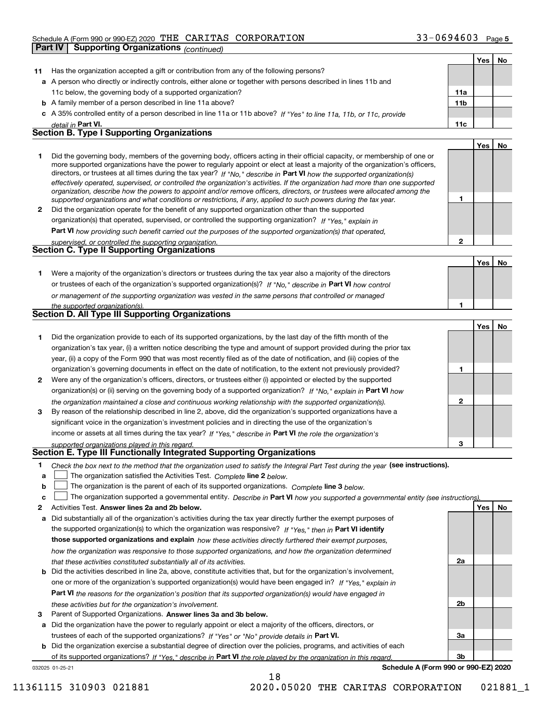|              | Part IV | <b>Supporting Organizations (continued)</b>                                                                                                                                                                                                                                                                                                                                                                                                                                                                                                                                                                                                          |                 |     |    |
|--------------|---------|------------------------------------------------------------------------------------------------------------------------------------------------------------------------------------------------------------------------------------------------------------------------------------------------------------------------------------------------------------------------------------------------------------------------------------------------------------------------------------------------------------------------------------------------------------------------------------------------------------------------------------------------------|-----------------|-----|----|
|              |         |                                                                                                                                                                                                                                                                                                                                                                                                                                                                                                                                                                                                                                                      |                 | Yes | No |
| 11           |         | Has the organization accepted a gift or contribution from any of the following persons?                                                                                                                                                                                                                                                                                                                                                                                                                                                                                                                                                              |                 |     |    |
|              |         | a A person who directly or indirectly controls, either alone or together with persons described in lines 11b and                                                                                                                                                                                                                                                                                                                                                                                                                                                                                                                                     |                 |     |    |
|              |         | 11c below, the governing body of a supported organization?                                                                                                                                                                                                                                                                                                                                                                                                                                                                                                                                                                                           | 11a             |     |    |
|              |         | <b>b</b> A family member of a person described in line 11a above?                                                                                                                                                                                                                                                                                                                                                                                                                                                                                                                                                                                    | 11 <sub>b</sub> |     |    |
|              |         | c A 35% controlled entity of a person described in line 11a or 11b above? If "Yes" to line 11a, 11b, or 11c, provide                                                                                                                                                                                                                                                                                                                                                                                                                                                                                                                                 |                 |     |    |
|              |         | detail in Part VI.                                                                                                                                                                                                                                                                                                                                                                                                                                                                                                                                                                                                                                   | 11c             |     |    |
|              |         | <b>Section B. Type I Supporting Organizations</b>                                                                                                                                                                                                                                                                                                                                                                                                                                                                                                                                                                                                    |                 |     |    |
|              |         |                                                                                                                                                                                                                                                                                                                                                                                                                                                                                                                                                                                                                                                      |                 | Yes | No |
| 1            |         | Did the governing body, members of the governing body, officers acting in their official capacity, or membership of one or<br>more supported organizations have the power to regularly appoint or elect at least a majority of the organization's officers,<br>directors, or trustees at all times during the tax year? If "No," describe in Part VI how the supported organization(s)<br>effectively operated, supervised, or controlled the organization's activities. If the organization had more than one supported<br>organization, describe how the powers to appoint and/or remove officers, directors, or trustees were allocated among the |                 |     |    |
|              |         | supported organizations and what conditions or restrictions, if any, applied to such powers during the tax year.                                                                                                                                                                                                                                                                                                                                                                                                                                                                                                                                     | 1               |     |    |
| $\mathbf{2}$ |         | Did the organization operate for the benefit of any supported organization other than the supported                                                                                                                                                                                                                                                                                                                                                                                                                                                                                                                                                  |                 |     |    |
|              |         | organization(s) that operated, supervised, or controlled the supporting organization? If "Yes," explain in                                                                                                                                                                                                                                                                                                                                                                                                                                                                                                                                           |                 |     |    |
|              |         | Part VI how providing such benefit carried out the purposes of the supported organization(s) that operated,                                                                                                                                                                                                                                                                                                                                                                                                                                                                                                                                          |                 |     |    |
|              |         | supervised, or controlled the supporting organization.                                                                                                                                                                                                                                                                                                                                                                                                                                                                                                                                                                                               | $\overline{2}$  |     |    |
|              |         | Section C. Type II Supporting Organizations                                                                                                                                                                                                                                                                                                                                                                                                                                                                                                                                                                                                          |                 |     |    |
|              |         |                                                                                                                                                                                                                                                                                                                                                                                                                                                                                                                                                                                                                                                      |                 | Yes | No |
| 1.           |         | Were a majority of the organization's directors or trustees during the tax year also a majority of the directors                                                                                                                                                                                                                                                                                                                                                                                                                                                                                                                                     |                 |     |    |
|              |         | or trustees of each of the organization's supported organization(s)? If "No," describe in Part VI how control                                                                                                                                                                                                                                                                                                                                                                                                                                                                                                                                        |                 |     |    |
|              |         | or management of the supporting organization was vested in the same persons that controlled or managed                                                                                                                                                                                                                                                                                                                                                                                                                                                                                                                                               |                 |     |    |
|              |         | the supported organization(s).                                                                                                                                                                                                                                                                                                                                                                                                                                                                                                                                                                                                                       | 1               |     |    |
|              |         | <b>Section D. All Type III Supporting Organizations</b>                                                                                                                                                                                                                                                                                                                                                                                                                                                                                                                                                                                              |                 |     |    |
|              |         |                                                                                                                                                                                                                                                                                                                                                                                                                                                                                                                                                                                                                                                      |                 | Yes | No |
| 1            |         | Did the organization provide to each of its supported organizations, by the last day of the fifth month of the                                                                                                                                                                                                                                                                                                                                                                                                                                                                                                                                       |                 |     |    |
|              |         | organization's tax year, (i) a written notice describing the type and amount of support provided during the prior tax                                                                                                                                                                                                                                                                                                                                                                                                                                                                                                                                |                 |     |    |
|              |         | year, (ii) a copy of the Form 990 that was most recently filed as of the date of notification, and (iii) copies of the                                                                                                                                                                                                                                                                                                                                                                                                                                                                                                                               |                 |     |    |
|              |         | organization's governing documents in effect on the date of notification, to the extent not previously provided?                                                                                                                                                                                                                                                                                                                                                                                                                                                                                                                                     | 1               |     |    |
| 2            |         | Were any of the organization's officers, directors, or trustees either (i) appointed or elected by the supported                                                                                                                                                                                                                                                                                                                                                                                                                                                                                                                                     |                 |     |    |
|              |         | organization(s) or (ii) serving on the governing body of a supported organization? If "No." explain in Part VI how                                                                                                                                                                                                                                                                                                                                                                                                                                                                                                                                   |                 |     |    |
|              |         | the organization maintained a close and continuous working relationship with the supported organization(s).                                                                                                                                                                                                                                                                                                                                                                                                                                                                                                                                          | $\mathbf{2}$    |     |    |
| 3            |         | By reason of the relationship described in line 2, above, did the organization's supported organizations have a                                                                                                                                                                                                                                                                                                                                                                                                                                                                                                                                      |                 |     |    |
|              |         | significant voice in the organization's investment policies and in directing the use of the organization's                                                                                                                                                                                                                                                                                                                                                                                                                                                                                                                                           |                 |     |    |
|              |         | income or assets at all times during the tax year? If "Yes," describe in Part VI the role the organization's                                                                                                                                                                                                                                                                                                                                                                                                                                                                                                                                         |                 |     |    |
|              |         | supported organizations played in this regard.                                                                                                                                                                                                                                                                                                                                                                                                                                                                                                                                                                                                       | 3               |     |    |
|              |         | Section E. Type III Functionally Integrated Supporting Organizations                                                                                                                                                                                                                                                                                                                                                                                                                                                                                                                                                                                 |                 |     |    |
| 1.           |         | Check the box next to the method that the organization used to satisfy the Integral Part Test during the year (see instructions).                                                                                                                                                                                                                                                                                                                                                                                                                                                                                                                    |                 |     |    |
| а            |         | The organization satisfied the Activities Test. Complete line 2 below.                                                                                                                                                                                                                                                                                                                                                                                                                                                                                                                                                                               |                 |     |    |
| b            |         | The organization is the parent of each of its supported organizations. Complete line 3 below.                                                                                                                                                                                                                                                                                                                                                                                                                                                                                                                                                        |                 |     |    |
| c            |         | The organization supported a governmental entity. Describe in Part VI how you supported a governmental entity (see instructions)                                                                                                                                                                                                                                                                                                                                                                                                                                                                                                                     |                 |     |    |
| 2            |         | Activities Test. Answer lines 2a and 2b below.                                                                                                                                                                                                                                                                                                                                                                                                                                                                                                                                                                                                       |                 | Yes | No |
| а            |         | Did substantially all of the organization's activities during the tax year directly further the exempt purposes of                                                                                                                                                                                                                                                                                                                                                                                                                                                                                                                                   |                 |     |    |
|              |         | the supported organization(s) to which the organization was responsive? If "Yes," then in Part VI identify                                                                                                                                                                                                                                                                                                                                                                                                                                                                                                                                           |                 |     |    |
|              |         | those supported organizations and explain how these activities directly furthered their exempt purposes,                                                                                                                                                                                                                                                                                                                                                                                                                                                                                                                                             |                 |     |    |
|              |         | how the organization was responsive to those supported organizations, and how the organization determined                                                                                                                                                                                                                                                                                                                                                                                                                                                                                                                                            |                 |     |    |
|              |         | that these activities constituted substantially all of its activities.                                                                                                                                                                                                                                                                                                                                                                                                                                                                                                                                                                               | 2a              |     |    |
| b            |         | Did the activities described in line 2a, above, constitute activities that, but for the organization's involvement,                                                                                                                                                                                                                                                                                                                                                                                                                                                                                                                                  |                 |     |    |
|              |         | one or more of the organization's supported organization(s) would have been engaged in? If "Yes." explain in                                                                                                                                                                                                                                                                                                                                                                                                                                                                                                                                         |                 |     |    |

- **3** Parent of Supported Organizations. Answer lines 3a and 3b below. *these activities but for the organization's involvement.*
- **a** Did the organization have the power to regularly appoint or elect a majority of the officers, directors, or trustees of each of the supported organizations? If "Yes" or "No" provide details in P**art VI.**

**Part VI**  *the reasons for the organization's position that its supported organization(s) would have engaged in*

032025 01-25-21 **b** Did the organization exercise a substantial degree of direction over the policies, programs, and activities of each of its supported organizations? If "Yes," describe in Part VI the role played by the organization in this regard.

18

**Schedule A (Form 990 or 990-EZ) 2020**

**2b**

**3a**

**3b**

11361115 310903 021881 2020.05020 THE CARITAS CORPORATION 021881\_1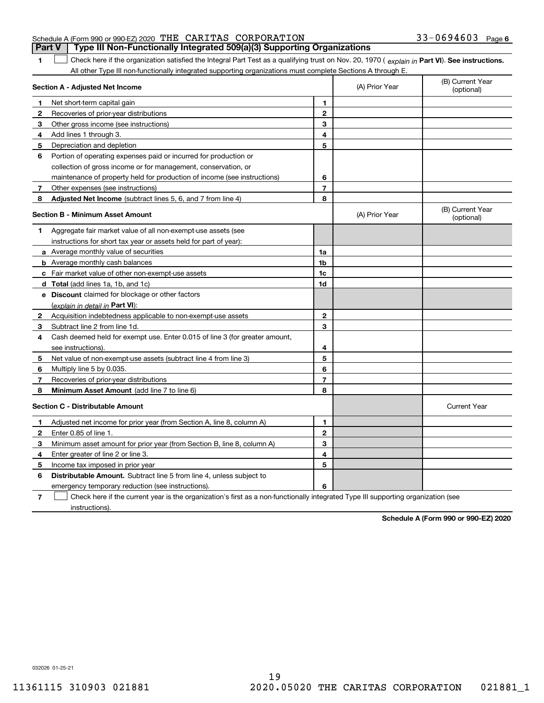|                                                              |  | <b>Part V</b> Type III Non-Functionally Integrated 509(a)(3) Supporting Organizations |                       |  |
|--------------------------------------------------------------|--|---------------------------------------------------------------------------------------|-----------------------|--|
| Schedule A (Form 990 or 990-EZ) 2020 THE CARITAS CORPORATION |  |                                                                                       | $33 - 0694603$ Page 6 |  |

1 Check here if the organization satisfied the Integral Part Test as a qualifying trust on Nov. 20, 1970 (explain in Part VI). See instructions. All other Type III non-functionally integrated supporting organizations must complete Sections A through E.

|              | Section A - Adjusted Net Income                                                                                                   | (A) Prior Year | (B) Current Year<br>(optional) |                                |
|--------------|-----------------------------------------------------------------------------------------------------------------------------------|----------------|--------------------------------|--------------------------------|
| 1            | Net short-term capital gain                                                                                                       | 1              |                                |                                |
| 2            | Recoveries of prior-year distributions                                                                                            | $\overline{2}$ |                                |                                |
| З            | Other gross income (see instructions)                                                                                             | 3              |                                |                                |
| 4            | Add lines 1 through 3.                                                                                                            | 4              |                                |                                |
| 5            | Depreciation and depletion                                                                                                        | 5              |                                |                                |
| 6            | Portion of operating expenses paid or incurred for production or                                                                  |                |                                |                                |
|              | collection of gross income or for management, conservation, or                                                                    |                |                                |                                |
|              | maintenance of property held for production of income (see instructions)                                                          | 6              |                                |                                |
| 7            | Other expenses (see instructions)                                                                                                 | $\overline{7}$ |                                |                                |
| 8            | Adjusted Net Income (subtract lines 5, 6, and 7 from line 4)                                                                      | 8              |                                |                                |
|              | <b>Section B - Minimum Asset Amount</b>                                                                                           |                | (A) Prior Year                 | (B) Current Year<br>(optional) |
| 1            | Aggregate fair market value of all non-exempt-use assets (see                                                                     |                |                                |                                |
|              | instructions for short tax year or assets held for part of year):                                                                 |                |                                |                                |
|              | <b>a</b> Average monthly value of securities                                                                                      | 1a             |                                |                                |
|              | <b>b</b> Average monthly cash balances                                                                                            | 1b             |                                |                                |
|              | c Fair market value of other non-exempt-use assets                                                                                | 1c             |                                |                                |
|              | d Total (add lines 1a, 1b, and 1c)                                                                                                | 1d             |                                |                                |
|              | e Discount claimed for blockage or other factors                                                                                  |                |                                |                                |
|              | (explain in detail in Part VI):                                                                                                   |                |                                |                                |
| $\mathbf{2}$ | Acquisition indebtedness applicable to non-exempt-use assets                                                                      | 2              |                                |                                |
| 3            | Subtract line 2 from line 1d.                                                                                                     | 3              |                                |                                |
| 4            | Cash deemed held for exempt use. Enter 0.015 of line 3 (for greater amount,                                                       |                |                                |                                |
|              | see instructions).                                                                                                                | 4              |                                |                                |
| 5            | Net value of non-exempt-use assets (subtract line 4 from line 3)                                                                  | 5              |                                |                                |
| 6            | Multiply line 5 by 0.035.                                                                                                         | 6              |                                |                                |
| 7            | Recoveries of prior-year distributions                                                                                            | $\overline{7}$ |                                |                                |
| 8            | Minimum Asset Amount (add line 7 to line 6)                                                                                       | 8              |                                |                                |
|              | <b>Section C - Distributable Amount</b>                                                                                           |                |                                | <b>Current Year</b>            |
| 1            | Adjusted net income for prior year (from Section A, line 8, column A)                                                             | $\mathbf{1}$   |                                |                                |
| 2            | Enter 0.85 of line 1.                                                                                                             | $\overline{2}$ |                                |                                |
| з            | Minimum asset amount for prior year (from Section B, line 8, column A)                                                            | 3              |                                |                                |
| 4            | Enter greater of line 2 or line 3.                                                                                                | 4              |                                |                                |
| 5            | Income tax imposed in prior year                                                                                                  | 5              |                                |                                |
| 6            | <b>Distributable Amount.</b> Subtract line 5 from line 4, unless subject to                                                       |                |                                |                                |
|              | emergency temporary reduction (see instructions).                                                                                 | 6              |                                |                                |
| 7            | Check here if the current year is the organization's first as a non-functionally integrated Type III supporting organization (see |                |                                |                                |

instructions).

**1**

**Schedule A (Form 990 or 990-EZ) 2020**

032026 01-25-21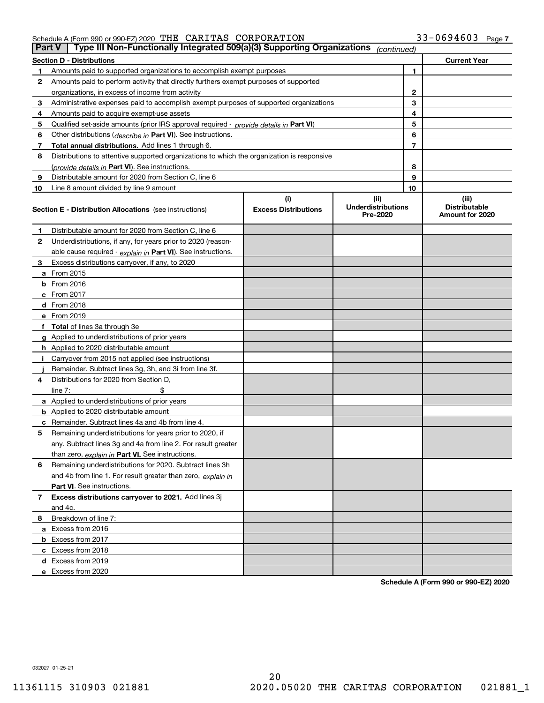| <b>Part V</b> | Type III Non-Functionally Integrated 509(a)(3) Supporting Organizations                    |                             | (continued)                           |                |                                         |
|---------------|--------------------------------------------------------------------------------------------|-----------------------------|---------------------------------------|----------------|-----------------------------------------|
|               | <b>Section D - Distributions</b>                                                           |                             |                                       |                | <b>Current Year</b>                     |
| 1             | Amounts paid to supported organizations to accomplish exempt purposes                      |                             | 1                                     |                |                                         |
| 2             | Amounts paid to perform activity that directly furthers exempt purposes of supported       |                             |                                       |                |                                         |
|               | organizations, in excess of income from activity                                           |                             | 2                                     |                |                                         |
| 3             | Administrative expenses paid to accomplish exempt purposes of supported organizations      |                             |                                       | 3              |                                         |
| 4             | Amounts paid to acquire exempt-use assets                                                  |                             |                                       | 4              |                                         |
| 5             | Qualified set-aside amounts (prior IRS approval required - provide details in Part VI)     |                             |                                       | 5              |                                         |
| 6             | Other distributions ( <i>describe in</i> Part VI). See instructions.                       |                             |                                       | 6              |                                         |
| 7             | Total annual distributions. Add lines 1 through 6.                                         |                             |                                       | $\overline{7}$ |                                         |
| 8             | Distributions to attentive supported organizations to which the organization is responsive |                             |                                       |                |                                         |
|               | (provide details in Part VI). See instructions.                                            |                             |                                       | 8              |                                         |
| 9             | Distributable amount for 2020 from Section C, line 6                                       |                             |                                       | 9              |                                         |
| 10            | Line 8 amount divided by line 9 amount                                                     |                             |                                       | 10             |                                         |
|               |                                                                                            | (i)                         | (ii)                                  |                | (iii)                                   |
|               | <b>Section E - Distribution Allocations</b> (see instructions)                             | <b>Excess Distributions</b> | <b>Underdistributions</b><br>Pre-2020 |                | <b>Distributable</b><br>Amount for 2020 |
| 1             | Distributable amount for 2020 from Section C, line 6                                       |                             |                                       |                |                                         |
| 2             | Underdistributions, if any, for years prior to 2020 (reason-                               |                             |                                       |                |                                         |
|               | able cause required - explain in Part VI). See instructions.                               |                             |                                       |                |                                         |
| 3             | Excess distributions carryover, if any, to 2020                                            |                             |                                       |                |                                         |
|               | <b>a</b> From 2015                                                                         |                             |                                       |                |                                         |
|               | <b>b</b> From 2016                                                                         |                             |                                       |                |                                         |
|               | c From 2017                                                                                |                             |                                       |                |                                         |
|               | <b>d</b> From 2018                                                                         |                             |                                       |                |                                         |
|               | e From 2019                                                                                |                             |                                       |                |                                         |
|               | f Total of lines 3a through 3e                                                             |                             |                                       |                |                                         |
|               | g Applied to underdistributions of prior years                                             |                             |                                       |                |                                         |
|               | <b>h</b> Applied to 2020 distributable amount                                              |                             |                                       |                |                                         |
|               | Carryover from 2015 not applied (see instructions)                                         |                             |                                       |                |                                         |
|               | Remainder. Subtract lines 3g, 3h, and 3i from line 3f.                                     |                             |                                       |                |                                         |
| 4             | Distributions for 2020 from Section D,                                                     |                             |                                       |                |                                         |
|               | line $7:$                                                                                  |                             |                                       |                |                                         |
|               | a Applied to underdistributions of prior years                                             |                             |                                       |                |                                         |
|               | <b>b</b> Applied to 2020 distributable amount                                              |                             |                                       |                |                                         |
|               | c Remainder. Subtract lines 4a and 4b from line 4.                                         |                             |                                       |                |                                         |
| 5             | Remaining underdistributions for years prior to 2020, if                                   |                             |                                       |                |                                         |
|               | any. Subtract lines 3g and 4a from line 2. For result greater                              |                             |                                       |                |                                         |
|               | than zero, explain in Part VI. See instructions.                                           |                             |                                       |                |                                         |
| 6             | Remaining underdistributions for 2020. Subtract lines 3h                                   |                             |                                       |                |                                         |
|               | and 4b from line 1. For result greater than zero, explain in                               |                             |                                       |                |                                         |
|               | Part VI. See instructions.                                                                 |                             |                                       |                |                                         |
| 7             | Excess distributions carryover to 2021. Add lines 3j                                       |                             |                                       |                |                                         |
|               | and 4c.                                                                                    |                             |                                       |                |                                         |
| 8             | Breakdown of line 7:                                                                       |                             |                                       |                |                                         |
|               | a Excess from 2016                                                                         |                             |                                       |                |                                         |
|               | <b>b</b> Excess from 2017                                                                  |                             |                                       |                |                                         |
|               | c Excess from 2018                                                                         |                             |                                       |                |                                         |
|               | d Excess from 2019                                                                         |                             |                                       |                |                                         |
|               | e Excess from 2020                                                                         |                             |                                       |                |                                         |
|               |                                                                                            |                             |                                       |                |                                         |

**Schedule A (Form 990 or 990-EZ) 2020**

032027 01-25-21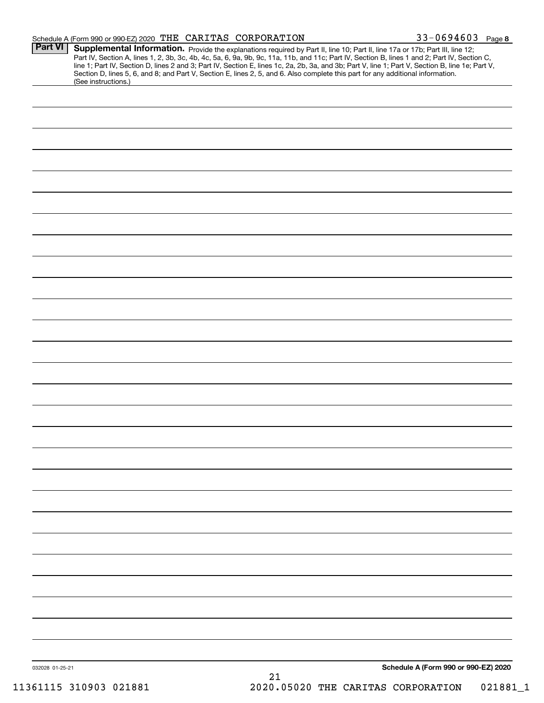|                 | Schedule A (Form 990 or 990-EZ) 2020 THE CARITAS CORPORATION                                                                                                                                                                                                                                                                                                                                                                                                                                                                                                         |    | 33-0694603 Page 8                    |  |
|-----------------|----------------------------------------------------------------------------------------------------------------------------------------------------------------------------------------------------------------------------------------------------------------------------------------------------------------------------------------------------------------------------------------------------------------------------------------------------------------------------------------------------------------------------------------------------------------------|----|--------------------------------------|--|
| <b>Part VI</b>  | Supplemental Information. Provide the explanations required by Part II, line 10; Part II, line 17a or 17b; Part III, line 12;<br>Part IV, Section A, lines 1, 2, 3b, 3c, 4b, 4c, 5a, 6, 9a, 9b, 9c, 11a, 11b, and 11c; Part IV, Section B, lines 1 and 2; Part IV, Section C,<br>line 1; Part IV, Section D, lines 2 and 3; Part IV, Section E, lines 1c, 2a, 2b, 3a, and 3b; Part V, line 1; Part V, Section B, line 1e; Part V,<br>Section D, lines 5, 6, and 8; and Part V, Section E, lines 2, 5, and 6. Also complete this part for any additional information. |    |                                      |  |
|                 | (See instructions.)                                                                                                                                                                                                                                                                                                                                                                                                                                                                                                                                                  |    |                                      |  |
|                 |                                                                                                                                                                                                                                                                                                                                                                                                                                                                                                                                                                      |    |                                      |  |
|                 |                                                                                                                                                                                                                                                                                                                                                                                                                                                                                                                                                                      |    |                                      |  |
|                 |                                                                                                                                                                                                                                                                                                                                                                                                                                                                                                                                                                      |    |                                      |  |
|                 |                                                                                                                                                                                                                                                                                                                                                                                                                                                                                                                                                                      |    |                                      |  |
|                 |                                                                                                                                                                                                                                                                                                                                                                                                                                                                                                                                                                      |    |                                      |  |
|                 |                                                                                                                                                                                                                                                                                                                                                                                                                                                                                                                                                                      |    |                                      |  |
|                 |                                                                                                                                                                                                                                                                                                                                                                                                                                                                                                                                                                      |    |                                      |  |
|                 |                                                                                                                                                                                                                                                                                                                                                                                                                                                                                                                                                                      |    |                                      |  |
|                 |                                                                                                                                                                                                                                                                                                                                                                                                                                                                                                                                                                      |    |                                      |  |
|                 |                                                                                                                                                                                                                                                                                                                                                                                                                                                                                                                                                                      |    |                                      |  |
|                 |                                                                                                                                                                                                                                                                                                                                                                                                                                                                                                                                                                      |    |                                      |  |
|                 |                                                                                                                                                                                                                                                                                                                                                                                                                                                                                                                                                                      |    |                                      |  |
|                 |                                                                                                                                                                                                                                                                                                                                                                                                                                                                                                                                                                      |    |                                      |  |
|                 |                                                                                                                                                                                                                                                                                                                                                                                                                                                                                                                                                                      |    |                                      |  |
|                 |                                                                                                                                                                                                                                                                                                                                                                                                                                                                                                                                                                      |    |                                      |  |
|                 |                                                                                                                                                                                                                                                                                                                                                                                                                                                                                                                                                                      |    |                                      |  |
|                 |                                                                                                                                                                                                                                                                                                                                                                                                                                                                                                                                                                      |    |                                      |  |
|                 |                                                                                                                                                                                                                                                                                                                                                                                                                                                                                                                                                                      |    |                                      |  |
|                 |                                                                                                                                                                                                                                                                                                                                                                                                                                                                                                                                                                      |    |                                      |  |
|                 |                                                                                                                                                                                                                                                                                                                                                                                                                                                                                                                                                                      |    |                                      |  |
|                 |                                                                                                                                                                                                                                                                                                                                                                                                                                                                                                                                                                      |    |                                      |  |
|                 |                                                                                                                                                                                                                                                                                                                                                                                                                                                                                                                                                                      |    |                                      |  |
|                 |                                                                                                                                                                                                                                                                                                                                                                                                                                                                                                                                                                      |    |                                      |  |
|                 |                                                                                                                                                                                                                                                                                                                                                                                                                                                                                                                                                                      |    |                                      |  |
|                 |                                                                                                                                                                                                                                                                                                                                                                                                                                                                                                                                                                      |    |                                      |  |
| 032028 01-25-21 |                                                                                                                                                                                                                                                                                                                                                                                                                                                                                                                                                                      | 21 | Schedule A (Form 990 or 990-EZ) 2020 |  |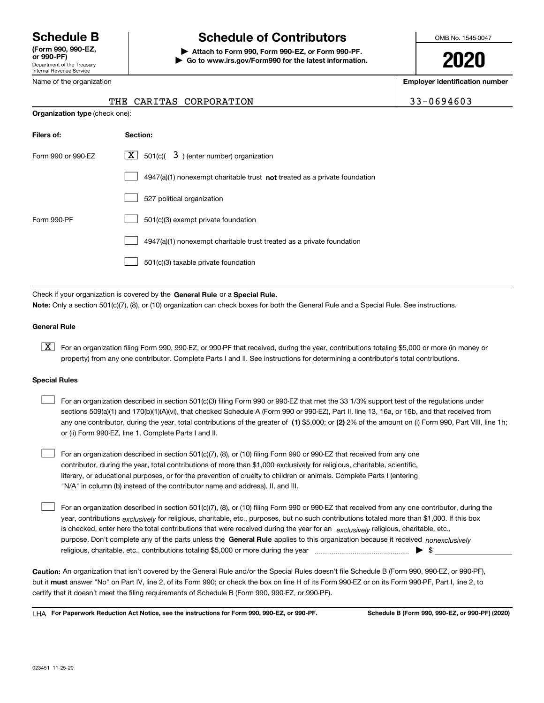Department of the Treasury Internal Revenue Service **(Form 990, 990-EZ, or 990-PF)**

Name of the organization

**Organization type** (check one):

# **Schedule B Schedule of Contributors**

**| Attach to Form 990, Form 990-EZ, or Form 990-PF. | Go to www.irs.gov/Form990 for the latest information.** OMB No. 1545-0047

**2020**

**Employer identification number**

33-0694603

| THE CARITAS CORPORATION |  |
|-------------------------|--|
|-------------------------|--|

| Filers of:         | Section:                                                                    |  |  |  |
|--------------------|-----------------------------------------------------------------------------|--|--|--|
| Form 990 or 990-FZ | $\mid X \mid 501(c)$<br>$3$ ) (enter number) organization                   |  |  |  |
|                    | $4947(a)(1)$ nonexempt charitable trust not treated as a private foundation |  |  |  |
|                    | 527 political organization                                                  |  |  |  |
| Form 990-PF        | 501(c)(3) exempt private foundation                                         |  |  |  |
|                    | 4947(a)(1) nonexempt charitable trust treated as a private foundation       |  |  |  |
|                    | 501(c)(3) taxable private foundation                                        |  |  |  |

Check if your organization is covered by the **General Rule** or a **Special Rule. Note:**  Only a section 501(c)(7), (8), or (10) organization can check boxes for both the General Rule and a Special Rule. See instructions.

#### **General Rule**

 $\boxed{\textbf{X}}$  For an organization filing Form 990, 990-EZ, or 990-PF that received, during the year, contributions totaling \$5,000 or more (in money or property) from any one contributor. Complete Parts I and II. See instructions for determining a contributor's total contributions.

#### **Special Rules**

| For an organization described in section 501(c)(3) filing Form 990 or 990-EZ that met the 33 1/3% support test of the regulations under               |
|-------------------------------------------------------------------------------------------------------------------------------------------------------|
| sections 509(a)(1) and 170(b)(1)(A)(vi), that checked Schedule A (Form 990 or 990-EZ), Part II, line 13, 16a, or 16b, and that received from          |
| any one contributor, during the year, total contributions of the greater of (1) \$5,000; or (2) 2% of the amount on (i) Form 990, Part VIII, line 1h; |
| or (ii) Form 990-EZ, line 1. Complete Parts I and II.                                                                                                 |

For an organization described in section 501(c)(7), (8), or (10) filing Form 990 or 990-EZ that received from any one contributor, during the year, total contributions of more than \$1,000 exclusively for religious, charitable, scientific, literary, or educational purposes, or for the prevention of cruelty to children or animals. Complete Parts I (entering "N/A" in column (b) instead of the contributor name and address), II, and III.  $\mathcal{L}^{\text{max}}$ 

purpose. Don't complete any of the parts unless the **General Rule** applies to this organization because it received *nonexclusively* year, contributions <sub>exclusively</sub> for religious, charitable, etc., purposes, but no such contributions totaled more than \$1,000. If this box is checked, enter here the total contributions that were received during the year for an  $\;$ exclusively religious, charitable, etc., For an organization described in section 501(c)(7), (8), or (10) filing Form 990 or 990-EZ that received from any one contributor, during the religious, charitable, etc., contributions totaling \$5,000 or more during the year  $\Box$ — $\Box$   $\Box$  $\mathcal{L}^{\text{max}}$ 

**Caution:**  An organization that isn't covered by the General Rule and/or the Special Rules doesn't file Schedule B (Form 990, 990-EZ, or 990-PF),  **must** but it answer "No" on Part IV, line 2, of its Form 990; or check the box on line H of its Form 990-EZ or on its Form 990-PF, Part I, line 2, to certify that it doesn't meet the filing requirements of Schedule B (Form 990, 990-EZ, or 990-PF).

**For Paperwork Reduction Act Notice, see the instructions for Form 990, 990-EZ, or 990-PF. Schedule B (Form 990, 990-EZ, or 990-PF) (2020)** LHA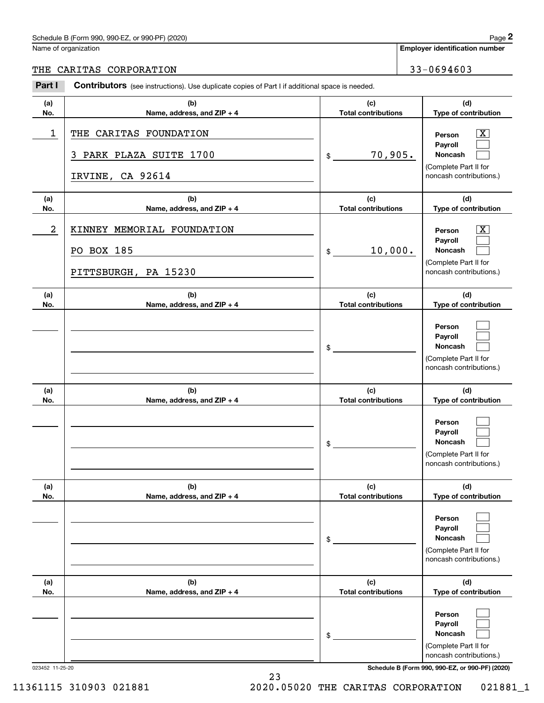#### Schedule B (Form 990, 990-EZ, or 990-PF) (2020) **Page 2** Page 2 and the state of the state of the state of the state of the state of the state of the state of the state of the state of the state of the state of the state o

Name of organization

 $|X|$  $\mathcal{L}^{\text{max}}$  $\mathcal{L}^{\text{max}}$ 

 $\boxed{\text{X}}$  $\mathcal{L}^{\text{max}}$  $\mathcal{L}^{\text{max}}$ 

 $\mathcal{L}^{\text{max}}$  $\mathcal{L}^{\text{max}}$  $\mathcal{L}^{\text{max}}$ 

 $\mathcal{L}^{\text{max}}$  $\mathcal{L}^{\text{max}}$  $\mathcal{L}^{\text{max}}$ 

 $\mathcal{L}^{\text{max}}$  $\mathcal{L}^{\text{max}}$  $\mathcal{L}^{\text{max}}$ 

 $\mathcal{L}^{\text{max}}$  $\mathcal{L}^{\text{max}}$  $\mathcal{L}^{\text{max}}$ 

**Employer identification number**

THE CARITAS CORPORATION **1999** 23-0694603

#### **(a)No.(b)Name, address, and ZIP + 4 (c)Total contributions (d)Type of contribution PersonPayrollNoncash (a)No.(b)Name, address, and ZIP + 4 (c)Total contributions (d)Type of contribution PersonPayrollNoncash (a)No.(b)Name, address, and ZIP + 4 (c)Total contributions (d)Type of contribution PersonPayrollNoncash (a) No.(b)Name, address, and ZIP + 4 (c) Total contributions (d) Type of contribution PersonPayrollNoncash (a) No.(b)Name, address, and ZIP + 4 (c) Total contributions (d) Type of contribution PersonPayrollNoncash(a) No.(b)Name, address, and ZIP + 4 (c)Total contributions (d)Type of contribution PersonPayrollNoncash Contributors** (see instructions). Use duplicate copies of Part I if additional space is needed. \$(Complete Part II for noncash contributions.) \$(Complete Part II for noncash contributions.) \$(Complete Part II for noncash contributions.) \$(Complete Part II for noncash contributions.) \$(Complete Part II for noncash contributions.) \$(Complete Part II for Employer identification Page 2<br>
Iame of organization<br> **2Part I** CARITAS CORPORATION<br> **2Part I** Contributors (see instructions). Use duplicate copies of Part I if additional space is needed. 1 THE CARITAS FOUNDATION THE SERVICE SERVICE SERVICE SERVICE SERVICE SERVICE SERVICE SERVICE SERVICE SERVICE S 70,905. 3 PARK PLAZA SUITE 1700 IRVINE, CA 92614 2 X KINNEY MEMORIAL FOUNDATION 10,000. PO BOX 185 PITTSBURGH, PA 15230

noncash contributions.)

023452 11-25-20 **Schedule B (Form 990, 990-EZ, or 990-PF) (2020)**

11361115 310903 021881 2020.05020 THE CARITAS CORPORATION 021881\_1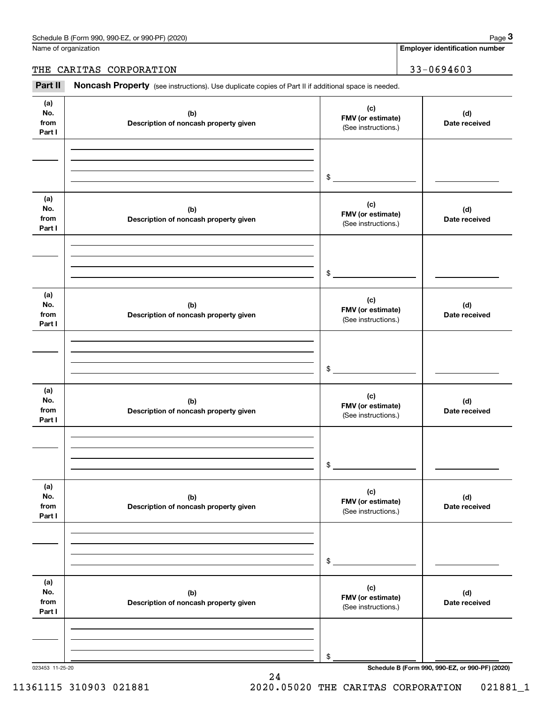Name of organization

**Employer identification number**

THE CARITAS CORPORATION 33-0694603

(see instructions). Use duplicate copies of Part II if additional space is needed.<br> **2Part II Noncash Property** (see instructions). Use duplicate copies of Part II if additional space is needed.<br>
2Part II **Noncash Proper** 

| (a)<br>No.<br>from<br>Part I | (b)<br>Description of noncash property given | (c)<br>FMV (or estimate)<br>(See instructions.) | (d)<br>Date received                            |
|------------------------------|----------------------------------------------|-------------------------------------------------|-------------------------------------------------|
|                              |                                              |                                                 |                                                 |
|                              |                                              | $\frac{1}{2}$                                   |                                                 |
| (a)<br>No.<br>from<br>Part I | (b)<br>Description of noncash property given | (c)<br>FMV (or estimate)<br>(See instructions.) | (d)<br>Date received                            |
|                              |                                              |                                                 |                                                 |
|                              |                                              | $\mathfrak s$                                   |                                                 |
| (a)<br>No.<br>from<br>Part I | (b)<br>Description of noncash property given | (c)<br>FMV (or estimate)<br>(See instructions.) | (d)<br>Date received                            |
|                              |                                              |                                                 |                                                 |
|                              |                                              | $\mathfrak s$                                   |                                                 |
| (a)<br>No.<br>from<br>Part I | (b)<br>Description of noncash property given | (c)<br>FMV (or estimate)<br>(See instructions.) | (d)<br>Date received                            |
|                              |                                              |                                                 |                                                 |
|                              |                                              | $\mathfrak s$                                   |                                                 |
| (a)<br>No.<br>from<br>Part I | (b)<br>Description of noncash property given | (c)<br>FMV (or estimate)<br>(See instructions.) | (d)<br>Date received                            |
|                              |                                              |                                                 |                                                 |
|                              |                                              |                                                 |                                                 |
|                              |                                              | \$                                              |                                                 |
| (a)<br>No.<br>from<br>Part I | (b)<br>Description of noncash property given | (c)<br>FMV (or estimate)<br>(See instructions.) | (d)<br>Date received                            |
|                              |                                              |                                                 |                                                 |
|                              |                                              |                                                 |                                                 |
| 023453 11-25-20              |                                              | \$                                              | Schedule B (Form 990, 990-EZ, or 990-PF) (2020) |

24

11361115 310903 021881 2020.05020 THE CARITAS CORPORATION 021881\_1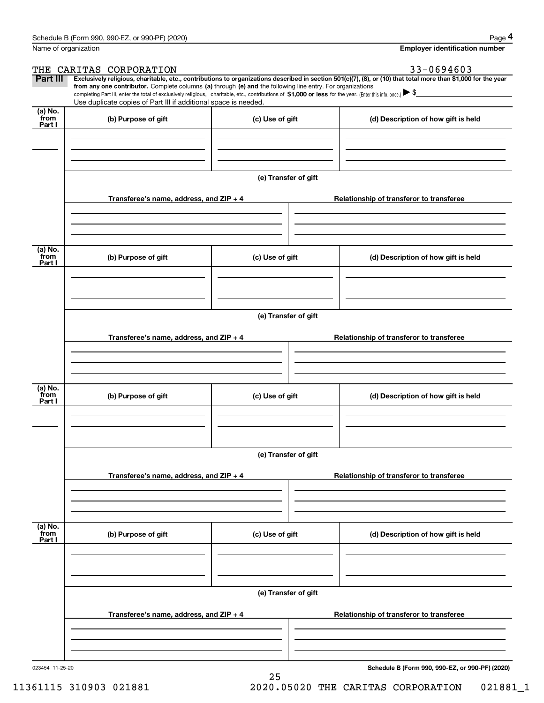|                           | Schedule B (Form 990, 990-EZ, or 990-PF) (2020)                                                                                                                                                                                                                                                 |                      |                                          | Page 4                                          |  |  |  |  |
|---------------------------|-------------------------------------------------------------------------------------------------------------------------------------------------------------------------------------------------------------------------------------------------------------------------------------------------|----------------------|------------------------------------------|-------------------------------------------------|--|--|--|--|
|                           | Name of organization                                                                                                                                                                                                                                                                            |                      |                                          | <b>Employer identification number</b>           |  |  |  |  |
|                           | THE CARITAS CORPORATION                                                                                                                                                                                                                                                                         |                      |                                          | 33-0694603                                      |  |  |  |  |
| <b>Part III</b>           | Exclusively religious, charitable, etc., contributions to organizations described in section 501(c)(7), (8), or (10) that total more than \$1,000 for the year                                                                                                                                  |                      |                                          |                                                 |  |  |  |  |
|                           | from any one contributor. Complete columns (a) through (e) and the following line entry. For organizations<br>completing Part III, enter the total of exclusively religious, charitable, etc., contributions of \$1,000 or less for the year. (Enter this info. once.) $\blacktriangleright$ \$ |                      |                                          |                                                 |  |  |  |  |
|                           | Use duplicate copies of Part III if additional space is needed.                                                                                                                                                                                                                                 |                      |                                          |                                                 |  |  |  |  |
| (a) No.<br>from<br>Part I | (b) Purpose of gift                                                                                                                                                                                                                                                                             | (c) Use of gift      |                                          | (d) Description of how gift is held             |  |  |  |  |
|                           |                                                                                                                                                                                                                                                                                                 |                      |                                          |                                                 |  |  |  |  |
|                           |                                                                                                                                                                                                                                                                                                 |                      |                                          |                                                 |  |  |  |  |
|                           |                                                                                                                                                                                                                                                                                                 | (e) Transfer of gift |                                          |                                                 |  |  |  |  |
|                           | Transferee's name, address, and ZIP + 4                                                                                                                                                                                                                                                         |                      |                                          | Relationship of transferor to transferee        |  |  |  |  |
| (a) No.                   |                                                                                                                                                                                                                                                                                                 |                      |                                          |                                                 |  |  |  |  |
| from<br>Part I            | (b) Purpose of gift                                                                                                                                                                                                                                                                             | (c) Use of gift      |                                          | (d) Description of how gift is held             |  |  |  |  |
|                           |                                                                                                                                                                                                                                                                                                 |                      |                                          |                                                 |  |  |  |  |
|                           | (e) Transfer of gift                                                                                                                                                                                                                                                                            |                      |                                          |                                                 |  |  |  |  |
|                           | Transferee's name, address, and ZIP + 4                                                                                                                                                                                                                                                         |                      | Relationship of transferor to transferee |                                                 |  |  |  |  |
|                           |                                                                                                                                                                                                                                                                                                 |                      |                                          |                                                 |  |  |  |  |
| (a) No.                   |                                                                                                                                                                                                                                                                                                 |                      |                                          |                                                 |  |  |  |  |
| from<br>Part I            | (b) Purpose of gift                                                                                                                                                                                                                                                                             | (c) Use of gift      |                                          | (d) Description of how gift is held             |  |  |  |  |
|                           |                                                                                                                                                                                                                                                                                                 |                      |                                          |                                                 |  |  |  |  |
|                           | (e) Transfer of gift                                                                                                                                                                                                                                                                            |                      |                                          |                                                 |  |  |  |  |
|                           | Transferee's name, address, and $ZIP + 4$                                                                                                                                                                                                                                                       |                      | Relationship of transferor to transferee |                                                 |  |  |  |  |
|                           |                                                                                                                                                                                                                                                                                                 |                      |                                          |                                                 |  |  |  |  |
|                           |                                                                                                                                                                                                                                                                                                 |                      |                                          |                                                 |  |  |  |  |
| (a) No.<br>from<br>Part I | (b) Purpose of gift                                                                                                                                                                                                                                                                             | (c) Use of gift      |                                          | (d) Description of how gift is held             |  |  |  |  |
|                           |                                                                                                                                                                                                                                                                                                 |                      |                                          |                                                 |  |  |  |  |
|                           | (e) Transfer of gift                                                                                                                                                                                                                                                                            |                      |                                          |                                                 |  |  |  |  |
|                           |                                                                                                                                                                                                                                                                                                 |                      |                                          |                                                 |  |  |  |  |
|                           | Transferee's name, address, and $ZIP + 4$                                                                                                                                                                                                                                                       |                      |                                          | Relationship of transferor to transferee        |  |  |  |  |
|                           |                                                                                                                                                                                                                                                                                                 |                      |                                          |                                                 |  |  |  |  |
| 023454 11-25-20           |                                                                                                                                                                                                                                                                                                 |                      |                                          | Schedule B (Form 990, 990-EZ, or 990-PF) (2020) |  |  |  |  |

25

**Schedule B (Form 990, 990-EZ, or 990-PF) (2020)**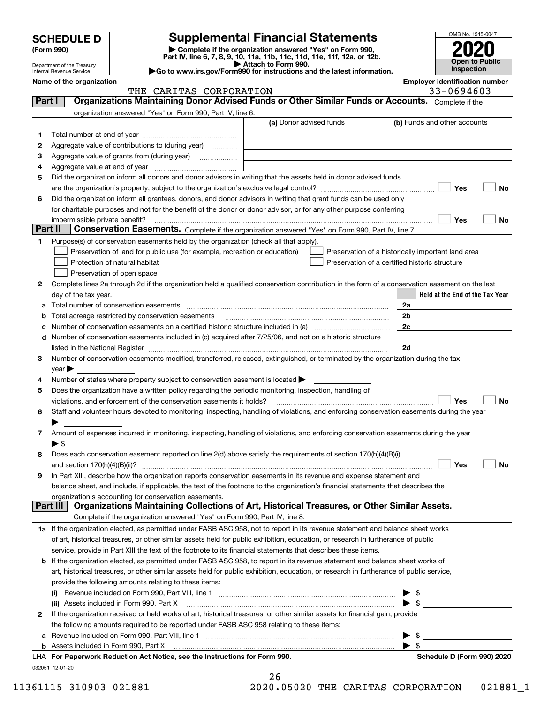|  | <b>SCHEDULE D</b> |  |  |
|--|-------------------|--|--|
|  |                   |  |  |

# **Supplemental Financial Statements**

(Form 990)<br>
Pepartment of the Treasury<br>
Department of the Treasury<br>
Department of the Treasury<br>
Department of the Treasury<br> **Co to www.irs.gov/Form990 for instructions and the latest information.**<br> **Co to www.irs.gov/Form9** 

THE CARITAS CORPORATION 33-0694603



Department of the Treasury Internal Revenue Service **Name of the organization Employer identification number**

| Part I  | <b>Organizations Maintaining Donor Advised Funds or Other Similar Funds or Accounts.</b> Complete if the                                                          |                         |                                                    |
|---------|-------------------------------------------------------------------------------------------------------------------------------------------------------------------|-------------------------|----------------------------------------------------|
|         | organization answered "Yes" on Form 990, Part IV, line 6.                                                                                                         | (a) Donor advised funds | (b) Funds and other accounts                       |
| 1       |                                                                                                                                                                   |                         |                                                    |
| 2       | Aggregate value of contributions to (during year)                                                                                                                 |                         |                                                    |
| 3       | Aggregate value of grants from (during year)                                                                                                                      |                         |                                                    |
| 4       |                                                                                                                                                                   |                         |                                                    |
| 5       | Did the organization inform all donors and donor advisors in writing that the assets held in donor advised funds                                                  |                         |                                                    |
|         |                                                                                                                                                                   |                         | Yes<br>No                                          |
| 6       | Did the organization inform all grantees, donors, and donor advisors in writing that grant funds can be used only                                                 |                         |                                                    |
|         | for charitable purposes and not for the benefit of the donor or donor advisor, or for any other purpose conferring                                                |                         |                                                    |
|         | impermissible private benefit?                                                                                                                                    |                         | Yes<br>No                                          |
| Part II | Conservation Easements. Complete if the organization answered "Yes" on Form 990, Part IV, line 7.                                                                 |                         |                                                    |
| 1       | Purpose(s) of conservation easements held by the organization (check all that apply).                                                                             |                         |                                                    |
|         | Preservation of land for public use (for example, recreation or education)                                                                                        |                         | Preservation of a historically important land area |
|         | Protection of natural habitat                                                                                                                                     |                         | Preservation of a certified historic structure     |
|         | Preservation of open space                                                                                                                                        |                         |                                                    |
| 2       | Complete lines 2a through 2d if the organization held a qualified conservation contribution in the form of a conservation easement on the last                    |                         |                                                    |
|         | day of the tax year.                                                                                                                                              |                         | Held at the End of the Tax Year                    |
|         |                                                                                                                                                                   |                         | 2a                                                 |
| b       | Total acreage restricted by conservation easements                                                                                                                |                         | 2 <sub>b</sub>                                     |
| c       |                                                                                                                                                                   |                         | 2c                                                 |
|         | d Number of conservation easements included in (c) acquired after 7/25/06, and not on a historic structure                                                        |                         |                                                    |
|         |                                                                                                                                                                   |                         | 2d                                                 |
| 3       | Number of conservation easements modified, transferred, released, extinguished, or terminated by the organization during the tax                                  |                         |                                                    |
|         | $year \blacktriangleright$                                                                                                                                        |                         |                                                    |
| 4       | Number of states where property subject to conservation easement is located $\blacktriangleright$                                                                 |                         |                                                    |
| 5       | Does the organization have a written policy regarding the periodic monitoring, inspection, handling of                                                            |                         |                                                    |
|         | violations, and enforcement of the conservation easements it holds?                                                                                               |                         | Yes<br><b>No</b>                                   |
| 6       | Staff and volunteer hours devoted to monitoring, inspecting, handling of violations, and enforcing conservation easements during the year                         |                         |                                                    |
|         |                                                                                                                                                                   |                         |                                                    |
| 7       | Amount of expenses incurred in monitoring, inspecting, handling of violations, and enforcing conservation easements during the year                               |                         |                                                    |
|         | $\blacktriangleright$ s                                                                                                                                           |                         |                                                    |
| 8       | Does each conservation easement reported on line 2(d) above satisfy the requirements of section 170(h)(4)(B)(i)                                                   |                         |                                                    |
|         |                                                                                                                                                                   |                         | Yes<br>No                                          |
| 9       | In Part XIII, describe how the organization reports conservation easements in its revenue and expense statement and                                               |                         |                                                    |
|         | balance sheet, and include, if applicable, the text of the footnote to the organization's financial statements that describes the                                 |                         |                                                    |
|         | organization's accounting for conservation easements.<br>Organizations Maintaining Collections of Art, Historical Treasures, or Other Similar Assets.<br>Part III |                         |                                                    |
|         | Complete if the organization answered "Yes" on Form 990, Part IV, line 8.                                                                                         |                         |                                                    |
|         | 1a If the organization elected, as permitted under FASB ASC 958, not to report in its revenue statement and balance sheet works                                   |                         |                                                    |
|         | of art, historical treasures, or other similar assets held for public exhibition, education, or research in furtherance of public                                 |                         |                                                    |
|         | service, provide in Part XIII the text of the footnote to its financial statements that describes these items.                                                    |                         |                                                    |
|         | <b>b</b> If the organization elected, as permitted under FASB ASC 958, to report in its revenue statement and balance sheet works of                              |                         |                                                    |
|         | art, historical treasures, or other similar assets held for public exhibition, education, or research in furtherance of public service,                           |                         |                                                    |
|         | provide the following amounts relating to these items:                                                                                                            |                         |                                                    |
|         |                                                                                                                                                                   |                         | $\blacktriangleright$ \$                           |
|         | (ii) Assets included in Form 990, Part X                                                                                                                          |                         | $\triangleright$ \$                                |
| 2       | If the organization received or held works of art, historical treasures, or other similar assets for financial gain, provide                                      |                         |                                                    |
|         | the following amounts required to be reported under FASB ASC 958 relating to these items:                                                                         |                         |                                                    |
|         |                                                                                                                                                                   |                         |                                                    |
|         |                                                                                                                                                                   |                         | $\blacktriangleright$ \$                           |
|         | LHA For Paperwork Reduction Act Notice, see the Instructions for Form 990.                                                                                        |                         | Schedule D (Form 990) 2020                         |
|         | 032051 12-01-20                                                                                                                                                   |                         |                                                    |
|         |                                                                                                                                                                   | 26                      |                                                    |

| ∠ ∪ |  |              |  |  |
|-----|--|--------------|--|--|
| n.  |  | <b>OEOOO</b> |  |  |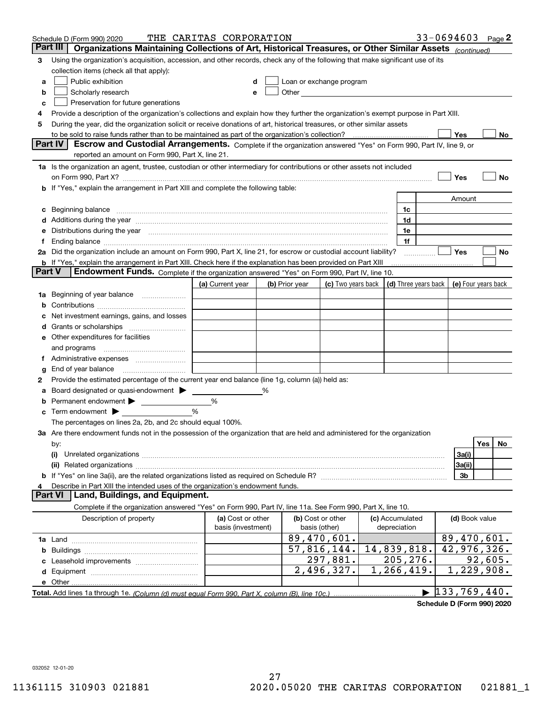|        | Schedule D (Form 990) 2020                                                                                                                                                                                                                                                                                                                           | THE CARITAS CORPORATION |   |                |                                                      |                          | 33-0694603 $_{Page}$ 2             |         |    |
|--------|------------------------------------------------------------------------------------------------------------------------------------------------------------------------------------------------------------------------------------------------------------------------------------------------------------------------------------------------------|-------------------------|---|----------------|------------------------------------------------------|--------------------------|------------------------------------|---------|----|
|        | Part III<br>Organizations Maintaining Collections of Art, Historical Treasures, or Other Similar Assets (continued)                                                                                                                                                                                                                                  |                         |   |                |                                                      |                          |                                    |         |    |
| 3      | Using the organization's acquisition, accession, and other records, check any of the following that make significant use of its                                                                                                                                                                                                                      |                         |   |                |                                                      |                          |                                    |         |    |
|        | collection items (check all that apply):                                                                                                                                                                                                                                                                                                             |                         |   |                |                                                      |                          |                                    |         |    |
| a      | Public exhibition                                                                                                                                                                                                                                                                                                                                    | d                       |   |                | Loan or exchange program                             |                          |                                    |         |    |
| b      | Scholarly research                                                                                                                                                                                                                                                                                                                                   | е                       |   |                | Other <b>Committee Committee Committee Committee</b> |                          |                                    |         |    |
| c      | Preservation for future generations                                                                                                                                                                                                                                                                                                                  |                         |   |                |                                                      |                          |                                    |         |    |
| 4      | Provide a description of the organization's collections and explain how they further the organization's exempt purpose in Part XIII.                                                                                                                                                                                                                 |                         |   |                |                                                      |                          |                                    |         |    |
| 5      | During the year, did the organization solicit or receive donations of art, historical treasures, or other similar assets                                                                                                                                                                                                                             |                         |   |                |                                                      |                          |                                    |         |    |
|        | to be sold to raise funds rather than to be maintained as part of the organization's collection?                                                                                                                                                                                                                                                     |                         |   |                |                                                      |                          | Yes                                |         | No |
|        | <b>Part IV</b><br>Escrow and Custodial Arrangements. Complete if the organization answered "Yes" on Form 990, Part IV, line 9, or                                                                                                                                                                                                                    |                         |   |                |                                                      |                          |                                    |         |    |
|        | reported an amount on Form 990, Part X, line 21.                                                                                                                                                                                                                                                                                                     |                         |   |                |                                                      |                          |                                    |         |    |
|        | 1a Is the organization an agent, trustee, custodian or other intermediary for contributions or other assets not included                                                                                                                                                                                                                             |                         |   |                |                                                      |                          |                                    |         |    |
|        | on Form 990, Part X? [11] matter and the contract of the contract of the contract of the contract of the contract of the contract of the contract of the contract of the contract of the contract of the contract of the contr                                                                                                                       |                         |   |                |                                                      |                          | Yes                                |         | No |
|        | If "Yes," explain the arrangement in Part XIII and complete the following table:                                                                                                                                                                                                                                                                     |                         |   |                |                                                      |                          |                                    |         |    |
|        |                                                                                                                                                                                                                                                                                                                                                      |                         |   |                |                                                      |                          | Amount                             |         |    |
| c      | Beginning balance                                                                                                                                                                                                                                                                                                                                    |                         |   |                |                                                      | 1c                       |                                    |         |    |
| d      | Additions during the year manufactured and an annual contract of the year manufactured and all the year manufactured and all the year manufactured and all the year manufactured and all the year manufactured and all the yea                                                                                                                       |                         |   |                |                                                      | 1d                       |                                    |         |    |
| е      | Distributions during the year manufactured and continuum and contained and the year manufactured and contained                                                                                                                                                                                                                                       |                         |   |                |                                                      | 1e<br>1f                 |                                    |         |    |
|        | Ending balance manufacture contract contract and contract contract contract contract contract contract contract contract contract contract contract contract contract contract contract contract contract contract contract co<br>2a Did the organization include an amount on Form 990, Part X, line 21, for escrow or custodial account liability? |                         |   |                |                                                      |                          | Yes                                |         | No |
|        | <b>b</b> If "Yes," explain the arrangement in Part XIII. Check here if the explanation has been provided on Part XIII                                                                                                                                                                                                                                |                         |   |                |                                                      |                          |                                    |         |    |
| Part V | Endowment Funds. Complete if the organization answered "Yes" on Form 990, Part IV, line 10.                                                                                                                                                                                                                                                          |                         |   |                |                                                      |                          |                                    |         |    |
|        |                                                                                                                                                                                                                                                                                                                                                      | (a) Current year        |   | (b) Prior year | (c) Two years back                                   | (d) Three years back     | (e) Four years back                |         |    |
| 1a     | Beginning of year balance                                                                                                                                                                                                                                                                                                                            |                         |   |                |                                                      |                          |                                    |         |    |
| b      |                                                                                                                                                                                                                                                                                                                                                      |                         |   |                |                                                      |                          |                                    |         |    |
|        | Net investment earnings, gains, and losses                                                                                                                                                                                                                                                                                                           |                         |   |                |                                                      |                          |                                    |         |    |
| a      |                                                                                                                                                                                                                                                                                                                                                      |                         |   |                |                                                      |                          |                                    |         |    |
| е      | Other expenditures for facilities                                                                                                                                                                                                                                                                                                                    |                         |   |                |                                                      |                          |                                    |         |    |
|        | and programs                                                                                                                                                                                                                                                                                                                                         |                         |   |                |                                                      |                          |                                    |         |    |
| Ť.     | Administrative expenses                                                                                                                                                                                                                                                                                                                              |                         |   |                |                                                      |                          |                                    |         |    |
| g      | End of year balance                                                                                                                                                                                                                                                                                                                                  |                         |   |                |                                                      |                          |                                    |         |    |
| 2      | Provide the estimated percentage of the current year end balance (line 1g, column (a)) held as:                                                                                                                                                                                                                                                      |                         |   |                |                                                      |                          |                                    |         |    |
|        | Board designated or quasi-endowment > ____                                                                                                                                                                                                                                                                                                           |                         | % |                |                                                      |                          |                                    |         |    |
| b      | Permanent endowment > _______________                                                                                                                                                                                                                                                                                                                | %                       |   |                |                                                      |                          |                                    |         |    |
| c      | Term endowment $\blacktriangleright$                                                                                                                                                                                                                                                                                                                 | %                       |   |                |                                                      |                          |                                    |         |    |
|        | The percentages on lines 2a, 2b, and 2c should equal 100%.                                                                                                                                                                                                                                                                                           |                         |   |                |                                                      |                          |                                    |         |    |
|        | 3a Are there endowment funds not in the possession of the organization that are held and administered for the organization                                                                                                                                                                                                                           |                         |   |                |                                                      |                          |                                    |         |    |
|        | by:                                                                                                                                                                                                                                                                                                                                                  |                         |   |                |                                                      |                          |                                    | Yes     | No |
|        | (i)                                                                                                                                                                                                                                                                                                                                                  |                         |   |                |                                                      |                          | 3a(i)                              |         |    |
|        |                                                                                                                                                                                                                                                                                                                                                      |                         |   |                |                                                      |                          | 3a(ii)                             |         |    |
|        |                                                                                                                                                                                                                                                                                                                                                      |                         |   |                |                                                      |                          | 3b                                 |         |    |
|        | Describe in Part XIII the intended uses of the organization's endowment funds.<br>Land, Buildings, and Equipment.<br>Part VI                                                                                                                                                                                                                         |                         |   |                |                                                      |                          |                                    |         |    |
|        | Complete if the organization answered "Yes" on Form 990, Part IV, line 11a. See Form 990, Part X, line 10.                                                                                                                                                                                                                                           |                         |   |                |                                                      |                          |                                    |         |    |
|        | Description of property                                                                                                                                                                                                                                                                                                                              | (a) Cost or other       |   |                | (b) Cost or other                                    | (c) Accumulated          | (d) Book value                     |         |    |
|        |                                                                                                                                                                                                                                                                                                                                                      | basis (investment)      |   |                | basis (other)                                        | depreciation             |                                    |         |    |
|        |                                                                                                                                                                                                                                                                                                                                                      |                         |   |                | 89,470,601.                                          |                          | $\overline{89,470,601}$ .          |         |    |
| b      |                                                                                                                                                                                                                                                                                                                                                      |                         |   |                | 57,816,144.                                          | 14,839,818.              | 42,976,326.                        |         |    |
|        |                                                                                                                                                                                                                                                                                                                                                      |                         |   |                | 297,881.                                             | 205,276.                 |                                    | 92,605. |    |
|        |                                                                                                                                                                                                                                                                                                                                                      |                         |   |                | 2,496,327.                                           | $\overline{1,266,419}$ . | 1,229,908.                         |         |    |
|        | e Other                                                                                                                                                                                                                                                                                                                                              |                         |   |                |                                                      |                          |                                    |         |    |
|        |                                                                                                                                                                                                                                                                                                                                                      |                         |   |                |                                                      |                          | $\blacktriangleright$ 133,769,440. |         |    |
|        |                                                                                                                                                                                                                                                                                                                                                      |                         |   |                |                                                      |                          |                                    |         |    |

**Schedule D (Form 990) 2020**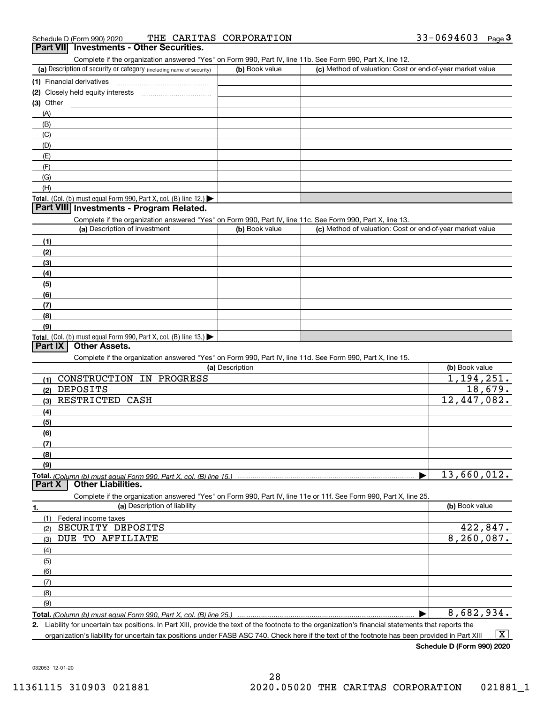| Schedule D (Form 990) 2020                      |  | THE CARITAS CORPORATION | 33-0694603 | Page |
|-------------------------------------------------|--|-------------------------|------------|------|
| <b>Part VII</b> Investments - Other Securities. |  |                         |            |      |

| rant vill<br><b>INVESTINGINS - OUTER OCCUTTUES.</b>                                                                                                                                |                 |                                                           |                          |
|------------------------------------------------------------------------------------------------------------------------------------------------------------------------------------|-----------------|-----------------------------------------------------------|--------------------------|
| Complete if the organization answered "Yes" on Form 990, Part IV, line 11b. See Form 990, Part X, line 12.<br>(a) Description of security or category (including name of security) | (b) Book value  | (c) Method of valuation: Cost or end-of-year market value |                          |
| (1) Financial derivatives                                                                                                                                                          |                 |                                                           |                          |
|                                                                                                                                                                                    |                 |                                                           |                          |
| (3) Other                                                                                                                                                                          |                 |                                                           |                          |
|                                                                                                                                                                                    |                 |                                                           |                          |
| (A)                                                                                                                                                                                |                 |                                                           |                          |
| (B)                                                                                                                                                                                |                 |                                                           |                          |
| (C)                                                                                                                                                                                |                 |                                                           |                          |
| (D)                                                                                                                                                                                |                 |                                                           |                          |
| (E)                                                                                                                                                                                |                 |                                                           |                          |
| (F)                                                                                                                                                                                |                 |                                                           |                          |
| (G)                                                                                                                                                                                |                 |                                                           |                          |
| (H)                                                                                                                                                                                |                 |                                                           |                          |
| Total. (Col. (b) must equal Form 990, Part X, col. (B) line 12.)                                                                                                                   |                 |                                                           |                          |
| Part VIII Investments - Program Related.                                                                                                                                           |                 |                                                           |                          |
| Complete if the organization answered "Yes" on Form 990, Part IV, line 11c. See Form 990, Part X, line 13.                                                                         |                 |                                                           |                          |
| (a) Description of investment                                                                                                                                                      | (b) Book value  | (c) Method of valuation: Cost or end-of-year market value |                          |
| (1)                                                                                                                                                                                |                 |                                                           |                          |
| (2)                                                                                                                                                                                |                 |                                                           |                          |
| (3)                                                                                                                                                                                |                 |                                                           |                          |
| (4)                                                                                                                                                                                |                 |                                                           |                          |
| (5)                                                                                                                                                                                |                 |                                                           |                          |
| (6)                                                                                                                                                                                |                 |                                                           |                          |
| (7)                                                                                                                                                                                |                 |                                                           |                          |
|                                                                                                                                                                                    |                 |                                                           |                          |
| (8)                                                                                                                                                                                |                 |                                                           |                          |
| (9)                                                                                                                                                                                |                 |                                                           |                          |
| Total. (Col. (b) must equal Form 990, Part X, col. (B) line 13.)<br>Part IX<br><b>Other Assets.</b>                                                                                |                 |                                                           |                          |
|                                                                                                                                                                                    |                 |                                                           |                          |
| Complete if the organization answered "Yes" on Form 990, Part IV, line 11d. See Form 990, Part X, line 15.                                                                         | (a) Description |                                                           | (b) Book value           |
|                                                                                                                                                                                    |                 |                                                           |                          |
| CONSTRUCTION IN PROGRESS<br>(1)                                                                                                                                                    |                 |                                                           | $\overline{1,194,251}$ . |
| DEPOSITS<br>(2)                                                                                                                                                                    |                 |                                                           | 18,679.                  |
| RESTRICTED CASH<br>(3)                                                                                                                                                             |                 |                                                           | 12,447,082.              |
| (4)                                                                                                                                                                                |                 |                                                           |                          |
| (5)                                                                                                                                                                                |                 |                                                           |                          |
| (6)                                                                                                                                                                                |                 |                                                           |                          |
| (7)                                                                                                                                                                                |                 |                                                           |                          |
| (8)                                                                                                                                                                                |                 |                                                           |                          |
| (9)                                                                                                                                                                                |                 |                                                           |                          |
| Part X<br><b>Other Liabilities.</b>                                                                                                                                                |                 |                                                           | 13,660,012.              |
|                                                                                                                                                                                    |                 |                                                           |                          |
| Complete if the organization answered "Yes" on Form 990, Part IV, line 11e or 11f. See Form 990, Part X, line 25.<br>(a) Description of liability                                  |                 |                                                           | (b) Book value           |
| 1.                                                                                                                                                                                 |                 |                                                           |                          |
| (1)<br>Federal income taxes                                                                                                                                                        |                 |                                                           |                          |
| SECURITY DEPOSITS<br>(2)                                                                                                                                                           |                 |                                                           | 422,847.                 |
| DUE TO AFFILIATE<br>(3)                                                                                                                                                            |                 |                                                           | 8, 260, 087.             |
| (4)                                                                                                                                                                                |                 |                                                           |                          |
| (5)                                                                                                                                                                                |                 |                                                           |                          |
| (6)                                                                                                                                                                                |                 |                                                           |                          |
| (7)                                                                                                                                                                                |                 |                                                           |                          |
| (8)                                                                                                                                                                                |                 |                                                           |                          |
| (9)                                                                                                                                                                                |                 |                                                           |                          |
|                                                                                                                                                                                    |                 |                                                           | 8,682,934.               |
|                                                                                                                                                                                    |                 |                                                           |                          |

**2.** Liability for uncertain tax positions. In Part XIII, provide the text of the footnote to the organization's financial statements that reports the organization's liability for uncertain tax positions under FASB ASC 740. Check here if the text of the footnote has been provided in Part XIII  $\boxed{\text{X}}$ 

**Schedule D (Form 990) 2020**

032053 12-01-20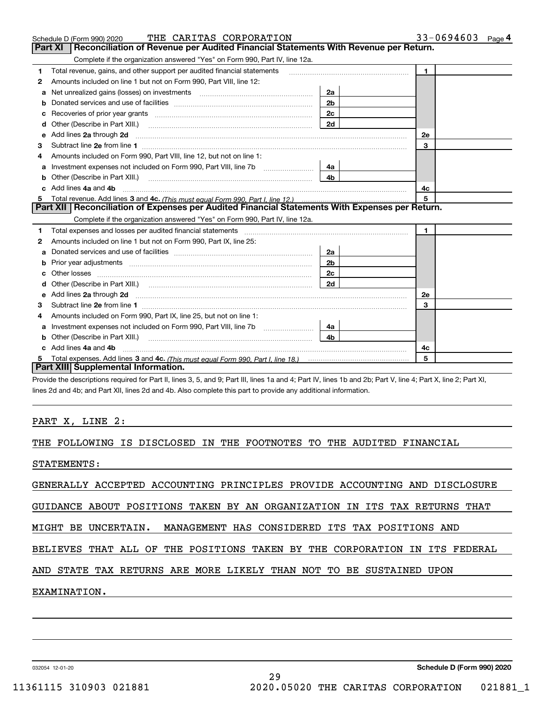|    | THE CARITAS CORPORATION<br>Schedule D (Form 990) 2020                                                                                        |                | 33-0694603<br>Page $\mathbf 4$ |
|----|----------------------------------------------------------------------------------------------------------------------------------------------|----------------|--------------------------------|
|    | <b>Part XI</b><br>Reconciliation of Revenue per Audited Financial Statements With Revenue per Return.                                        |                |                                |
|    | Complete if the organization answered "Yes" on Form 990, Part IV, line 12a.                                                                  |                |                                |
| 1  | Total revenue, gains, and other support per audited financial statements                                                                     |                | $\blacksquare$                 |
| 2  | Amounts included on line 1 but not on Form 990, Part VIII, line 12:                                                                          |                |                                |
| a  | Net unrealized gains (losses) on investments [11] matter contracts and the unrealized gains (losses) on investments                          | 2a             |                                |
|    |                                                                                                                                              | 2 <sub>b</sub> |                                |
|    |                                                                                                                                              | 2c             |                                |
| d  |                                                                                                                                              | 2d             |                                |
| е  | Add lines 2a through 2d                                                                                                                      |                | 2e                             |
| З  |                                                                                                                                              |                | 3                              |
| 4  | Amounts included on Form 990, Part VIII, line 12, but not on line 1:                                                                         |                |                                |
|    | Investment expenses not included on Form 990, Part VIII, line 7b [111] [11] Investment expenses not included on Form 990, Part VIII, line 7b | 4a             |                                |
|    |                                                                                                                                              | 4 <sub>b</sub> |                                |
| c. | Add lines 4a and 4b                                                                                                                          |                | 4с                             |
|    |                                                                                                                                              |                | 5                              |
|    | Part XII   Reconciliation of Expenses per Audited Financial Statements With Expenses per Return.                                             |                |                                |
|    | Complete if the organization answered "Yes" on Form 990, Part IV, line 12a.                                                                  |                |                                |
| 1  |                                                                                                                                              |                | $\mathbf{1}$                   |
| 2  | Amounts included on line 1 but not on Form 990, Part IX, line 25:                                                                            |                |                                |
| a  |                                                                                                                                              | 2a             |                                |
| b  |                                                                                                                                              | 2 <sub>b</sub> |                                |
|    | Other losses                                                                                                                                 | 2c             |                                |
| d  |                                                                                                                                              | 2d             |                                |
| е  | Add lines 2a through 2d <b>must be a constructed as the constant of the constant of the constant of the construction</b>                     |                | <b>2e</b>                      |
| з  |                                                                                                                                              |                | 3                              |
| 4  | Amounts included on Form 990, Part IX, line 25, but not on line 1:                                                                           |                |                                |
| a  | Investment expenses not included on Form 990, Part VIII, line 7b [111] [11] Investment expenses not included on Form 990, Part VIII, line 7b | 4a             |                                |
|    | Other (Describe in Part XIII.)                                                                                                               | 4 <sub>b</sub> |                                |
| c  | Add lines 4a and 4b                                                                                                                          |                | 4c                             |
|    |                                                                                                                                              |                | 5                              |
|    | Part XIII Supplemental Information.                                                                                                          |                |                                |

Provide the descriptions required for Part II, lines 3, 5, and 9; Part III, lines 1a and 4; Part IV, lines 1b and 2b; Part V, line 4; Part X, line 2; Part XI, lines 2d and 4b; and Part XII, lines 2d and 4b. Also complete this part to provide any additional information.

# PART X, LINE 2:

THE FOLLOWING IS DISCLOSED IN THE FOOTNOTES TO THE AUDITED FINANCIAL

STATEMENTS:

GENERALLY ACCEPTED ACCOUNTING PRINCIPLES PROVIDE ACCOUNTING AND DISCLOSURE

GUIDANCE ABOUT POSITIONS TAKEN BY AN ORGANIZATION IN ITS TAX RETURNS THAT

MIGHT BE UNCERTAIN. MANAGEMENT HAS CONSIDERED ITS TAX POSITIONS AND

BELIEVES THAT ALL OF THE POSITIONS TAKEN BY THE CORPORATION IN ITS FEDERAL

29

AND STATE TAX RETURNS ARE MORE LIKELY THAN NOT TO BE SUSTAINED UPON

EXAMINATION.

032054 12-01-20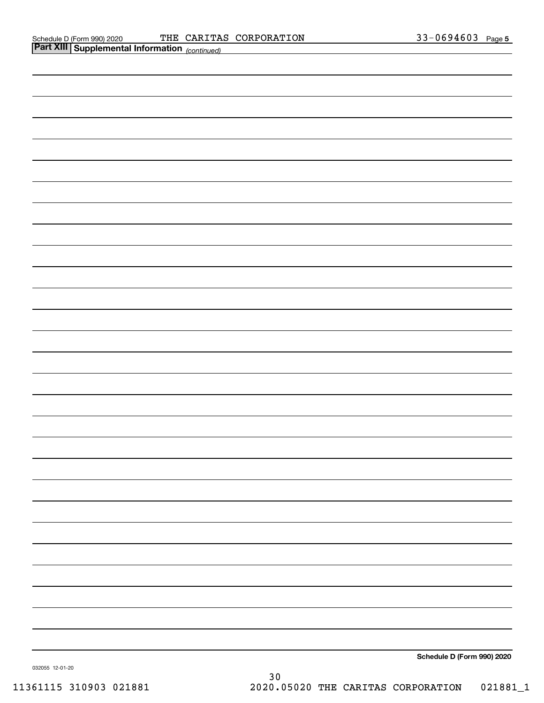| <b>Part AIII</b> Supplemental Information <sub>(continued)</sub> |                            |
|------------------------------------------------------------------|----------------------------|
|                                                                  |                            |
|                                                                  |                            |
|                                                                  |                            |
|                                                                  |                            |
|                                                                  |                            |
|                                                                  |                            |
|                                                                  |                            |
|                                                                  |                            |
|                                                                  |                            |
|                                                                  |                            |
|                                                                  |                            |
|                                                                  |                            |
|                                                                  |                            |
|                                                                  |                            |
|                                                                  |                            |
|                                                                  |                            |
|                                                                  |                            |
|                                                                  |                            |
|                                                                  |                            |
|                                                                  |                            |
|                                                                  |                            |
|                                                                  |                            |
|                                                                  |                            |
|                                                                  |                            |
|                                                                  |                            |
|                                                                  |                            |
|                                                                  |                            |
|                                                                  |                            |
|                                                                  |                            |
|                                                                  |                            |
|                                                                  |                            |
|                                                                  |                            |
|                                                                  | Schedule D (Form 990) 2020 |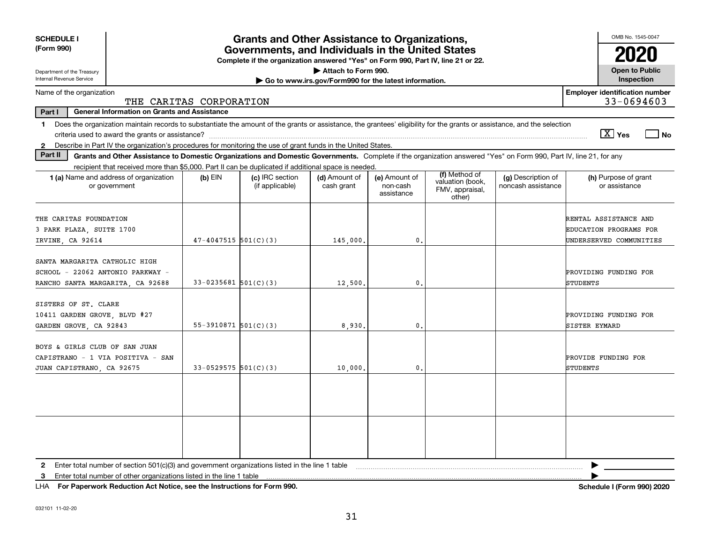| <b>SCHEDULE I</b><br>(Form 990)                                                                                                                                                                                                                                                                            | <b>Grants and Other Assistance to Organizations,</b><br>Governments, and Individuals in the United States<br>Complete if the organization answered "Yes" on Form 990, Part IV, line 21 or 22. |                                    |                                                       |                                         |                                                                |                                          |                                                                                   |  |  |
|------------------------------------------------------------------------------------------------------------------------------------------------------------------------------------------------------------------------------------------------------------------------------------------------------------|-----------------------------------------------------------------------------------------------------------------------------------------------------------------------------------------------|------------------------------------|-------------------------------------------------------|-----------------------------------------|----------------------------------------------------------------|------------------------------------------|-----------------------------------------------------------------------------------|--|--|
| Department of the Treasury<br>Internal Revenue Service                                                                                                                                                                                                                                                     |                                                                                                                                                                                               |                                    | Attach to Form 990.                                   |                                         |                                                                |                                          | <b>Open to Public</b><br>Inspection                                               |  |  |
| Name of the organization                                                                                                                                                                                                                                                                                   |                                                                                                                                                                                               |                                    | Go to www.irs.gov/Form990 for the latest information. |                                         |                                                                |                                          | <b>Employer identification number</b>                                             |  |  |
| THE CARITAS CORPORATION                                                                                                                                                                                                                                                                                    |                                                                                                                                                                                               |                                    |                                                       |                                         |                                                                |                                          | 33-0694603                                                                        |  |  |
| Part I<br><b>General Information on Grants and Assistance</b>                                                                                                                                                                                                                                              |                                                                                                                                                                                               |                                    |                                                       |                                         |                                                                |                                          |                                                                                   |  |  |
| Does the organization maintain records to substantiate the amount of the grants or assistance, the grantees' eligibility for the grants or assistance, and the selection<br>$\mathbf 1$<br>2 Describe in Part IV the organization's procedures for monitoring the use of grant funds in the United States. |                                                                                                                                                                                               |                                    |                                                       |                                         |                                                                |                                          | $\sqrt{X}$ Yes<br>$\overline{\phantom{a}}$ No                                     |  |  |
| Part II<br>Grants and Other Assistance to Domestic Organizations and Domestic Governments. Complete if the organization answered "Yes" on Form 990, Part IV, line 21, for any                                                                                                                              |                                                                                                                                                                                               |                                    |                                                       |                                         |                                                                |                                          |                                                                                   |  |  |
| recipient that received more than \$5,000. Part II can be duplicated if additional space is needed.                                                                                                                                                                                                        |                                                                                                                                                                                               |                                    |                                                       |                                         |                                                                |                                          |                                                                                   |  |  |
| <b>1 (a)</b> Name and address of organization<br>or government                                                                                                                                                                                                                                             | $(b)$ EIN                                                                                                                                                                                     | (c) IRC section<br>(if applicable) | (d) Amount of<br>cash grant                           | (e) Amount of<br>non-cash<br>assistance | (f) Method of<br>valuation (book,<br>FMV, appraisal,<br>other) | (g) Description of<br>noncash assistance | (h) Purpose of grant<br>or assistance                                             |  |  |
| THE CARITAS FOUNDATION<br>3 PARK PLAZA, SUITE 1700<br>IRVINE, CA 92614                                                                                                                                                                                                                                     | $47 - 4047515$ 501(C)(3)                                                                                                                                                                      |                                    | 145,000.                                              | $\mathbf{0}$                            |                                                                |                                          | RENTAL ASSISTANCE AND<br><b>EDUCATION PROGRAMS FOR</b><br>UNDERSERVED COMMUNITIES |  |  |
| SANTA MARGARITA CATHOLIC HIGH<br>SCHOOL - 22062 ANTONIO PARKWAY -<br>RANCHO SANTA MARGARITA, CA 92688                                                                                                                                                                                                      | $33 - 0235681$ $501(C)(3)$                                                                                                                                                                    |                                    | 12,500                                                | $\mathbf{0}$                            |                                                                |                                          | PROVIDING FUNDING FOR<br>STUDENTS                                                 |  |  |
| SISTERS OF ST. CLARE<br>10411 GARDEN GROVE, BLVD #27<br>GARDEN GROVE, CA 92843                                                                                                                                                                                                                             | $55-3910871$ $501(C)(3)$                                                                                                                                                                      |                                    | 8,930                                                 | $\mathbf{0}$                            |                                                                |                                          | PROVIDING FUNDING FOR<br>SISTER EYMARD                                            |  |  |
| BOYS & GIRLS CLUB OF SAN JUAN<br>CAPISTRANO - 1 VIA POSITIVA - SAN<br>JUAN CAPISTRANO, CA 92675                                                                                                                                                                                                            | $33 - 0529575$ 501(C)(3)                                                                                                                                                                      |                                    | 10,000                                                | 0                                       |                                                                |                                          | PROVIDE FUNDING FOR<br>STUDENTS                                                   |  |  |
|                                                                                                                                                                                                                                                                                                            |                                                                                                                                                                                               |                                    |                                                       |                                         |                                                                |                                          |                                                                                   |  |  |
|                                                                                                                                                                                                                                                                                                            |                                                                                                                                                                                               |                                    |                                                       |                                         |                                                                |                                          |                                                                                   |  |  |
| Enter total number of section $501(c)(3)$ and government organizations listed in the line 1 table<br>2<br>Enter total number of other organizations listed in the line 1 table<br>3                                                                                                                        |                                                                                                                                                                                               |                                    |                                                       |                                         |                                                                |                                          |                                                                                   |  |  |

**For Paperwork Reduction Act Notice, see the Instructions for Form 990. Schedule I (Form 990) 2020** LHA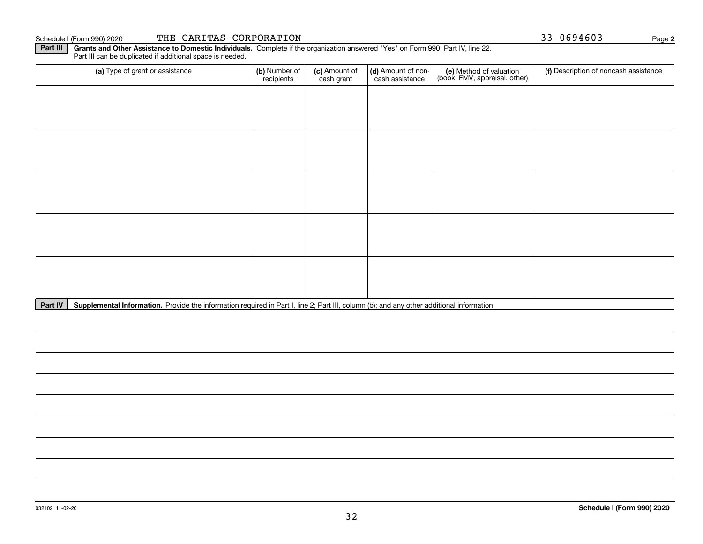| (a) Type of grant or assistance | (b) Number of<br>recipients | (c) Amount of<br>cash grant | (d) Amount of non-<br>cash assistance | (e) Method of valuation<br>(book, FMV, appraisal, other) | (f) Description of noncash assistance |
|---------------------------------|-----------------------------|-----------------------------|---------------------------------------|----------------------------------------------------------|---------------------------------------|
|                                 |                             |                             |                                       |                                                          |                                       |
|                                 |                             |                             |                                       |                                                          |                                       |
|                                 |                             |                             |                                       |                                                          |                                       |
|                                 |                             |                             |                                       |                                                          |                                       |
|                                 |                             |                             |                                       |                                                          |                                       |
|                                 |                             |                             |                                       |                                                          |                                       |
|                                 |                             |                             |                                       |                                                          |                                       |
|                                 |                             |                             |                                       |                                                          |                                       |
|                                 |                             |                             |                                       |                                                          |                                       |
|                                 |                             |                             |                                       |                                                          |                                       |

Part IV | Supplemental Information. Provide the information required in Part I, line 2; Part III, column (b); and any other additional information.

**2**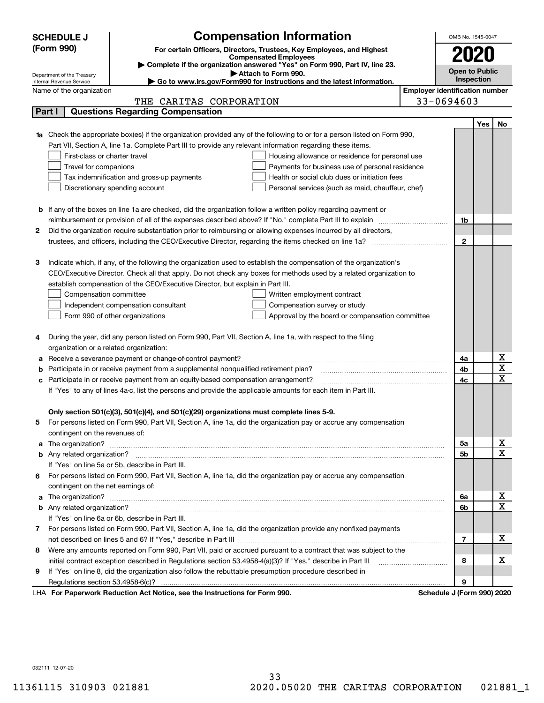|    | <b>SCHEDULE J</b><br>(Form 990)         | OMB No. 1545-0047                                                                                                      |                                       |            |             |  |  |
|----|-----------------------------------------|------------------------------------------------------------------------------------------------------------------------|---------------------------------------|------------|-------------|--|--|
|    |                                         | For certain Officers, Directors, Trustees, Key Employees, and Highest<br><b>Compensated Employees</b>                  |                                       | 2020       |             |  |  |
|    | Department of the Treasury              | Complete if the organization answered "Yes" on Form 990, Part IV, line 23.<br>Attach to Form 990.                      | <b>Open to Public</b>                 |            |             |  |  |
|    | Internal Revenue Service                | $\blacktriangleright$ Go to www.irs.gov/Form990 for instructions and the latest information.                           |                                       | Inspection |             |  |  |
|    | Name of the organization                |                                                                                                                        | <b>Employer identification number</b> |            |             |  |  |
|    |                                         | THE CARITAS CORPORATION                                                                                                | 33-0694603                            |            |             |  |  |
|    | Part I                                  | <b>Questions Regarding Compensation</b>                                                                                |                                       |            |             |  |  |
|    |                                         |                                                                                                                        |                                       | Yes        | No          |  |  |
|    |                                         | Check the appropriate box(es) if the organization provided any of the following to or for a person listed on Form 990, |                                       |            |             |  |  |
|    |                                         | Part VII, Section A, line 1a. Complete Part III to provide any relevant information regarding these items.             |                                       |            |             |  |  |
|    | First-class or charter travel           | Housing allowance or residence for personal use                                                                        |                                       |            |             |  |  |
|    | Travel for companions                   | Payments for business use of personal residence                                                                        |                                       |            |             |  |  |
|    |                                         | Health or social club dues or initiation fees<br>Tax indemnification and gross-up payments                             |                                       |            |             |  |  |
|    |                                         | Discretionary spending account<br>Personal services (such as maid, chauffeur, chef)                                    |                                       |            |             |  |  |
|    |                                         |                                                                                                                        |                                       |            |             |  |  |
|    |                                         | <b>b</b> If any of the boxes on line 1a are checked, did the organization follow a written policy regarding payment or |                                       |            |             |  |  |
|    |                                         | reimbursement or provision of all of the expenses described above? If "No," complete Part III to explain               | 1b                                    |            |             |  |  |
| 2  |                                         | Did the organization require substantiation prior to reimbursing or allowing expenses incurred by all directors,       |                                       |            |             |  |  |
|    |                                         |                                                                                                                        | $\mathbf{2}$                          |            |             |  |  |
|    |                                         |                                                                                                                        |                                       |            |             |  |  |
| з  |                                         | Indicate which, if any, of the following the organization used to establish the compensation of the organization's     |                                       |            |             |  |  |
|    |                                         | CEO/Executive Director. Check all that apply. Do not check any boxes for methods used by a related organization to     |                                       |            |             |  |  |
|    |                                         | establish compensation of the CEO/Executive Director, but explain in Part III.                                         |                                       |            |             |  |  |
|    | Compensation committee                  | Written employment contract                                                                                            |                                       |            |             |  |  |
|    |                                         | Compensation survey or study<br>Independent compensation consultant                                                    |                                       |            |             |  |  |
|    |                                         | Form 990 of other organizations<br>Approval by the board or compensation committee                                     |                                       |            |             |  |  |
| 4  |                                         | During the year, did any person listed on Form 990, Part VII, Section A, line 1a, with respect to the filing           |                                       |            |             |  |  |
|    | organization or a related organization: |                                                                                                                        |                                       |            |             |  |  |
| а  |                                         | Receive a severance payment or change-of-control payment?                                                              | 4a                                    |            | х           |  |  |
| b  |                                         | Participate in or receive payment from a supplemental nonqualified retirement plan?                                    | 4b                                    |            | X           |  |  |
| с  |                                         | Participate in or receive payment from an equity-based compensation arrangement?                                       | 4c                                    |            | $\mathbf X$ |  |  |
|    |                                         | If "Yes" to any of lines 4a-c, list the persons and provide the applicable amounts for each item in Part III.          |                                       |            |             |  |  |
|    |                                         |                                                                                                                        |                                       |            |             |  |  |
|    |                                         | Only section 501(c)(3), 501(c)(4), and 501(c)(29) organizations must complete lines 5-9.                               |                                       |            |             |  |  |
| 5  |                                         | For persons listed on Form 990, Part VII, Section A, line 1a, did the organization pay or accrue any compensation      |                                       |            |             |  |  |
|    | contingent on the revenues of:          |                                                                                                                        |                                       |            |             |  |  |
| a  |                                         |                                                                                                                        | 5a                                    |            | x           |  |  |
|    |                                         |                                                                                                                        | 5b                                    |            | $\mathbf X$ |  |  |
|    |                                         | If "Yes" on line 5a or 5b, describe in Part III.                                                                       |                                       |            |             |  |  |
| 6. |                                         | For persons listed on Form 990, Part VII, Section A, line 1a, did the organization pay or accrue any compensation      |                                       |            |             |  |  |
|    | contingent on the net earnings of:      |                                                                                                                        |                                       |            |             |  |  |
| a  |                                         |                                                                                                                        | 6a                                    |            | х           |  |  |
|    |                                         |                                                                                                                        | 6b                                    |            | $\mathbf X$ |  |  |
|    |                                         | If "Yes" on line 6a or 6b, describe in Part III.                                                                       |                                       |            |             |  |  |
|    |                                         | 7 For persons listed on Form 990, Part VII, Section A, line 1a, did the organization provide any nonfixed payments     |                                       |            |             |  |  |
|    |                                         |                                                                                                                        | $\overline{7}$                        |            | х           |  |  |
| 8  |                                         | Were any amounts reported on Form 990, Part VII, paid or accrued pursuant to a contract that was subject to the        |                                       |            |             |  |  |
|    |                                         | initial contract exception described in Regulations section 53.4958-4(a)(3)? If "Yes," describe in Part III            | 8                                     |            | х           |  |  |
| 9  |                                         | If "Yes" on line 8, did the organization also follow the rebuttable presumption procedure described in                 |                                       |            |             |  |  |
|    |                                         |                                                                                                                        | 9                                     |            |             |  |  |
|    |                                         | LHA For Paperwork Reduction Act Notice, see the Instructions for Form 990.                                             | Schedule J (Form 990) 2020            |            |             |  |  |

032111 12-07-20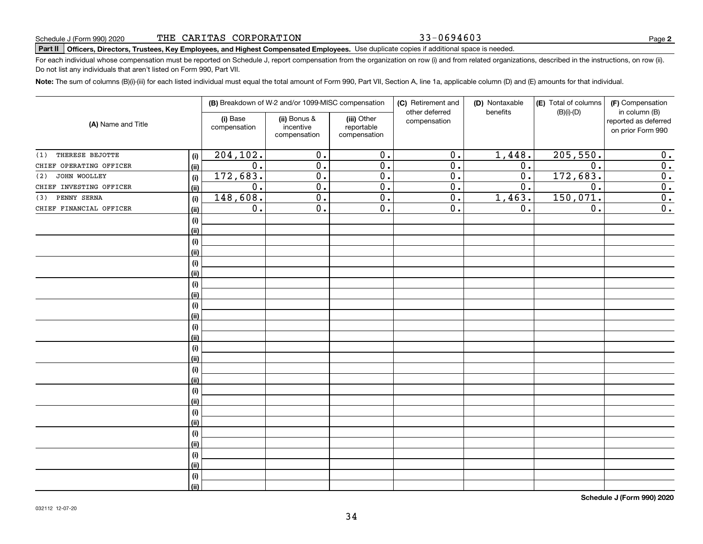#### 33-0694603

**2**

# **Part II Officers, Directors, Trustees, Key Employees, and Highest Compensated Employees.**  Schedule J (Form 990) 2020 Page Use duplicate copies if additional space is needed.

For each individual whose compensation must be reported on Schedule J, report compensation from the organization on row (i) and from related organizations, described in the instructions, on row (ii). Do not list any individuals that aren't listed on Form 990, Part VII.

**Note:**  The sum of columns (B)(i)-(iii) for each listed individual must equal the total amount of Form 990, Part VII, Section A, line 1a, applicable column (D) and (E) amounts for that individual.

|                         |      |                          | (B) Breakdown of W-2 and/or 1099-MISC compensation |                                           | (C) Retirement and<br>other deferred | (D) Nontaxable<br>benefits | (E) Total of columns<br>$(B)(i)-(D)$ | (F) Compensation<br>in column (B)         |
|-------------------------|------|--------------------------|----------------------------------------------------|-------------------------------------------|--------------------------------------|----------------------------|--------------------------------------|-------------------------------------------|
| (A) Name and Title      |      | (i) Base<br>compensation | (ii) Bonus &<br>incentive<br>compensation          | (iii) Other<br>reportable<br>compensation | compensation                         |                            |                                      | reported as deferred<br>on prior Form 990 |
| THERESE BEJOTTE<br>(1)  | (i)  | 204, 102.                | $\overline{0}$ .                                   | $\overline{0}$ .                          | $\overline{0}$ .                     | 1,448.                     | 205,550.                             | 0.                                        |
| CHIEF OPERATING OFFICER | (ii) | $\overline{0}$ .         | $\overline{0}$ .                                   | $\overline{0}$ .                          | $\overline{0}$ .                     | $\overline{0}$ .           | $\overline{0}$ .                     | $\overline{0}$ .                          |
| JOHN WOOLLEY<br>(2)     | (i)  | 172,683.                 | $\overline{0}$ .                                   | $\overline{0}$ .                          | $\overline{0}$ .                     | $\overline{0}$ .           | 172, 683.                            | $\overline{0}$ .                          |
| CHIEF INVESTING OFFICER | (ii) | $\overline{0}$ .         | $\overline{0}$ .                                   | $\overline{0}$ .                          | $\overline{0}$ .                     | $\overline{0}$ .           | $\overline{0}$ .                     | 0.                                        |
| PENNY SERNA<br>(3)      | (i)  | 148,608.                 | $\overline{0}$ .                                   | $\overline{0}$ .                          | $\overline{0}$ .                     | 1,463.                     | 150,071.                             | 0.                                        |
| CHIEF FINANCIAL OFFICER | (ii) | 0.                       | $\overline{0}$ .                                   | $\overline{0}$ .                          | $\overline{0}$ .                     | 0.                         | 0.                                   | $\overline{0}$ .                          |
|                         | (i)  |                          |                                                    |                                           |                                      |                            |                                      |                                           |
|                         | (ii) |                          |                                                    |                                           |                                      |                            |                                      |                                           |
|                         | (i)  |                          |                                                    |                                           |                                      |                            |                                      |                                           |
|                         | (ii) |                          |                                                    |                                           |                                      |                            |                                      |                                           |
|                         | (i)  |                          |                                                    |                                           |                                      |                            |                                      |                                           |
|                         | (ii) |                          |                                                    |                                           |                                      |                            |                                      |                                           |
|                         | (i)  |                          |                                                    |                                           |                                      |                            |                                      |                                           |
|                         | (ii) |                          |                                                    |                                           |                                      |                            |                                      |                                           |
|                         | (i)  |                          |                                                    |                                           |                                      |                            |                                      |                                           |
|                         | (ii) |                          |                                                    |                                           |                                      |                            |                                      |                                           |
|                         | (i)  |                          |                                                    |                                           |                                      |                            |                                      |                                           |
|                         | (ii) |                          |                                                    |                                           |                                      |                            |                                      |                                           |
|                         | (i)  |                          |                                                    |                                           |                                      |                            |                                      |                                           |
|                         | (ii) |                          |                                                    |                                           |                                      |                            |                                      |                                           |
|                         | (i)  |                          |                                                    |                                           |                                      |                            |                                      |                                           |
|                         | (ii) |                          |                                                    |                                           |                                      |                            |                                      |                                           |
|                         | (i)  |                          |                                                    |                                           |                                      |                            |                                      |                                           |
|                         | (ii) |                          |                                                    |                                           |                                      |                            |                                      |                                           |
|                         | (i)  |                          |                                                    |                                           |                                      |                            |                                      |                                           |
|                         | (ii) |                          |                                                    |                                           |                                      |                            |                                      |                                           |
|                         | (i)  |                          |                                                    |                                           |                                      |                            |                                      |                                           |
|                         | (ii) |                          |                                                    |                                           |                                      |                            |                                      |                                           |
|                         | (i)  |                          |                                                    |                                           |                                      |                            |                                      |                                           |
|                         | (ii) |                          |                                                    |                                           |                                      |                            |                                      |                                           |
|                         | (i)  |                          |                                                    |                                           |                                      |                            |                                      |                                           |
|                         | (ii) |                          |                                                    |                                           |                                      |                            |                                      |                                           |

**Schedule J (Form 990) 2020**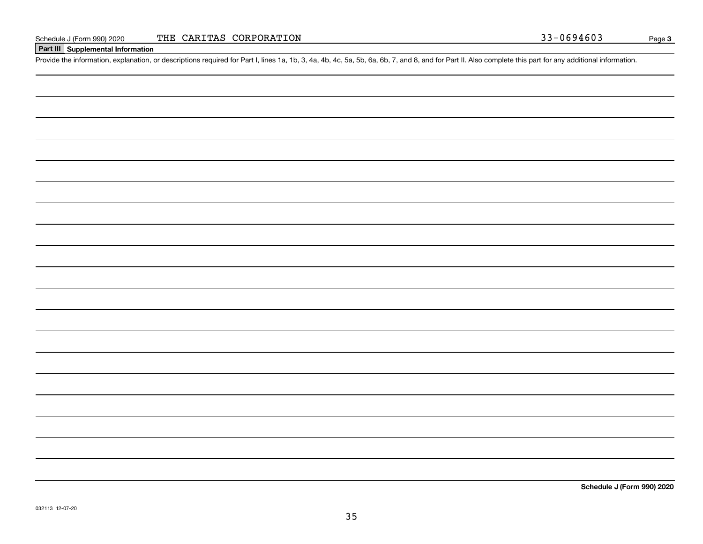### **Part III Supplemental Information**

Schedule J (Form 990) 2020 THE CARITAS CORPORATION 33-0694603<br>Part III Supplemental Information<br>Provide the information, explanation, or descriptions required for Part I, lines 1a, 1b, 3, 4a, 4b, 4c, 5a, 5b, 6a, 6b, 7, and

**Schedule J (Form 990) 2020**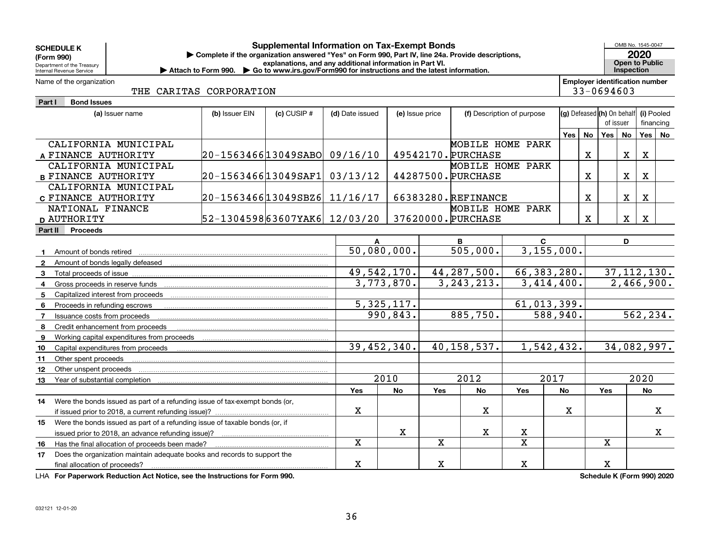| <b>SCHEDULE K</b>            |  |
|------------------------------|--|
| $(T_{\text{max}} \cap \cap)$ |  |

Internal Revenue Service

Department of the Treasury

# **Supplemental Information on Tax-Exempt Bonds**

**(Form 990) | Complete if the organization answered "Yes" on Form 990, Part IV, line 24a. Provide descriptions,**

**explanations, and any additional information in Part VI. Open to Public | Attach to Form 990. | Go to www.irs.gov/Form990 for instructions and the latest information. Inspection**

Name of the organization

#### THE CARITAS CORPORATION

#### **Employer identification number** 33-0694603

**Part I Bond Issues**

| (a) Issuer name                                                                   | (b) Issuer EIN               | $(c)$ CUSIP $#$ | (d) Date issued | (e) Issue price            |              | (f) Description of purpose |                       |           |             | (g) Defeased (h) On behalf<br>of issuer |               | (i) Pooled<br>financing |   |
|-----------------------------------------------------------------------------------|------------------------------|-----------------|-----------------|----------------------------|--------------|----------------------------|-----------------------|-----------|-------------|-----------------------------------------|---------------|-------------------------|---|
|                                                                                   |                              |                 |                 |                            |              |                            |                       | Yes       | No          | Yes                                     | <b>No</b>     | Yes   No                |   |
| CALIFORNIA MUNICIPAL                                                              |                              |                 |                 |                            |              | MOBILE HOME PARK           |                       |           |             |                                         |               |                         |   |
| A FINANCE AUTHORITY                                                               | 20-156346613049SABO 09/16/10 |                 |                 |                            |              | 49542170. PURCHASE         |                       |           | X           |                                         | X             | X                       |   |
| CALIFORNIA MUNICIPAL                                                              |                              |                 |                 |                            |              | MOBILE HOME PARK           |                       |           |             |                                         |               |                         |   |
| <b>B FINANCE AUTHORITY</b>                                                        | 20-156346613049SAF1 03/13/12 |                 |                 |                            |              | 44287500. PURCHASE         |                       |           | X           |                                         | X             | X                       |   |
| CALIFORNIA MUNICIPAL                                                              |                              |                 |                 |                            |              |                            |                       |           |             |                                         |               |                         |   |
| C FINANCE AUTHORITY                                                               | 20-156346613049SBZ6 11/16/17 |                 |                 |                            |              | 66383280.REFINANCE         |                       |           | х           |                                         | X             | X                       |   |
| NATIONAL FINANCE                                                                  |                              |                 |                 |                            |              | MOBILE HOME PARK           |                       |           |             |                                         |               |                         |   |
| <b>D AUTHORITY</b>                                                                | 52-130459863607YAK6 12/03/20 |                 |                 |                            |              | 37620000. PURCHASE         |                       |           | $\mathbf X$ |                                         | $\mathbf X$   | X                       |   |
| <b>Proceeds</b><br>Part II                                                        |                              |                 |                 |                            |              |                            |                       |           |             |                                         |               |                         |   |
|                                                                                   |                              |                 | A               |                            |              | B                          | C                     |           |             |                                         | D             |                         |   |
| Amount of bonds retired                                                           |                              |                 |                 | 50,080,000.                |              | 505,000.                   | 3,155,000.            |           |             |                                         |               |                         |   |
| Amount of bonds legally defeased                                                  |                              |                 |                 |                            |              |                            |                       |           |             |                                         |               |                         |   |
| 3                                                                                 |                              |                 |                 | 49,542,170.                |              | 44,287,500.                | 66, 383, 280.         |           |             |                                         | 37, 112, 130. |                         |   |
| Gross proceeds in reserve funds                                                   |                              |                 |                 | 3,773,870.                 |              | 3, 243, 213.               | 3,414,400.            |           |             |                                         |               | 2,466,900.              |   |
| Capitalized interest from proceeds<br>5                                           |                              |                 |                 |                            |              |                            |                       |           |             |                                         |               |                         |   |
| Proceeds in refunding escrows<br>6                                                |                              |                 |                 | 5,325,117.                 |              |                            | 61,013,399.           |           |             |                                         |               |                         |   |
| Issuance costs from proceeds<br>7                                                 |                              |                 |                 | 885,750.<br>990,843.       |              | 588,940.                   |                       |           | 562, 234.   |                                         |               |                         |   |
| Credit enhancement from proceeds<br>8                                             |                              |                 |                 |                            |              |                            |                       |           |             |                                         |               |                         |   |
| Working capital expenditures from proceeds<br>9                                   |                              |                 |                 |                            |              |                            |                       |           |             |                                         |               |                         |   |
| Capital expenditures from proceeds<br>10                                          |                              |                 |                 | 39,452,340.<br>40,158,537. |              | 1,542,432.                 |                       |           |             | 34,082,997.                             |               |                         |   |
| Other spent proceeds<br>11                                                        |                              |                 |                 |                            |              |                            |                       |           |             |                                         |               |                         |   |
| Other unspent proceeds<br>12                                                      |                              |                 |                 |                            |              |                            |                       |           |             |                                         |               |                         |   |
| Year of substantial completion<br>13                                              |                              |                 |                 | 2010                       |              | 2012                       | 2017                  |           |             |                                         |               | 2020                    |   |
|                                                                                   |                              |                 | Yes             | No                         | <b>Yes</b>   | No                         | Yes                   | <b>No</b> |             | <b>Yes</b>                              |               | No                      |   |
| Were the bonds issued as part of a refunding issue of tax-exempt bonds (or,<br>14 |                              |                 |                 |                            |              |                            |                       |           |             |                                         |               |                         |   |
| if issued prior to 2018, a current refunding issue)?                              |                              |                 | х               |                            |              | x                          |                       | x         |             |                                         |               |                         | X |
| Were the bonds issued as part of a refunding issue of taxable bonds (or, if<br>15 |                              |                 |                 |                            |              |                            |                       |           |             |                                         |               |                         |   |
| issued prior to 2018, an advance refunding issue)?                                |                              |                 |                 | X                          |              | x                          | x                     |           |             |                                         |               |                         | X |
| Has the final allocation of proceeds been made?<br>16                             |                              |                 | X               |                            | $\mathbf{x}$ |                            | $\overline{\text{X}}$ |           |             | $\mathbf x$                             |               |                         |   |
| Does the organization maintain adequate books and records to support the<br>17    |                              |                 |                 |                            |              |                            |                       |           |             |                                         |               |                         |   |
| final allocation of proceeds?                                                     |                              |                 | X               |                            | $\mathbf X$  |                            | x                     |           |             | X                                       |               |                         |   |

**For Paperwork Reduction Act Notice, see the Instructions for Form 990. Schedule K (Form 990) 2020** LHA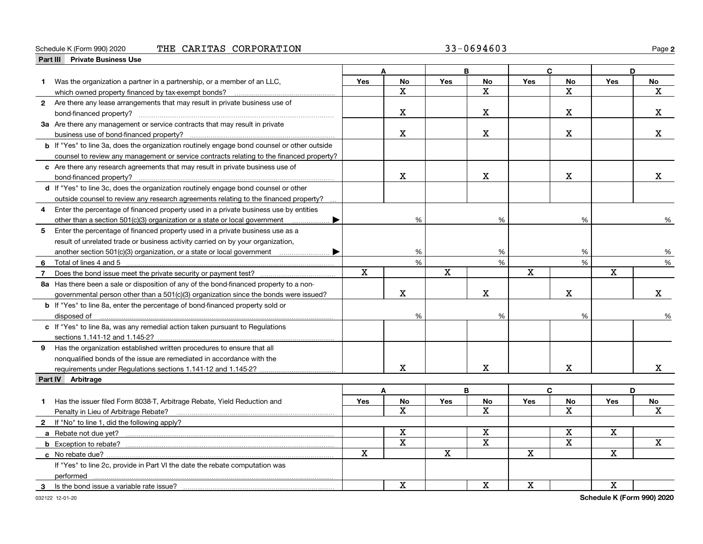| 33-0694603 |  |  |  |
|------------|--|--|--|
|------------|--|--|--|

|                | Part III Private Business Use                                                                      |             |             |             |                   |             |                   |             |               |
|----------------|----------------------------------------------------------------------------------------------------|-------------|-------------|-------------|-------------------|-------------|-------------------|-------------|---------------|
|                |                                                                                                    |             | Δ           |             | B                 | C           |                   | D           |               |
| 1.             | Was the organization a partner in a partnership, or a member of an LLC,                            | Yes         | <b>No</b>   | <b>Yes</b>  | No                | <b>Yes</b>  | No                | <b>Yes</b>  | No            |
|                | which owned property financed by tax-exempt bonds?                                                 |             | x           |             | X                 |             | x                 |             | x             |
|                | 2 Are there any lease arrangements that may result in private business use of                      |             |             |             |                   |             |                   |             |               |
|                |                                                                                                    |             | x           |             | X                 |             | х                 |             | x             |
|                | 3a Are there any management or service contracts that may result in private                        |             |             |             |                   |             |                   |             |               |
|                |                                                                                                    |             | x           |             | x                 |             | x                 |             | X.            |
|                | <b>b</b> If "Yes" to line 3a, does the organization routinely engage bond counsel or other outside |             |             |             |                   |             |                   |             |               |
|                | counsel to review any management or service contracts relating to the financed property?           |             |             |             |                   |             |                   |             |               |
|                | c Are there any research agreements that may result in private business use of                     |             |             |             |                   |             |                   |             |               |
|                |                                                                                                    |             | $\mathbf x$ |             | $\mathbf X$       |             | $\mathbf X$       |             | x             |
|                | d If "Yes" to line 3c, does the organization routinely engage bond counsel or other                |             |             |             |                   |             |                   |             |               |
|                | outside counsel to review any research agreements relating to the financed property?               |             |             |             |                   |             |                   |             |               |
| 4              | Enter the percentage of financed property used in a private business use by entities               |             |             |             |                   |             |                   |             |               |
|                | other than a section 501(c)(3) organization or a state or local government<br>▸                    |             | %           |             | %                 |             | %                 |             | %             |
| 5              | Enter the percentage of financed property used in a private business use as a                      |             |             |             |                   |             |                   |             |               |
|                | result of unrelated trade or business activity carried on by your organization,                    |             |             |             |                   |             |                   |             |               |
|                | another section 501(c)(3) organization, or a state or local government $\ldots$ $\blacksquare$     |             | %           |             | %                 |             | %                 |             | %             |
| 6              |                                                                                                    |             | %           |             | %                 |             | %                 |             | %             |
| $\overline{7}$ |                                                                                                    | X           |             | $\mathbf X$ |                   | $\mathbf X$ |                   | $\mathbf X$ |               |
|                | 8a Has there been a sale or disposition of any of the bond-financed property to a non-             |             |             |             |                   |             |                   |             |               |
|                | governmental person other than a 501(c)(3) organization since the bonds were issued?               |             | $\mathbf x$ |             | X                 |             | X                 |             | x             |
|                | <b>b</b> If "Yes" to line 8a, enter the percentage of bond-financed property sold or               |             |             |             |                   |             |                   |             |               |
|                | disposed of                                                                                        |             | %           |             | %                 |             | %                 |             | $\frac{0}{6}$ |
|                | c If "Yes" to line 8a, was any remedial action taken pursuant to Regulations                       |             |             |             |                   |             |                   |             |               |
|                |                                                                                                    |             |             |             |                   |             |                   |             |               |
|                | 9 Has the organization established written procedures to ensure that all                           |             |             |             |                   |             |                   |             |               |
|                |                                                                                                    |             |             |             |                   |             |                   |             |               |
|                | nonqualified bonds of the issue are remediated in accordance with the                              |             | X           |             | X                 |             | x                 |             | X.            |
|                | Part IV Arbitrage                                                                                  |             |             |             |                   |             |                   |             |               |
|                |                                                                                                    |             | A           |             | B                 |             | C                 | D           |               |
|                |                                                                                                    |             |             |             |                   |             |                   |             |               |
| 1              | Has the issuer filed Form 8038-T, Arbitrage Rebate, Yield Reduction and                            | Yes         | No<br>X.    | Yes         | No<br>$\mathbf x$ | <b>Yes</b>  | No<br>$\mathbf x$ | <b>Yes</b>  | No<br>х       |
|                | Penalty in Lieu of Arbitrage Rebate?                                                               |             |             |             |                   |             |                   |             |               |
|                | 2 If "No" to line 1, did the following apply?                                                      |             | $\mathbf X$ |             | $\mathbf X$       |             | X                 | X           |               |
|                |                                                                                                    |             | X           |             | $\mathbf X$       |             | $\mathbf X$       |             | $\mathbf X$   |
|                |                                                                                                    | $\mathbf X$ |             | $\mathbf X$ |                   |             |                   |             |               |
|                |                                                                                                    |             |             |             |                   | x           |                   | Χ           |               |
|                | If "Yes" to line 2c, provide in Part VI the date the rebate computation was                        |             |             |             |                   |             |                   |             |               |
|                | performed                                                                                          |             |             |             |                   |             |                   |             |               |
|                | 3 Is the bond issue a variable rate issue?                                                         |             | $\mathbf x$ |             | $\mathbf X$       | x           |                   | Χ           |               |

032122 12-01-20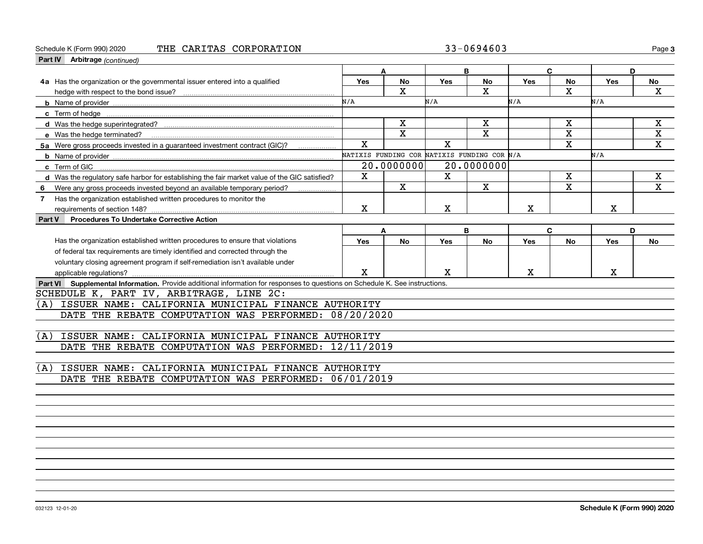**3**

| Part IV Arbitrage (continued)                                                                                                |              |                                             |                         |            |             |                         |            |             |  |
|------------------------------------------------------------------------------------------------------------------------------|--------------|---------------------------------------------|-------------------------|------------|-------------|-------------------------|------------|-------------|--|
|                                                                                                                              |              | A                                           |                         | В          |             | C                       | D          |             |  |
| 4a Has the organization or the governmental issuer entered into a qualified                                                  | Yes          | No                                          | Yes                     | <b>No</b>  | <b>Yes</b>  | No                      | <b>Yes</b> | No          |  |
| hedge with respect to the bond issue?                                                                                        |              | $\overline{\mathbf{x}}$                     |                         | X          |             | x                       |            | x           |  |
|                                                                                                                              | N/A          |                                             | N/A                     |            | N/A         |                         | N/A        |             |  |
|                                                                                                                              |              |                                             |                         |            |             |                         |            |             |  |
|                                                                                                                              |              | X                                           |                         | X          |             | X                       |            | $\mathbf x$ |  |
| e Was the hedge terminated?                                                                                                  |              | X                                           |                         | X          |             | X                       |            | X           |  |
| 5a Were gross proceeds invested in a guaranteed investment contract (GIC)?                                                   | $\mathbf{x}$ |                                             | $\overline{\mathbf{x}}$ |            |             | $\mathbf{x}$            |            | X           |  |
|                                                                                                                              |              | NATIXIS FUNDING COR NATIXIS FUNDING COR N/A |                         |            |             |                         | N/A        |             |  |
| c Term of GIC                                                                                                                |              | 20.0000000                                  |                         | 20.0000000 |             |                         |            |             |  |
| d Was the regulatory safe harbor for establishing the fair market value of the GIC satisfied?                                | X            |                                             | $\mathbf x$             |            |             | X                       |            | X           |  |
| Were any gross proceeds invested beyond an available temporary period?<br>6                                                  |              | $\mathbf X$                                 |                         | X          |             | $\overline{\mathbf{x}}$ |            | X.          |  |
| Has the organization established written procedures to monitor the<br>$7^{\circ}$                                            |              |                                             |                         |            |             |                         |            |             |  |
| requirements of section 148?                                                                                                 | $\mathbf X$  |                                             | X                       |            | $\mathbf X$ |                         | X          |             |  |
| <b>Procedures To Undertake Corrective Action</b><br>Part V                                                                   |              |                                             |                         |            |             |                         |            |             |  |
|                                                                                                                              |              | A                                           |                         | B          |             | $\mathbf{C}$            | D          |             |  |
| Has the organization established written procedures to ensure that violations                                                | <b>Yes</b>   | <b>No</b>                                   | <b>Yes</b>              | <b>No</b>  | <b>Yes</b>  | <b>No</b>               | <b>Yes</b> | No          |  |
| of federal tax requirements are timely identified and corrected through the                                                  |              |                                             |                         |            |             |                         |            |             |  |
| voluntary closing agreement program if self-remediation isn't available under                                                |              |                                             |                         |            |             |                         |            |             |  |
| applicable regulations?                                                                                                      | $\mathbf X$  |                                             | X                       |            | $\mathbf X$ |                         | x          |             |  |
| Part VI Supplemental Information. Provide additional information for responses to questions on Schedule K. See instructions. |              |                                             |                         |            |             |                         |            |             |  |
| SCHEDULE K, PART IV, ARBITRAGE, LINE 2C:                                                                                     |              |                                             |                         |            |             |                         |            |             |  |
| (A) ISSUER NAME: CALIFORNIA MUNICIPAL FINANCE AUTHORITY                                                                      |              |                                             |                         |            |             |                         |            |             |  |
| DATE THE REBATE COMPUTATION WAS PERFORMED: 08/20/2020                                                                        |              |                                             |                         |            |             |                         |            |             |  |
|                                                                                                                              |              |                                             |                         |            |             |                         |            |             |  |
| ISSUER NAME: CALIFORNIA MUNICIPAL FINANCE AUTHORITY<br>(A)                                                                   |              |                                             |                         |            |             |                         |            |             |  |
| DATE THE REBATE COMPUTATION WAS PERFORMED: 12/11/2019                                                                        |              |                                             |                         |            |             |                         |            |             |  |
|                                                                                                                              |              |                                             |                         |            |             |                         |            |             |  |
| ISSUER NAME: CALIFORNIA MUNICIPAL FINANCE AUTHORITY<br>(A)                                                                   |              |                                             |                         |            |             |                         |            |             |  |
| DATE THE REBATE COMPUTATION WAS PERFORMED: 06/01/2019                                                                        |              |                                             |                         |            |             |                         |            |             |  |
|                                                                                                                              |              |                                             |                         |            |             |                         |            |             |  |
|                                                                                                                              |              |                                             |                         |            |             |                         |            |             |  |
|                                                                                                                              |              |                                             |                         |            |             |                         |            |             |  |
|                                                                                                                              |              |                                             |                         |            |             |                         |            |             |  |
|                                                                                                                              |              |                                             |                         |            |             |                         |            |             |  |
|                                                                                                                              |              |                                             |                         |            |             |                         |            |             |  |
|                                                                                                                              |              |                                             |                         |            |             |                         |            |             |  |
|                                                                                                                              |              |                                             |                         |            |             |                         |            |             |  |
|                                                                                                                              |              |                                             |                         |            |             |                         |            |             |  |
|                                                                                                                              |              |                                             |                         |            |             |                         |            |             |  |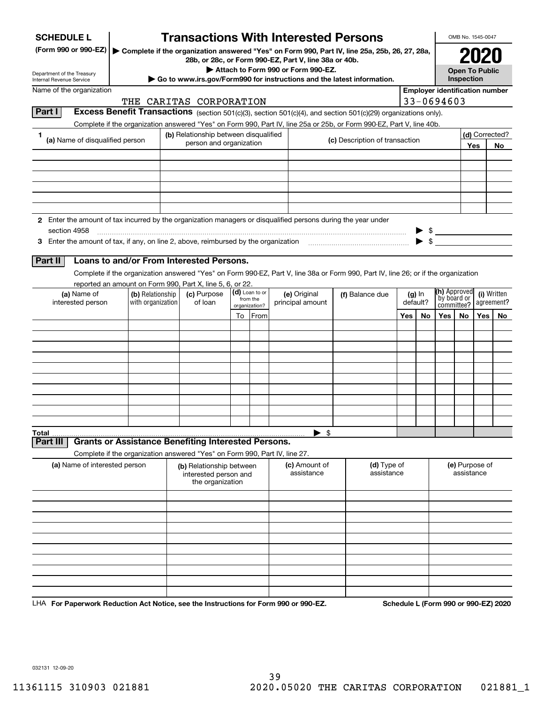| <b>SCHEDULE L</b>                                                                                                                                                                                                     |                   | <b>Transactions With Interested Persons</b>                                |                           |                |                                    |                                                                                                                                    |  |          |                                                     | OMB No. 1545-0047            |            |                |  |
|-----------------------------------------------------------------------------------------------------------------------------------------------------------------------------------------------------------------------|-------------------|----------------------------------------------------------------------------|---------------------------|----------------|------------------------------------|------------------------------------------------------------------------------------------------------------------------------------|--|----------|-----------------------------------------------------|------------------------------|------------|----------------|--|
| (Form 990 or 990-EZ)                                                                                                                                                                                                  |                   | 28b, or 28c, or Form 990-EZ, Part V, line 38a or 40b.                      |                           |                |                                    | ▶ Complete if the organization answered "Yes" on Form 990, Part IV, line 25a, 25b, 26, 27, 28a,                                    |  |          |                                                     |                              |            |                |  |
| Department of the Treasury                                                                                                                                                                                            |                   |                                                                            |                           |                | Attach to Form 990 or Form 990-EZ. |                                                                                                                                    |  |          |                                                     | <b>Open To Public</b>        |            |                |  |
| Internal Revenue Service<br>Name of the organization                                                                                                                                                                  |                   |                                                                            |                           |                |                                    | ► Go to www.irs.gov/Form990 for instructions and the latest information.                                                           |  |          |                                                     | Inspection                   |            |                |  |
|                                                                                                                                                                                                                       |                   | THE CARITAS CORPORATION                                                    |                           |                |                                    |                                                                                                                                    |  |          | <b>Employer identification number</b><br>33-0694603 |                              |            |                |  |
| Part I                                                                                                                                                                                                                |                   |                                                                            |                           |                |                                    | Excess Benefit Transactions (section 501(c)(3), section 501(c)(4), and section 501(c)(29) organizations only).                     |  |          |                                                     |                              |            |                |  |
|                                                                                                                                                                                                                       |                   |                                                                            |                           |                |                                    | Complete if the organization answered "Yes" on Form 990, Part IV, line 25a or 25b, or Form 990-EZ, Part V, line 40b.               |  |          |                                                     |                              |            |                |  |
| 1                                                                                                                                                                                                                     |                   | (b) Relationship between disqualified                                      |                           |                |                                    |                                                                                                                                    |  |          |                                                     |                              |            | (d) Corrected? |  |
| (a) Name of disqualified person                                                                                                                                                                                       |                   | person and organization                                                    |                           |                |                                    | (c) Description of transaction                                                                                                     |  |          |                                                     |                              | Yes        | No             |  |
|                                                                                                                                                                                                                       |                   |                                                                            |                           |                |                                    |                                                                                                                                    |  |          |                                                     |                              |            |                |  |
|                                                                                                                                                                                                                       |                   |                                                                            |                           |                |                                    |                                                                                                                                    |  |          |                                                     |                              |            |                |  |
|                                                                                                                                                                                                                       |                   |                                                                            |                           |                |                                    |                                                                                                                                    |  |          |                                                     |                              |            |                |  |
|                                                                                                                                                                                                                       |                   |                                                                            |                           |                |                                    |                                                                                                                                    |  |          |                                                     |                              |            |                |  |
|                                                                                                                                                                                                                       |                   |                                                                            |                           |                |                                    |                                                                                                                                    |  |          |                                                     |                              |            |                |  |
| 2 Enter the amount of tax incurred by the organization managers or disqualified persons during the year under                                                                                                         |                   |                                                                            |                           |                |                                    |                                                                                                                                    |  |          |                                                     |                              |            |                |  |
| section 4958                                                                                                                                                                                                          |                   |                                                                            |                           |                |                                    |                                                                                                                                    |  |          | $\frac{1}{2}$                                       |                              |            |                |  |
| 3 Enter the amount of tax, if any, on line 2, above, reimbursed by the organization match match contains an example the state of the container match of tax, if any, on line 2, above, reimbursed by the organization |                   |                                                                            |                           |                |                                    |                                                                                                                                    |  |          | $\blacktriangleright$ \$                            |                              |            |                |  |
|                                                                                                                                                                                                                       |                   | Loans to and/or From Interested Persons.                                   |                           |                |                                    |                                                                                                                                    |  |          |                                                     |                              |            |                |  |
| Part II                                                                                                                                                                                                               |                   |                                                                            |                           |                |                                    |                                                                                                                                    |  |          |                                                     |                              |            |                |  |
|                                                                                                                                                                                                                       |                   | reported an amount on Form 990, Part X, line 5, 6, or 22.                  |                           |                |                                    | Complete if the organization answered "Yes" on Form 990-EZ, Part V, line 38a or Form 990, Part IV, line 26; or if the organization |  |          |                                                     |                              |            |                |  |
| (a) Name of                                                                                                                                                                                                           | (b) Relationship  | (c) Purpose                                                                |                           | (d) Loan to or | (e) Original                       | (f) Balance due                                                                                                                    |  | $(g)$ In | <b>(h)</b> Approved                                 | (i) Written                  |            |                |  |
| interested person                                                                                                                                                                                                     | with organization | of loan                                                                    | from the<br>organization? |                | principal amount                   |                                                                                                                                    |  | default? | by board or<br>committee?                           |                              | agreement? |                |  |
|                                                                                                                                                                                                                       |                   |                                                                            | To                        | From           |                                    | Yes<br>No                                                                                                                          |  |          | Yes                                                 | No.                          | Yes        | No             |  |
|                                                                                                                                                                                                                       |                   |                                                                            |                           |                |                                    |                                                                                                                                    |  |          |                                                     |                              |            |                |  |
|                                                                                                                                                                                                                       |                   |                                                                            |                           |                |                                    |                                                                                                                                    |  |          |                                                     |                              |            |                |  |
|                                                                                                                                                                                                                       |                   |                                                                            |                           |                |                                    |                                                                                                                                    |  |          |                                                     |                              |            |                |  |
|                                                                                                                                                                                                                       |                   |                                                                            |                           |                |                                    |                                                                                                                                    |  |          |                                                     |                              |            |                |  |
|                                                                                                                                                                                                                       |                   |                                                                            |                           |                |                                    |                                                                                                                                    |  |          |                                                     |                              |            |                |  |
|                                                                                                                                                                                                                       |                   |                                                                            |                           |                |                                    |                                                                                                                                    |  |          |                                                     |                              |            |                |  |
|                                                                                                                                                                                                                       |                   |                                                                            |                           |                |                                    |                                                                                                                                    |  |          |                                                     |                              |            |                |  |
|                                                                                                                                                                                                                       |                   |                                                                            |                           |                |                                    |                                                                                                                                    |  |          |                                                     |                              |            |                |  |
|                                                                                                                                                                                                                       |                   |                                                                            |                           |                |                                    |                                                                                                                                    |  |          |                                                     |                              |            |                |  |
| Total                                                                                                                                                                                                                 |                   |                                                                            |                           |                | $\blacktriangleright$ \$           |                                                                                                                                    |  |          |                                                     |                              |            |                |  |
| Part II                                                                                                                                                                                                               |                   | <b>Grants or Assistance Benefiting Interested Persons.</b>                 |                           |                |                                    |                                                                                                                                    |  |          |                                                     |                              |            |                |  |
|                                                                                                                                                                                                                       |                   | Complete if the organization answered "Yes" on Form 990, Part IV, line 27. |                           |                |                                    |                                                                                                                                    |  |          |                                                     |                              |            |                |  |
| (a) Name of interested person                                                                                                                                                                                         |                   | (b) Relationship between<br>interested person and<br>the organization      |                           |                | (c) Amount of<br>assistance        | (d) Type of<br>assistance                                                                                                          |  |          |                                                     | (e) Purpose of<br>assistance |            |                |  |
|                                                                                                                                                                                                                       |                   |                                                                            |                           |                |                                    |                                                                                                                                    |  |          |                                                     |                              |            |                |  |
|                                                                                                                                                                                                                       |                   |                                                                            |                           |                |                                    |                                                                                                                                    |  |          |                                                     |                              |            |                |  |
|                                                                                                                                                                                                                       |                   |                                                                            |                           |                |                                    |                                                                                                                                    |  |          |                                                     |                              |            |                |  |
|                                                                                                                                                                                                                       |                   |                                                                            |                           |                |                                    |                                                                                                                                    |  |          |                                                     |                              |            |                |  |
|                                                                                                                                                                                                                       |                   |                                                                            |                           |                |                                    |                                                                                                                                    |  |          |                                                     |                              |            |                |  |
|                                                                                                                                                                                                                       |                   |                                                                            |                           |                |                                    |                                                                                                                                    |  |          |                                                     |                              |            |                |  |
|                                                                                                                                                                                                                       |                   |                                                                            |                           |                |                                    |                                                                                                                                    |  |          |                                                     |                              |            |                |  |
|                                                                                                                                                                                                                       |                   |                                                                            |                           |                |                                    |                                                                                                                                    |  |          |                                                     |                              |            |                |  |
|                                                                                                                                                                                                                       |                   |                                                                            |                           |                |                                    |                                                                                                                                    |  |          |                                                     |                              |            |                |  |
|                                                                                                                                                                                                                       |                   |                                                                            |                           |                |                                    |                                                                                                                                    |  |          |                                                     |                              |            |                |  |

LHA For Paperwork Reduction Act Notice, see the Instructions for Form 990 or 990-EZ. Schedule L (Form 990 or 990-EZ) 2020

032131 12-09-20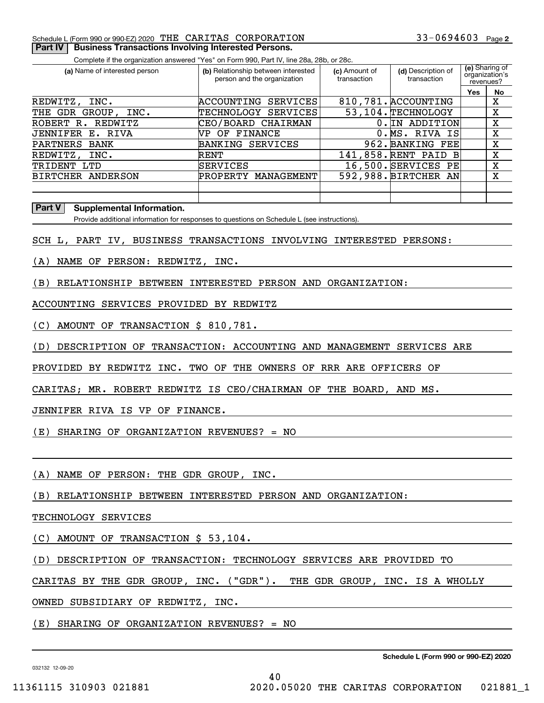#### Schedule L (Form 990 or 990-EZ) 2020 「THE CARITAS CORPORATION  $33-0694603$  Page

#### **Part IV** Business Transactions Involving Interested Persons.

| (a) Name of interested person | (b) Relationship between interested<br>person and the organization | (c) Amount of<br>transaction | (d) Description of<br>transaction | organization's<br>revenues? | (e) Sharing of |
|-------------------------------|--------------------------------------------------------------------|------------------------------|-----------------------------------|-----------------------------|----------------|
|                               |                                                                    |                              |                                   | Yes                         | No             |
| REDWITZ, INC.                 | <b>SERVICES</b><br><b>ACCOUNTING</b>                               |                              | 810,781. ACCOUNTING               |                             | х              |
| THE GDR<br>INC.<br>GROUP,     | TECHNOLOGY<br>SERVICES                                             |                              | 53,104. TECHNOLOGY                |                             | x              |
| ROBERT R.<br>REDWITZ          | CEO/BOARD CHAIRMAN                                                 |                              | 0. IN ADDITION                    |                             | X              |
| JENNIFER<br>E. RIVA           | FINANCE<br>OF<br>NP.                                               |                              | 0.MS.<br>IS<br>RIVA               |                             | X              |
| PARTNERS BANK                 | SERVICES<br>BANKING                                                |                              | 962. BANKING<br>FEEI              |                             | х              |
| REDWITZ, INC.                 | <b>RENT</b>                                                        |                              | 141,858. RENT PAID B              |                             | X              |
| TRIDENT LTD                   | <b>SERVICES</b>                                                    |                              | 16,500. SERVICES<br>PE            |                             | х              |
| BIRTCHER ANDERSON             | PROPERTY<br><b>MANAGEMENT</b>                                      |                              | 592,988. BIRTCHER AN              |                             | X              |
|                               |                                                                    |                              |                                   |                             |                |
|                               |                                                                    |                              |                                   |                             |                |

#### **Part V** Supplemental Information.

Provide additional information for responses to questions on Schedule L (see instructions).

SCH L, PART IV, BUSINESS TRANSACTIONS INVOLVING INTERESTED PERSONS:

(A) NAME OF PERSON: REDWITZ, INC.

(B) RELATIONSHIP BETWEEN INTERESTED PERSON AND ORGANIZATION:

ACCOUNTING SERVICES PROVIDED BY REDWITZ

(C) AMOUNT OF TRANSACTION \$ 810,781.

(D) DESCRIPTION OF TRANSACTION: ACCOUNTING AND MANAGEMENT SERVICES ARE

PROVIDED BY REDWITZ INC. TWO OF THE OWNERS OF RRR ARE OFFICERS OF

CARITAS; MR. ROBERT REDWITZ IS CEO/CHAIRMAN OF THE BOARD, AND MS.

JENNIFER RIVA IS VP OF FINANCE.

(E) SHARING OF ORGANIZATION REVENUES? = NO

(A) NAME OF PERSON: THE GDR GROUP, INC.

(B) RELATIONSHIP BETWEEN INTERESTED PERSON AND ORGANIZATION:

#### TECHNOLOGY SERVICES

(C) AMOUNT OF TRANSACTION \$ 53,104.

(D) DESCRIPTION OF TRANSACTION: TECHNOLOGY SERVICES ARE PROVIDED TO

CARITAS BY THE GDR GROUP, INC. ("GDR"). THE GDR GROUP, INC. IS A WHOLLY

40

OWNED SUBSIDIARY OF REDWITZ, INC.

(E) SHARING OF ORGANIZATION REVENUES? = NO

**Schedule L (Form 990 or 990-EZ) 2020**

032132 12-09-20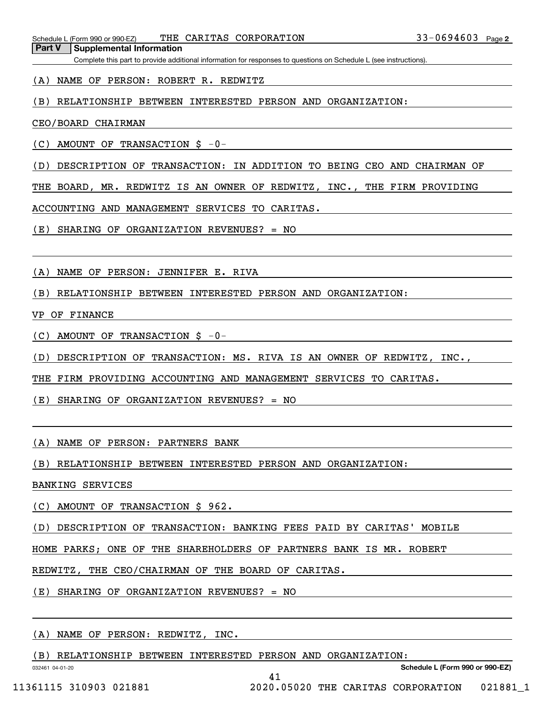**Part V Supplemental Information**

Complete this part to provide additional information for responses to questions on Schedule L (see instructions).

#### (A) NAME OF PERSON: ROBERT R. REDWITZ

# (B) RELATIONSHIP BETWEEN INTERESTED PERSON AND ORGANIZATION:

#### CEO/BOARD CHAIRMAN

(C) AMOUNT OF TRANSACTION \$ -0-

(D) DESCRIPTION OF TRANSACTION: IN ADDITION TO BEING CEO AND CHAIRMAN OF

THE BOARD, MR. REDWITZ IS AN OWNER OF REDWITZ, INC., THE FIRM PROVIDING

ACCOUNTING AND MANAGEMENT SERVICES TO CARITAS.

(E) SHARING OF ORGANIZATION REVENUES? = NO

(A) NAME OF PERSON: JENNIFER E. RIVA

(B) RELATIONSHIP BETWEEN INTERESTED PERSON AND ORGANIZATION:

VP OF FINANCE

(C) AMOUNT OF TRANSACTION \$ -0-

(D) DESCRIPTION OF TRANSACTION: MS. RIVA IS AN OWNER OF REDWITZ, INC.,

THE FIRM PROVIDING ACCOUNTING AND MANAGEMENT SERVICES TO CARITAS.

(E) SHARING OF ORGANIZATION REVENUES? = NO

(A) NAME OF PERSON: PARTNERS BANK

(B) RELATIONSHIP BETWEEN INTERESTED PERSON AND ORGANIZATION:

BANKING SERVICES

(C) AMOUNT OF TRANSACTION \$ 962.

(D) DESCRIPTION OF TRANSACTION: BANKING FEES PAID BY CARITAS' MOBILE

HOME PARKS; ONE OF THE SHAREHOLDERS OF PARTNERS BANK IS MR. ROBERT

REDWITZ, THE CEO/CHAIRMAN OF THE BOARD OF CARITAS.

(E) SHARING OF ORGANIZATION REVENUES? = NO

#### (A) NAME OF PERSON: REDWITZ, INC.

(B) RELATIONSHIP BETWEEN INTERESTED PERSON AND ORGANIZATION:

41

032461 04-01-20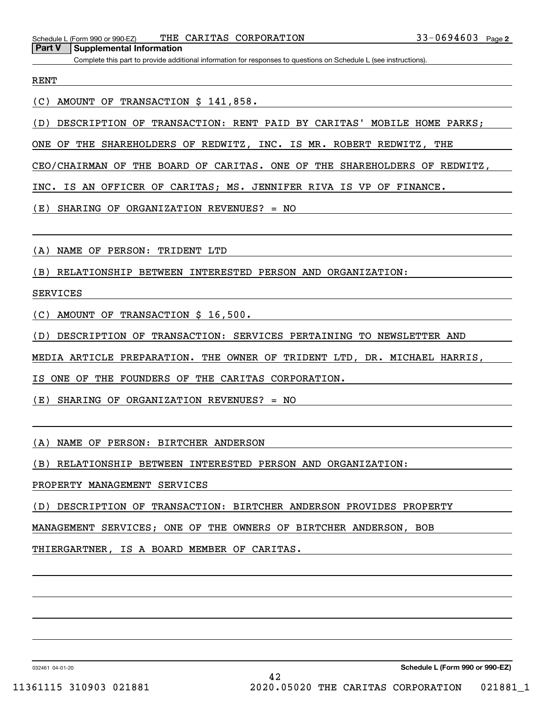**Part V Supplemental Information**

Complete this part to provide additional information for responses to questions on Schedule L (see instructions).

#### RENT

(C) AMOUNT OF TRANSACTION \$ 141,858.

(D) DESCRIPTION OF TRANSACTION: RENT PAID BY CARITAS' MOBILE HOME PARKS;

ONE OF THE SHAREHOLDERS OF REDWITZ, INC. IS MR. ROBERT REDWITZ, THE

CEO/CHAIRMAN OF THE BOARD OF CARITAS. ONE OF THE SHAREHOLDERS OF REDWITZ,

INC. IS AN OFFICER OF CARITAS; MS. JENNIFER RIVA IS VP OF FINANCE.

(E) SHARING OF ORGANIZATION REVENUES? = NO

(A) NAME OF PERSON: TRIDENT LTD

(B) RELATIONSHIP BETWEEN INTERESTED PERSON AND ORGANIZATION:

SERVICES

(C) AMOUNT OF TRANSACTION \$ 16,500.

(D) DESCRIPTION OF TRANSACTION: SERVICES PERTAINING TO NEWSLETTER AND

MEDIA ARTICLE PREPARATION. THE OWNER OF TRIDENT LTD, DR. MICHAEL HARRIS,

IS ONE OF THE FOUNDERS OF THE CARITAS CORPORATION.

(E) SHARING OF ORGANIZATION REVENUES? = NO

(A) NAME OF PERSON: BIRTCHER ANDERSON

(B) RELATIONSHIP BETWEEN INTERESTED PERSON AND ORGANIZATION:

PROPERTY MANAGEMENT SERVICES

(D) DESCRIPTION OF TRANSACTION: BIRTCHER ANDERSON PROVIDES PROPERTY

MANAGEMENT SERVICES; ONE OF THE OWNERS OF BIRTCHER ANDERSON, BOB

THIERGARTNER, IS A BOARD MEMBER OF CARITAS.

032461 04-01-20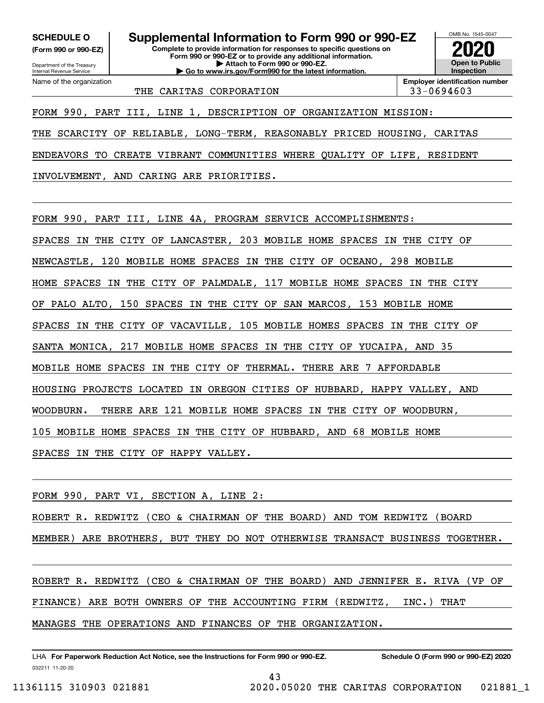**(Form 990 or 990-EZ)**

Department of the Treasury Internal Revenue Service Name of the organization

**Complete to provide information for responses to specific questions on Form 990 or 990-EZ or to provide any additional information. | Attach to Form 990 or 990-EZ. | Go to www.irs.gov/Form990 for the latest information. SCHEDULE O Supplemental Information to Form 990 or 990-EZ**



THE CARITAS CORPORATION THE 33-0694603

FORM 990, PART III, LINE 1, DESCRIPTION OF ORGANIZATION MISSION:

THE SCARCITY OF RELIABLE, LONG-TERM, REASONABLY PRICED HOUSING, CARITAS

ENDEAVORS TO CREATE VIBRANT COMMUNITIES WHERE QUALITY OF LIFE, RESIDENT

INVOLVEMENT, AND CARING ARE PRIORITIES.

FORM 990, PART III, LINE 4A, PROGRAM SERVICE ACCOMPLISHMENTS:

SPACES IN THE CITY OF LANCASTER, 203 MOBILE HOME SPACES IN THE CITY OF

NEWCASTLE, 120 MOBILE HOME SPACES IN THE CITY OF OCEANO, 298 MOBILE

HOME SPACES IN THE CITY OF PALMDALE, 117 MOBILE HOME SPACES IN THE CITY

OF PALO ALTO, 150 SPACES IN THE CITY OF SAN MARCOS, 153 MOBILE HOME

SPACES IN THE CITY OF VACAVILLE, 105 MOBILE HOMES SPACES IN THE CITY OF

SANTA MONICA, 217 MOBILE HOME SPACES IN THE CITY OF YUCAIPA, AND 35

MOBILE HOME SPACES IN THE CITY OF THERMAL. THERE ARE 7 AFFORDABLE

HOUSING PROJECTS LOCATED IN OREGON CITIES OF HUBBARD, HAPPY VALLEY, AND

WOODBURN. THERE ARE 121 MOBILE HOME SPACES IN THE CITY OF WOODBURN,

105 MOBILE HOME SPACES IN THE CITY OF HUBBARD, AND 68 MOBILE HOME

SPACES IN THE CITY OF HAPPY VALLEY.

FORM 990, PART VI, SECTION A, LINE 2:

ROBERT R. REDWITZ (CEO & CHAIRMAN OF THE BOARD) AND TOM REDWITZ (BOARD

MEMBER) ARE BROTHERS, BUT THEY DO NOT OTHERWISE TRANSACT BUSINESS TOGETHER.

ROBERT R. REDWITZ (CEO & CHAIRMAN OF THE BOARD) AND JENNIFER E. RIVA (VP OF FINANCE) ARE BOTH OWNERS OF THE ACCOUNTING FIRM (REDWITZ, INC.) THAT MANAGES THE OPERATIONS AND FINANCES OF THE ORGANIZATION.

43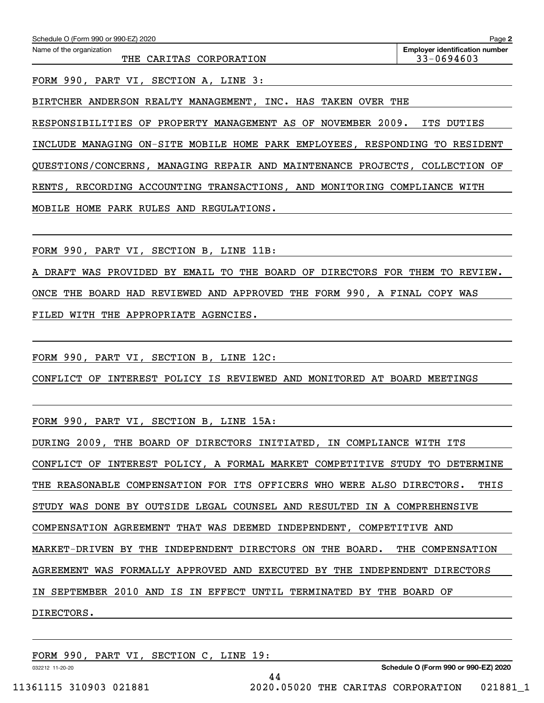BIRTCHER ANDERSON REALTY MANAGEMENT, INC. HAS TAKEN OVER THE

RESPONSIBILITIES OF PROPERTY MANAGEMENT AS OF NOVEMBER 2009. ITS DUTIES

INCLUDE MANAGING ON-SITE MOBILE HOME PARK EMPLOYEES, RESPONDING TO RESIDENT

QUESTIONS/CONCERNS, MANAGING REPAIR AND MAINTENANCE PROJECTS, COLLECTION OF

RENTS, RECORDING ACCOUNTING TRANSACTIONS, AND MONITORING COMPLIANCE WITH

MOBILE HOME PARK RULES AND REGULATIONS.

FORM 990, PART VI, SECTION B, LINE 11B:

A DRAFT WAS PROVIDED BY EMAIL TO THE BOARD OF DIRECTORS FOR THEM TO REVIEW.

ONCE THE BOARD HAD REVIEWED AND APPROVED THE FORM 990, A FINAL COPY WAS

FILED WITH THE APPROPRIATE AGENCIES.

FORM 990, PART VI, SECTION B, LINE 12C:

CONFLICT OF INTEREST POLICY IS REVIEWED AND MONITORED AT BOARD MEETINGS

FORM 990, PART VI, SECTION B, LINE 15A:

| DURING 2009, THE BOARD OF DIRECTORS INITIATED, IN COMPLIANCE WITH ITS       |
|-----------------------------------------------------------------------------|
| CONFLICT OF INTEREST POLICY, A FORMAL MARKET COMPETITIVE STUDY TO DETERMINE |
| THE REASONABLE COMPENSATION FOR ITS OFFICERS WHO WERE ALSO DIRECTORS. THIS  |
| STUDY WAS DONE BY OUTSIDE LEGAL COUNSEL AND RESULTED IN A COMPREHENSIVE     |
| COMPENSATION AGREEMENT THAT WAS DEEMED INDEPENDENT, COMPETITIVE AND         |
| MARKET-DRIVEN BY THE INDEPENDENT DIRECTORS ON THE BOARD. THE COMPENSATION   |
| AGREEMENT WAS FORMALLY APPROVED AND EXECUTED BY THE INDEPENDENT DIRECTORS   |
| IN SEPTEMBER 2010 AND IS IN EFFECT UNTIL TERMINATED BY THE BOARD OF         |
| DIRECTORS.                                                                  |

44

FORM 990, PART VI, SECTION C, LINE 19:

032212 11-20-20

**Schedule O (Form 990 or 990-EZ) 2020**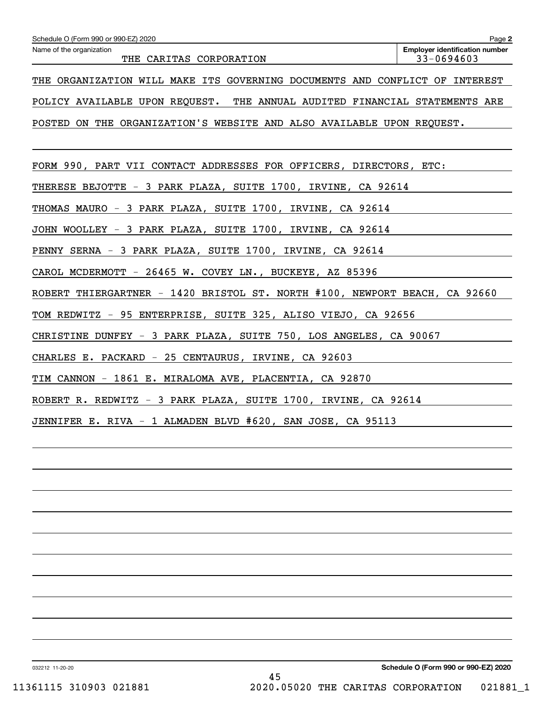| Schedule O (Form 990 or 990-EZ) 2020                                        | Page 2                                              |  |  |  |  |  |  |
|-----------------------------------------------------------------------------|-----------------------------------------------------|--|--|--|--|--|--|
| Name of the organization<br>THE CARITAS CORPORATION                         | <b>Employer identification number</b><br>33-0694603 |  |  |  |  |  |  |
|                                                                             |                                                     |  |  |  |  |  |  |
| THE ORGANIZATION WILL MAKE ITS GOVERNING DOCUMENTS AND CONFLICT OF INTEREST |                                                     |  |  |  |  |  |  |
| POLICY AVAILABLE UPON REQUEST. THE ANNUAL AUDITED FINANCIAL STATEMENTS ARE  |                                                     |  |  |  |  |  |  |
| POSTED ON THE ORGANIZATION'S WEBSITE AND ALSO AVAILABLE UPON REQUEST.       |                                                     |  |  |  |  |  |  |
|                                                                             |                                                     |  |  |  |  |  |  |
| FORM 990, PART VII CONTACT ADDRESSES FOR OFFICERS, DIRECTORS, ETC:          |                                                     |  |  |  |  |  |  |
| THERESE BEJOTTE - 3 PARK PLAZA, SUITE 1700, IRVINE, CA 92614                |                                                     |  |  |  |  |  |  |
| THOMAS MAURO - 3 PARK PLAZA, SUITE 1700, IRVINE, CA 92614                   |                                                     |  |  |  |  |  |  |
| JOHN WOOLLEY - 3 PARK PLAZA, SUITE 1700, IRVINE, CA 92614                   |                                                     |  |  |  |  |  |  |
| PENNY SERNA - 3 PARK PLAZA, SUITE 1700, IRVINE, CA 92614                    |                                                     |  |  |  |  |  |  |
| CAROL MCDERMOTT - 26465 W. COVEY LN., BUCKEYE, AZ 85396                     |                                                     |  |  |  |  |  |  |
| ROBERT THIERGARTNER - 1420 BRISTOL ST. NORTH #100, NEWPORT BEACH, CA 92660  |                                                     |  |  |  |  |  |  |
| TOM REDWITZ - 95 ENTERPRISE, SUITE 325, ALISO VIEJO, CA 92656               |                                                     |  |  |  |  |  |  |
| CHRISTINE DUNFEY - 3 PARK PLAZA, SUITE 750, LOS ANGELES, CA 90067           |                                                     |  |  |  |  |  |  |
| CHARLES E. PACKARD - 25 CENTAURUS, IRVINE, CA 92603                         |                                                     |  |  |  |  |  |  |
| TIM CANNON - 1861 E. MIRALOMA AVE, PLACENTIA, CA 92870                      |                                                     |  |  |  |  |  |  |
| ROBERT R. REDWITZ - 3 PARK PLAZA, SUITE 1700, IRVINE, CA 92614              |                                                     |  |  |  |  |  |  |
| JENNIFER E. RIVA - 1 ALMADEN BLVD #620, SAN JOSE, CA 95113                  |                                                     |  |  |  |  |  |  |
|                                                                             |                                                     |  |  |  |  |  |  |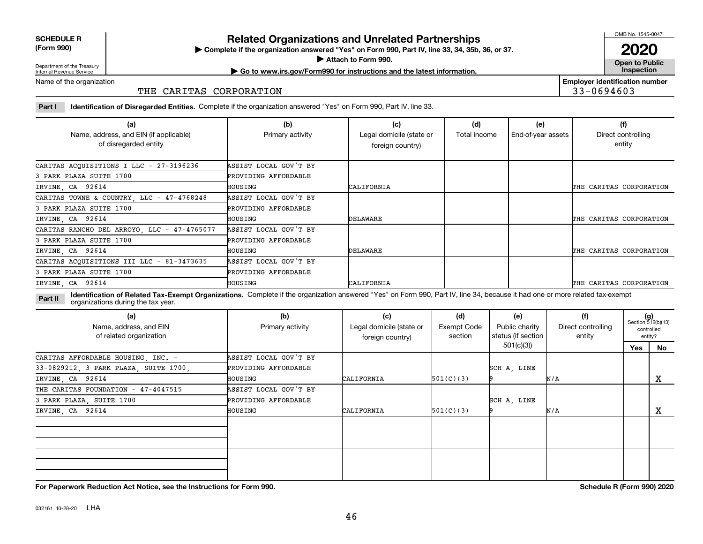**SCHEDULE R**

**(Form 990)**

# **Related Organizations and Unrelated Partnerships**

**Complete if the organization answered "Yes" on Form 990, Part IV, line 33, 34, 35b, 36, or 37.** |

**Attach to Form 990.**  |

OMB No. 1545-0047

**Open to Public 2020**

**Employer identification number**

33-0694603

Department of the Treasury Internal Revenue Service

# **| Go to www.irs.gov/Form990 for instructions and the latest information. Inspection**

Name of the organization

#### THE CARITAS CORPORATION

**Part I Identification of Disregarded Entities.**  Complete if the organization answered "Yes" on Form 990, Part IV, line 33.

| (a)<br>Name, address, and EIN (if applicable)<br>of disregarded entity | (b)<br>Primary activity | (c)<br>Legal domicile (state or<br>foreign country) | (d)<br>Total income | (e)<br>End-of-year assets | (f)<br>Direct controlling<br>entity |
|------------------------------------------------------------------------|-------------------------|-----------------------------------------------------|---------------------|---------------------------|-------------------------------------|
| CARITAS ACQUISITIONS I LLC - 27-3196236                                | ASSIST LOCAL GOV'T BY   |                                                     |                     |                           |                                     |
| 3 PARK PLAZA SUITE 1700                                                | PROVIDING AFFORDABLE    |                                                     |                     |                           |                                     |
| IRVINE, CA 92614                                                       | HOUSING                 | CALIFORNIA                                          |                     |                           | THE CARITAS CORPORATION             |
| CARITAS TOWNE & COUNTRY, LLC - 47-4768248                              | ASSIST LOCAL GOV'T BY   |                                                     |                     |                           |                                     |
| 3 PARK PLAZA SUITE 1700                                                | PROVIDING AFFORDABLE    |                                                     |                     |                           |                                     |
| IRVINE, CA 92614                                                       | HOUSING                 | DELAWARE                                            |                     |                           | THE CARITAS CORPORATION             |
| CARITAS RANCHO DEL ARROYO, LLC - 47-4765077                            | ASSIST LOCAL GOV'T BY   |                                                     |                     |                           |                                     |
| 3 PARK PLAZA SUITE 1700                                                | PROVIDING AFFORDABLE    |                                                     |                     |                           |                                     |
| IRVINE, CA 92614                                                       | HOUSING                 | DELAWARE                                            |                     |                           | THE CARITAS CORPORATION             |
| CARITAS ACQUISITIONS III LLC - 81-3473635                              | ASSIST LOCAL GOV'T BY   |                                                     |                     |                           |                                     |
| 3 PARK PLAZA SUITE 1700                                                | PROVIDING AFFORDABLE    |                                                     |                     |                           |                                     |
| IRVINE, CA 92614                                                       | HOUSING                 | CALIFORNIA                                          |                     |                           | THE CARITAS CORPORATION             |

**Identification of Related Tax-Exempt Organizations.** Complete if the organization answered "Yes" on Form 990, Part IV, line 34, because it had one or more related tax-exempt **Part II** organizations during the tax year.

| (a)<br>Name, address, and EIN<br>of related organization | (b)<br>Primary activity | (c)<br>Legal domicile (state or<br>foreign country) | (d)<br><b>Exempt Code</b><br>section | (e)<br>Public charity<br>status (if section | (f)<br>Direct controlling<br>entity | $(g)$<br>Section 512(b)(13)<br>controlled<br>entity? |    |
|----------------------------------------------------------|-------------------------|-----------------------------------------------------|--------------------------------------|---------------------------------------------|-------------------------------------|------------------------------------------------------|----|
|                                                          |                         |                                                     |                                      | 501(c)(3))                                  |                                     | Yes                                                  | No |
| CARITAS AFFORDABLE HOUSING, INC. -                       | ASSIST LOCAL GOV'T BY   |                                                     |                                      |                                             |                                     |                                                      |    |
| 33-0829212, 3 PARK PLAZA, SUITE 1700,                    | PROVIDING AFFORDABLE    |                                                     |                                      | SCH A, LINE                                 |                                     |                                                      |    |
| IRVINE, CA 92614                                         | HOUSING                 | CALIFORNIA                                          | 501(C)(3)                            |                                             | N/A                                 |                                                      | x  |
| THE CARITAS FOUNDATION - 47-4047515                      | ASSIST LOCAL GOV'T BY   |                                                     |                                      |                                             |                                     |                                                      |    |
| 3 PARK PLAZA, SUITE 1700                                 | PROVIDING AFFORDABLE    |                                                     |                                      | SCH A, LINE                                 |                                     |                                                      |    |
| IRVINE, CA 92614                                         | HOUSING                 | CALIFORNIA                                          | 501(C)(3)                            |                                             | N/A                                 |                                                      | x  |
|                                                          |                         |                                                     |                                      |                                             |                                     |                                                      |    |
|                                                          |                         |                                                     |                                      |                                             |                                     |                                                      |    |
|                                                          |                         |                                                     |                                      |                                             |                                     |                                                      |    |
|                                                          |                         |                                                     |                                      |                                             |                                     |                                                      |    |

**For Paperwork Reduction Act Notice, see the Instructions for Form 990. Schedule R (Form 990) 2020**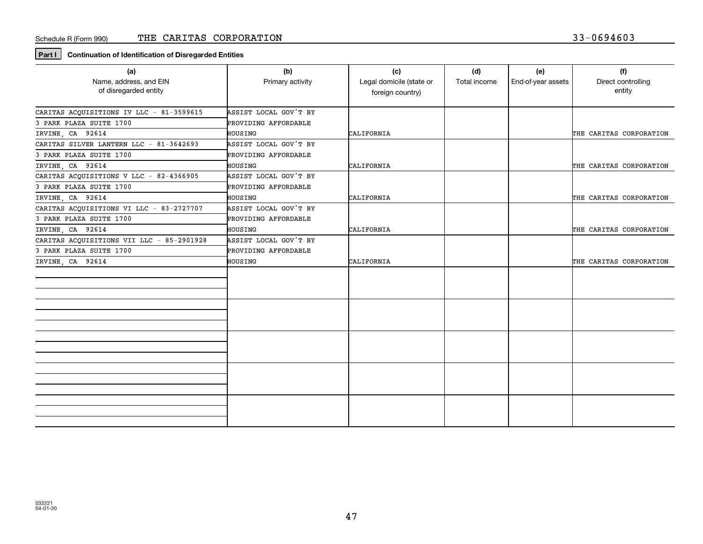# **Part I Continuation of Identification of Disregarded Entities**

| (a)                                       | (b)                   | (c)                      | (d)          | (e)                | (f)                     |
|-------------------------------------------|-----------------------|--------------------------|--------------|--------------------|-------------------------|
| Name, address, and EIN                    | Primary activity      | Legal domicile (state or | Total income | End-of-year assets | Direct controlling      |
| of disregarded entity                     |                       | foreign country)         |              |                    | entity                  |
|                                           |                       |                          |              |                    |                         |
| CARITAS ACQUISITIONS IV LLC - 81-3599615  | ASSIST LOCAL GOV'T BY |                          |              |                    |                         |
| 3 PARK PLAZA SUITE 1700                   | PROVIDING AFFORDABLE  |                          |              |                    |                         |
| IRVINE, CA 92614                          | HOUSING               | CALIFORNIA               |              |                    | THE CARITAS CORPORATION |
| CARITAS SILVER LANTERN LLC - 81-3642693   | ASSIST LOCAL GOV'T BY |                          |              |                    |                         |
| 3 PARK PLAZA SUITE 1700                   | PROVIDING AFFORDABLE  |                          |              |                    |                         |
| IRVINE, CA 92614                          | HOUSING               | CALIFORNIA               |              |                    | THE CARITAS CORPORATION |
| CARITAS ACQUISITIONS V LLC - 82-4366905   | ASSIST LOCAL GOV'T BY |                          |              |                    |                         |
| 3 PARK PLAZA SUITE 1700                   | PROVIDING AFFORDABLE  |                          |              |                    |                         |
| IRVINE, CA 92614                          | HOUSING               | CALIFORNIA               |              |                    | THE CARITAS CORPORATION |
| CARITAS ACQUISITIONS VI LLC - 83-2727707  | ASSIST LOCAL GOV'T BY |                          |              |                    |                         |
| 3 PARK PLAZA SUITE 1700                   | PROVIDING AFFORDABLE  |                          |              |                    |                         |
| IRVINE, CA 92614                          | HOUSING               | CALIFORNIA               |              |                    | THE CARITAS CORPORATION |
| CARITAS ACQUISITIONS VII LLC - 85-2901928 | ASSIST LOCAL GOV'T BY |                          |              |                    |                         |
| 3 PARK PLAZA SUITE 1700                   | PROVIDING AFFORDABLE  |                          |              |                    |                         |
| IRVINE, CA 92614                          | HOUSING               | CALIFORNIA               |              |                    | THE CARITAS CORPORATION |
|                                           |                       |                          |              |                    |                         |
|                                           |                       |                          |              |                    |                         |
|                                           |                       |                          |              |                    |                         |
|                                           |                       |                          |              |                    |                         |
|                                           |                       |                          |              |                    |                         |
|                                           |                       |                          |              |                    |                         |
|                                           |                       |                          |              |                    |                         |
|                                           |                       |                          |              |                    |                         |
|                                           |                       |                          |              |                    |                         |
|                                           |                       |                          |              |                    |                         |
|                                           |                       |                          |              |                    |                         |
|                                           |                       |                          |              |                    |                         |
|                                           |                       |                          |              |                    |                         |
|                                           |                       |                          |              |                    |                         |
|                                           |                       |                          |              |                    |                         |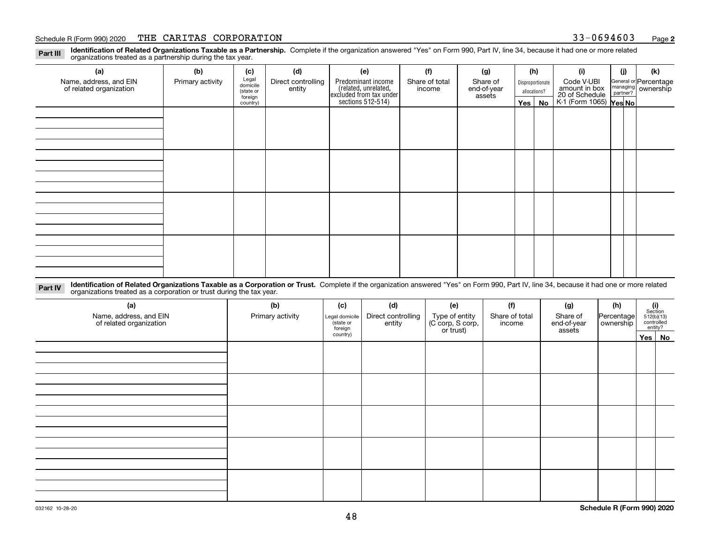#### Schedule R (Form 990) 2020 THE CARITAS CORPORATION 33-0694603 <sub>Page</sub>

**Identification of Related Organizations Taxable as a Partnership.** Complete if the organization answered "Yes" on Form 990, Part IV, line 34, because it had one or more related **Part III** organizations treated as a partnership during the tax year.

| (a)                                               | (b)              | (c)                  | (d)                          | (e)                                                                 | (f)                      | (g)                     |         | (h)              | (i)                                      | (j) | (k)                                                       |
|---------------------------------------------------|------------------|----------------------|------------------------------|---------------------------------------------------------------------|--------------------------|-------------------------|---------|------------------|------------------------------------------|-----|-----------------------------------------------------------|
| Name, address, and EIN<br>of related organization | Primary activity | Legal<br>domicile    | Direct controlling<br>entity | Predominant income                                                  | Share of total<br>income | Share of<br>end-of-year |         | Disproportionate | Code V-UBI<br>amount in box              |     | General or Percentage<br>managing<br>partner?<br>partner? |
|                                                   |                  | (state or<br>foreign |                              |                                                                     |                          | assets                  |         | allocations?     |                                          |     |                                                           |
|                                                   |                  | country)             |                              | related, unrelated,<br>excluded from tax under<br>sections 512-514) |                          |                         | Yes $ $ | No               | 20 of Schedule<br>K-1 (Form 1065) Yes No |     |                                                           |
|                                                   |                  |                      |                              |                                                                     |                          |                         |         |                  |                                          |     |                                                           |
|                                                   |                  |                      |                              |                                                                     |                          |                         |         |                  |                                          |     |                                                           |
|                                                   |                  |                      |                              |                                                                     |                          |                         |         |                  |                                          |     |                                                           |
|                                                   |                  |                      |                              |                                                                     |                          |                         |         |                  |                                          |     |                                                           |
|                                                   |                  |                      |                              |                                                                     |                          |                         |         |                  |                                          |     |                                                           |
|                                                   |                  |                      |                              |                                                                     |                          |                         |         |                  |                                          |     |                                                           |
|                                                   |                  |                      |                              |                                                                     |                          |                         |         |                  |                                          |     |                                                           |
|                                                   |                  |                      |                              |                                                                     |                          |                         |         |                  |                                          |     |                                                           |
|                                                   |                  |                      |                              |                                                                     |                          |                         |         |                  |                                          |     |                                                           |
|                                                   |                  |                      |                              |                                                                     |                          |                         |         |                  |                                          |     |                                                           |
|                                                   |                  |                      |                              |                                                                     |                          |                         |         |                  |                                          |     |                                                           |
|                                                   |                  |                      |                              |                                                                     |                          |                         |         |                  |                                          |     |                                                           |
|                                                   |                  |                      |                              |                                                                     |                          |                         |         |                  |                                          |     |                                                           |
|                                                   |                  |                      |                              |                                                                     |                          |                         |         |                  |                                          |     |                                                           |
|                                                   |                  |                      |                              |                                                                     |                          |                         |         |                  |                                          |     |                                                           |
|                                                   |                  |                      |                              |                                                                     |                          |                         |         |                  |                                          |     |                                                           |
|                                                   |                  |                      |                              |                                                                     |                          |                         |         |                  |                                          |     |                                                           |

**Identification of Related Organizations Taxable as a Corporation or Trust.** Complete if the organization answered "Yes" on Form 990, Part IV, line 34, because it had one or more related **Part IV** organizations treated as a corporation or trust during the tax year.

| (a)<br>Name, address, and EIN<br>of related organization | (b)<br>Primary activity | (c)<br>Legal domicile<br>(state or<br>foreign | (d)<br>Direct controlling<br>entity | (e)<br>Type of entity<br>(C corp, S corp,<br>or trust) | (f)<br>Share of total<br>income | (g)<br>Share of<br>end-of-year<br>assets | (h)<br>Percentage<br>ownership | (i)<br>Section<br>512(b)(13)<br>controlled | entity?  |
|----------------------------------------------------------|-------------------------|-----------------------------------------------|-------------------------------------|--------------------------------------------------------|---------------------------------|------------------------------------------|--------------------------------|--------------------------------------------|----------|
|                                                          |                         | country)                                      |                                     |                                                        |                                 |                                          |                                |                                            | Yes   No |
|                                                          |                         |                                               |                                     |                                                        |                                 |                                          |                                |                                            |          |
|                                                          |                         |                                               |                                     |                                                        |                                 |                                          |                                |                                            |          |
|                                                          |                         |                                               |                                     |                                                        |                                 |                                          |                                |                                            |          |
|                                                          |                         |                                               |                                     |                                                        |                                 |                                          |                                |                                            |          |
|                                                          |                         |                                               |                                     |                                                        |                                 |                                          |                                |                                            |          |
|                                                          |                         |                                               |                                     |                                                        |                                 |                                          |                                |                                            |          |
|                                                          |                         |                                               |                                     |                                                        |                                 |                                          |                                |                                            |          |
|                                                          |                         |                                               |                                     |                                                        |                                 |                                          |                                |                                            |          |
|                                                          |                         |                                               |                                     |                                                        |                                 |                                          |                                |                                            |          |
|                                                          |                         |                                               |                                     |                                                        |                                 |                                          |                                |                                            |          |
|                                                          |                         |                                               |                                     |                                                        |                                 |                                          |                                |                                            |          |
|                                                          |                         |                                               |                                     |                                                        |                                 |                                          |                                |                                            |          |
|                                                          |                         |                                               |                                     |                                                        |                                 |                                          |                                |                                            |          |
|                                                          |                         |                                               |                                     |                                                        |                                 |                                          |                                |                                            |          |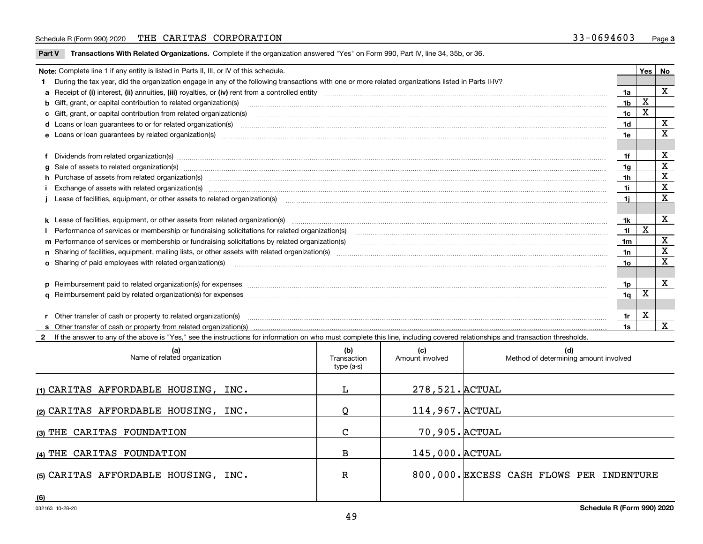#### Schedule R (Form 990) 2020 THE CARITAS CORPORATION 33-0694603 <sub>Page</sub>

**Part V** T**ransactions With Related Organizations.** Complete if the organization answered "Yes" on Form 990, Part IV, line 34, 35b, or 36.

| Note: Complete line 1 if any entity is listed in Parts II, III, or IV of this schedule.                                                               |                                                                                                                                                                                                                                |                |   |              |  |
|-------------------------------------------------------------------------------------------------------------------------------------------------------|--------------------------------------------------------------------------------------------------------------------------------------------------------------------------------------------------------------------------------|----------------|---|--------------|--|
| 1 During the tax year, did the organization engage in any of the following transactions with one or more related organizations listed in Parts II-IV? |                                                                                                                                                                                                                                |                |   |              |  |
|                                                                                                                                                       |                                                                                                                                                                                                                                |                |   | X            |  |
|                                                                                                                                                       | <b>b</b> Gift, grant, or capital contribution to related organization(s)                                                                                                                                                       | 1 <sub>b</sub> | х |              |  |
|                                                                                                                                                       | c Gift, grant, or capital contribution from related organization(s) manufaction(s) manufaction contribution from related organization(s) manufaction contribution from related organization(s) manufaction continuum contribut | 1c             | х |              |  |
|                                                                                                                                                       |                                                                                                                                                                                                                                | 1d             |   | х            |  |
|                                                                                                                                                       | e Loans or loan quarantees by related organization(s)                                                                                                                                                                          | 1е             |   | X            |  |
|                                                                                                                                                       |                                                                                                                                                                                                                                |                |   |              |  |
|                                                                                                                                                       | f Dividends from related organization(s) manufactured contains and contained a series of the contact of the contact of the contact of the contact of the contact of the contact of the contact of the contact of the contact o | 1f             |   | X            |  |
|                                                                                                                                                       |                                                                                                                                                                                                                                | 1g             |   | X            |  |
|                                                                                                                                                       |                                                                                                                                                                                                                                | 1h             |   | х            |  |
|                                                                                                                                                       | Exchange of assets with related organization(s) www.assettion.com/www.assettion.com/www.assettion.com/www.assettion.com/www.assettion.com/www.assettion.com/www.assettion.com/www.assettion.com/www.assettion.com/www.assettio | 1i.            |   | $\mathbf X$  |  |
|                                                                                                                                                       |                                                                                                                                                                                                                                | 1i.            |   | X            |  |
|                                                                                                                                                       |                                                                                                                                                                                                                                |                |   |              |  |
|                                                                                                                                                       |                                                                                                                                                                                                                                | 1k             |   | х            |  |
|                                                                                                                                                       | Performance of services or membership or fundraising solicitations for related organization(s)                                                                                                                                 | 11             | X |              |  |
|                                                                                                                                                       | m Performance of services or membership or fundraising solicitations by related organization(s)                                                                                                                                | 1m             |   | х            |  |
|                                                                                                                                                       |                                                                                                                                                                                                                                | 1n             |   | $\mathbf X$  |  |
|                                                                                                                                                       | o Sharing of paid employees with related organization(s) manufactured and content to the content of the content of the content of the content of the content of the content of the content of the content of the content of th | 10             |   | X            |  |
|                                                                                                                                                       |                                                                                                                                                                                                                                |                |   |              |  |
|                                                                                                                                                       |                                                                                                                                                                                                                                | 1p             |   | $\mathbf{x}$ |  |
|                                                                                                                                                       |                                                                                                                                                                                                                                | 1q             | х |              |  |
|                                                                                                                                                       |                                                                                                                                                                                                                                |                |   |              |  |
|                                                                                                                                                       |                                                                                                                                                                                                                                | 1r             | Χ |              |  |
|                                                                                                                                                       |                                                                                                                                                                                                                                | 1s             |   | X            |  |

**2**If the answer to any of the above is "Yes," see the instructions for information on who must complete this line, including covered relationships and transaction thresholds.

| (a)<br>Name of related organization  | (b)<br>Transaction<br>type (a-s) | (c)<br>Amount involved | (d)<br>Method of determining amount involved |
|--------------------------------------|----------------------------------|------------------------|----------------------------------------------|
| (1) CARITAS AFFORDABLE HOUSING, INC. |                                  | 278, 521. ACTUAL       |                                              |
| (2) CARITAS AFFORDABLE HOUSING, INC. |                                  | 114,967. ACTUAL        |                                              |
| (3) THE CARITAS FOUNDATION           | C                                | 70,905. ACTUAL         |                                              |
| (4) THE CARITAS FOUNDATION           | в                                | 145,000. ACTUAL        |                                              |
| (5) CARITAS AFFORDABLE HOUSING, INC. | R                                |                        | 800,000. EXCESS CASH FLOWS PER INDENTURE     |
| (6)                                  |                                  |                        |                                              |

 $\overline{\phantom{a}}$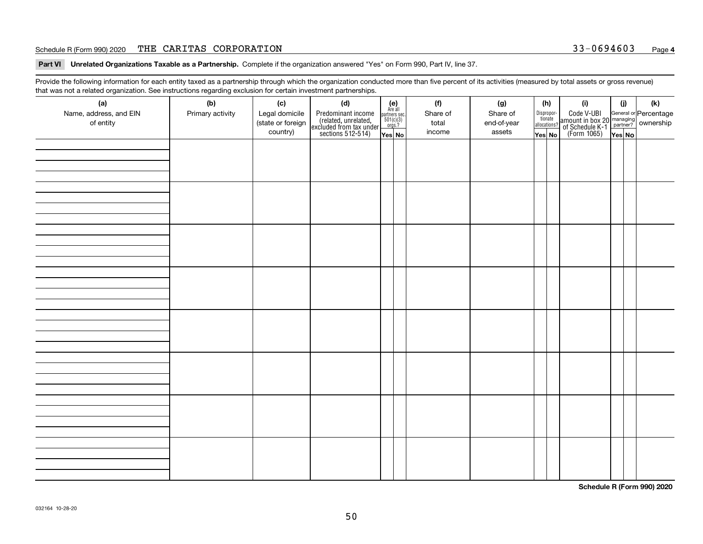#### Schedule R (Form 990) 2020 THE CARITAS CORPORATION 33-0694603 <sub>Page</sub>

**Part VI Unrelated Organizations Taxable as a Partnership. Complete if the organization answered "Yes" on Form 990, Part IV, line 37.** 

Provide the following information for each entity taxed as a partnership through which the organization conducted more than five percent of its activities (measured by total assets or gross revenue) that was not a related organization. See instructions regarding exclusion for certain investment partnerships.

| ັ                      | ັ<br>ັ           |                   |                                                                                            |                                                                                              |          |             |                                  |                                                                                                  |        |     |  |  |
|------------------------|------------------|-------------------|--------------------------------------------------------------------------------------------|----------------------------------------------------------------------------------------------|----------|-------------|----------------------------------|--------------------------------------------------------------------------------------------------|--------|-----|--|--|
| (a)                    | (b)              | (c)               | (d)                                                                                        | $(e)$<br>Are all                                                                             | (f)      | (g)         | (h)                              | (i)                                                                                              | (i)    | (k) |  |  |
| Name, address, and EIN | Primary activity | Legal domicile    | Predominant income<br>(related, unrelated,<br>excluded from tax under<br>sections 512-514) |                                                                                              | Share of | Share of    | Disproportionate<br>allocations? | Code V-UBI<br>amount in box 20 managing<br>of Schedule K-1<br>(Form 1065)<br>$\overline{Yes}$ No |        |     |  |  |
| of entity              |                  | (state or foreign |                                                                                            | $\begin{array}{c}\n\text{partners} & \text{sec.} \\ 501(c)(3) & \text{orgs.?} \n\end{array}$ | total    | end-of-year |                                  |                                                                                                  |        |     |  |  |
|                        |                  | country)          |                                                                                            |                                                                                              | income   | assets      |                                  |                                                                                                  |        |     |  |  |
|                        |                  |                   |                                                                                            | Yes No                                                                                       |          |             | Yes No                           |                                                                                                  | Yes No |     |  |  |
|                        |                  |                   |                                                                                            |                                                                                              |          |             |                                  |                                                                                                  |        |     |  |  |
|                        |                  |                   |                                                                                            |                                                                                              |          |             |                                  |                                                                                                  |        |     |  |  |
|                        |                  |                   |                                                                                            |                                                                                              |          |             |                                  |                                                                                                  |        |     |  |  |
|                        |                  |                   |                                                                                            |                                                                                              |          |             |                                  |                                                                                                  |        |     |  |  |
|                        |                  |                   |                                                                                            |                                                                                              |          |             |                                  |                                                                                                  |        |     |  |  |
|                        |                  |                   |                                                                                            |                                                                                              |          |             |                                  |                                                                                                  |        |     |  |  |
|                        |                  |                   |                                                                                            |                                                                                              |          |             |                                  |                                                                                                  |        |     |  |  |
|                        |                  |                   |                                                                                            |                                                                                              |          |             |                                  |                                                                                                  |        |     |  |  |
|                        |                  |                   |                                                                                            |                                                                                              |          |             |                                  |                                                                                                  |        |     |  |  |
|                        |                  |                   |                                                                                            |                                                                                              |          |             |                                  |                                                                                                  |        |     |  |  |
|                        |                  |                   |                                                                                            |                                                                                              |          |             |                                  |                                                                                                  |        |     |  |  |
|                        |                  |                   |                                                                                            |                                                                                              |          |             |                                  |                                                                                                  |        |     |  |  |
|                        |                  |                   |                                                                                            |                                                                                              |          |             |                                  |                                                                                                  |        |     |  |  |
|                        |                  |                   |                                                                                            |                                                                                              |          |             |                                  |                                                                                                  |        |     |  |  |
|                        |                  |                   |                                                                                            |                                                                                              |          |             |                                  |                                                                                                  |        |     |  |  |
|                        |                  |                   |                                                                                            |                                                                                              |          |             |                                  |                                                                                                  |        |     |  |  |
|                        |                  |                   |                                                                                            |                                                                                              |          |             |                                  |                                                                                                  |        |     |  |  |
|                        |                  |                   |                                                                                            |                                                                                              |          |             |                                  |                                                                                                  |        |     |  |  |
|                        |                  |                   |                                                                                            |                                                                                              |          |             |                                  |                                                                                                  |        |     |  |  |
|                        |                  |                   |                                                                                            |                                                                                              |          |             |                                  |                                                                                                  |        |     |  |  |
|                        |                  |                   |                                                                                            |                                                                                              |          |             |                                  |                                                                                                  |        |     |  |  |
|                        |                  |                   |                                                                                            |                                                                                              |          |             |                                  |                                                                                                  |        |     |  |  |
|                        |                  |                   |                                                                                            |                                                                                              |          |             |                                  |                                                                                                  |        |     |  |  |
|                        |                  |                   |                                                                                            |                                                                                              |          |             |                                  |                                                                                                  |        |     |  |  |
|                        |                  |                   |                                                                                            |                                                                                              |          |             |                                  |                                                                                                  |        |     |  |  |
|                        |                  |                   |                                                                                            |                                                                                              |          |             |                                  |                                                                                                  |        |     |  |  |
|                        |                  |                   |                                                                                            |                                                                                              |          |             |                                  |                                                                                                  |        |     |  |  |
|                        |                  |                   |                                                                                            |                                                                                              |          |             |                                  |                                                                                                  |        |     |  |  |
|                        |                  |                   |                                                                                            |                                                                                              |          |             |                                  |                                                                                                  |        |     |  |  |
|                        |                  |                   |                                                                                            |                                                                                              |          |             |                                  |                                                                                                  |        |     |  |  |
|                        |                  |                   |                                                                                            |                                                                                              |          |             |                                  |                                                                                                  |        |     |  |  |
|                        |                  |                   |                                                                                            |                                                                                              |          |             |                                  |                                                                                                  |        |     |  |  |
|                        |                  |                   |                                                                                            |                                                                                              |          |             |                                  |                                                                                                  |        |     |  |  |
|                        |                  |                   |                                                                                            |                                                                                              |          |             |                                  |                                                                                                  |        |     |  |  |
|                        |                  |                   |                                                                                            |                                                                                              |          |             |                                  |                                                                                                  |        |     |  |  |
|                        |                  |                   |                                                                                            |                                                                                              |          |             |                                  |                                                                                                  |        |     |  |  |
|                        |                  |                   |                                                                                            |                                                                                              |          |             |                                  |                                                                                                  |        |     |  |  |
|                        |                  |                   |                                                                                            |                                                                                              |          |             |                                  |                                                                                                  |        |     |  |  |
|                        |                  |                   |                                                                                            |                                                                                              |          |             |                                  |                                                                                                  |        |     |  |  |
|                        |                  |                   |                                                                                            |                                                                                              |          |             |                                  |                                                                                                  |        |     |  |  |
|                        |                  |                   |                                                                                            |                                                                                              |          |             |                                  |                                                                                                  |        |     |  |  |
|                        |                  |                   |                                                                                            |                                                                                              |          |             |                                  |                                                                                                  |        |     |  |  |
|                        |                  |                   |                                                                                            |                                                                                              |          |             |                                  |                                                                                                  |        |     |  |  |

**Schedule R (Form 990) 2020**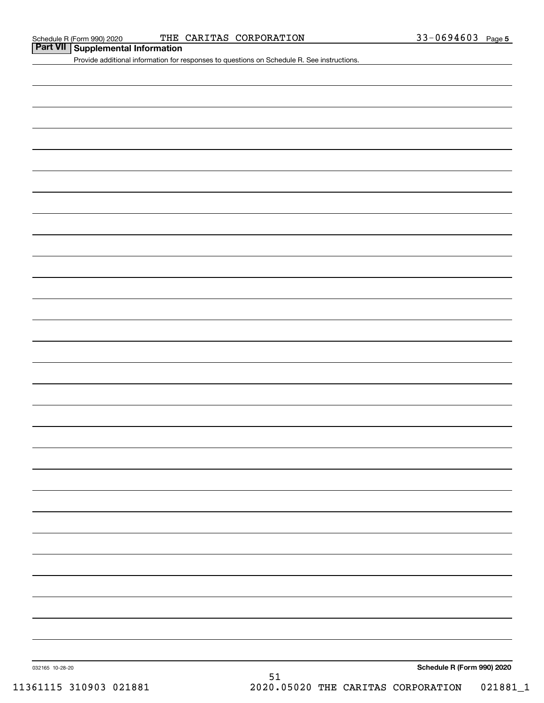**Part VII Supplemental Information**

Provide additional information for responses to questions on Schedule R. See instructions.

**Schedule R (Form 990) 2020**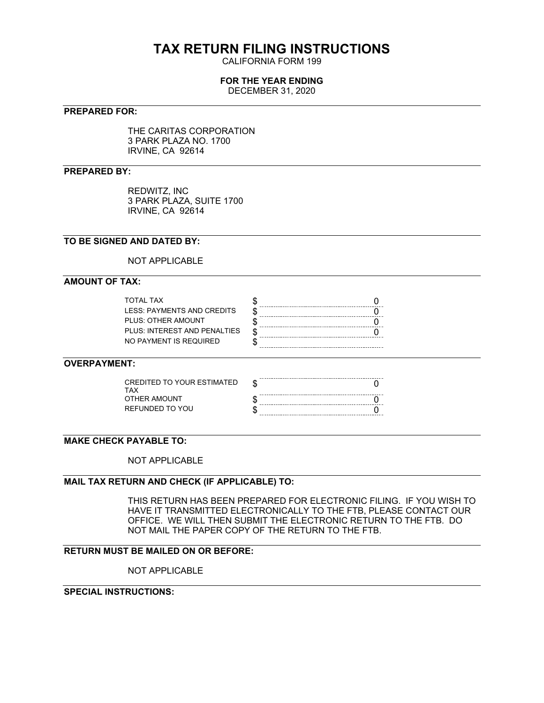# **TAX RETURN FILING INSTRUCTIONS**

CALIFORNIA FORM 199

# **FOR THE YEAR ENDING**

DECEMBER 31, 2020

### **PREPARED FOR:**

THE CARITAS CORPORATION 3 PARK PLAZA NO. 1700 IRVINE, CA 92614

## **PREPARED BY:**

REDWITZ, INC 3 PARK PLAZA, SUITE 1700 IRVINE, CA 92614

# **TO BE SIGNED AND DATED BY:**

NOT APPLICABLE

## **AMOUNT OF TAX:**

| TOTAI TAX                    |  |
|------------------------------|--|
| LESS: PAYMENTS AND CREDITS   |  |
| PLUS: OTHER AMOUNT           |  |
| PLUS: INTEREST AND PENALTIES |  |
| NO PAYMENT IS REQUIRED       |  |

## **OVERPAYMENT:**

| CREDITED TO YOUR ESTIMATED.<br>TAX |  |
|------------------------------------|--|
| OTHER AMOUNT                       |  |
| REFUNDED TO YOU                    |  |

# **MAKE CHECK PAYABLE TO:**

NOT APPLICABLE

# **MAIL TAX RETURN AND CHECK (IF APPLICABLE) TO:**

THIS RETURN HAS BEEN PREPARED FOR ELECTRONIC FILING. IF YOU WISH TO HAVE IT TRANSMITTED ELECTRONICALLY TO THE FTB, PLEASE CONTACT OUR OFFICE. WE WILL THEN SUBMIT THE ELECTRONIC RETURN TO THE FTB. DO NOT MAIL THE PAPER COPY OF THE RETURN TO THE FTB.

## **RETURN MUST BE MAILED ON OR BEFORE:**

NOT APPLICABLE

# **SPECIAL INSTRUCTIONS:**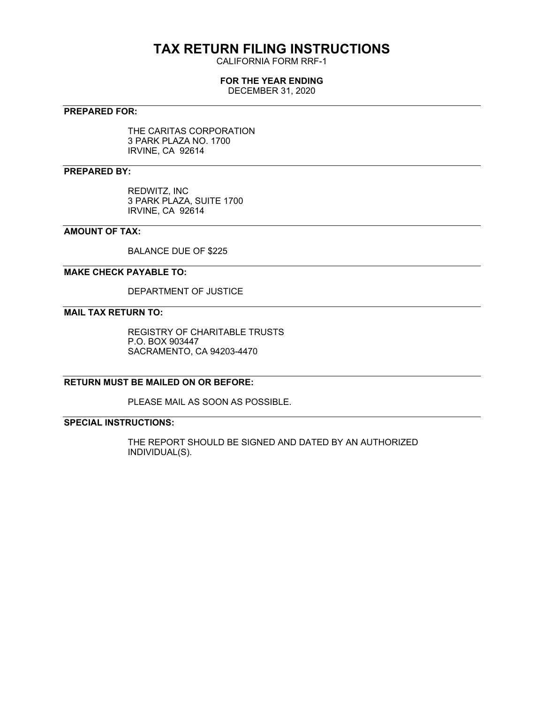# **TAX RETURN FILING INSTRUCTIONS**

CALIFORNIA FORM RRF-1

# **FOR THE YEAR ENDING**

DECEMBER 31, 2020

# **PREPARED FOR:**

THE CARITAS CORPORATION 3 PARK PLAZA NO. 1700 IRVINE, CA 92614

# **PREPARED BY:**

REDWITZ, INC 3 PARK PLAZA, SUITE 1700 IRVINE, CA 92614

# **AMOUNT OF TAX:**

BALANCE DUE OF \$225

### **MAKE CHECK PAYABLE TO:**

DEPARTMENT OF JUSTICE

# **MAIL TAX RETURN TO:**

REGISTRY OF CHARITABLE TRUSTS P.O. BOX 903447 SACRAMENTO, CA 94203-4470

# **RETURN MUST BE MAILED ON OR BEFORE:**

PLEASE MAIL AS SOON AS POSSIBLE.

# **SPECIAL INSTRUCTIONS:**

THE REPORT SHOULD BE SIGNED AND DATED BY AN AUTHORIZED INDIVIDUAL(S).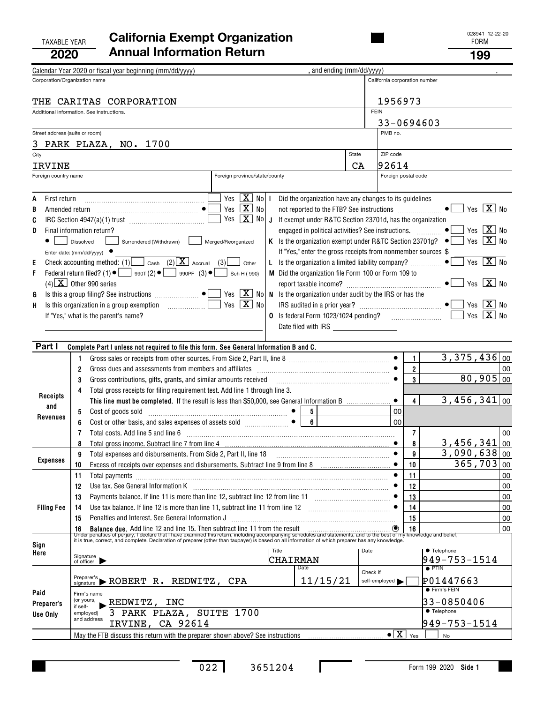### TAXABLE YEAR FORM **California Exempt Organization 2020Annual Information Return <sup>199</sup>**

|                      | , and ending (mm/dd/yyyy)<br>Calendar Year 2020 or fiscal year beginning (mm/dd/yyyy)                                                                                                                                            |             |                                   |                         |                                |
|----------------------|----------------------------------------------------------------------------------------------------------------------------------------------------------------------------------------------------------------------------------|-------------|-----------------------------------|-------------------------|--------------------------------|
|                      | Corporation/Organization name                                                                                                                                                                                                    |             | California corporation number     |                         |                                |
|                      |                                                                                                                                                                                                                                  |             |                                   |                         |                                |
|                      | THE CARITAS CORPORATION                                                                                                                                                                                                          |             | 1956973                           |                         |                                |
|                      | Additional information. See instructions.                                                                                                                                                                                        | <b>FEIN</b> |                                   |                         |                                |
|                      |                                                                                                                                                                                                                                  |             | 33-0694603                        |                         |                                |
|                      | Street address (suite or room)                                                                                                                                                                                                   |             | PMB no.                           |                         |                                |
|                      | 3 PARK PLAZA, NO. 1700                                                                                                                                                                                                           |             |                                   |                         |                                |
| City                 | State                                                                                                                                                                                                                            |             | ZIP code                          |                         |                                |
| IRVINE               |                                                                                                                                                                                                                                  | CA          | 92614                             |                         |                                |
| Foreign country name | Foreign province/state/county                                                                                                                                                                                                    |             | Foreign postal code               |                         |                                |
|                      |                                                                                                                                                                                                                                  |             |                                   |                         |                                |
| First return         | Yes $\boxed{\mathbf{X}}$ No   I Did the organization have any changes to its guidelines                                                                                                                                          |             |                                   |                         |                                |
|                      | Yes $\boxed{\mathbf{X}}$ No<br>────────────────────────── <sup>●</sup> [<br>Amended return                                                                                                                                       |             |                                   |                         | $Yes$ $\overline{X}$ No        |
| C                    | Yes $\boxed{\mathbf{X}}$ No $\boxed{\mathbf{J}}$ If exempt under R&TC Section 23701d, has the organization                                                                                                                       |             |                                   |                         |                                |
| D                    | engaged in political activities? See instructions. $\Box$ $\bullet$ $\Box$<br>Final information return?                                                                                                                          |             |                                   |                         | Yes $\boxed{\mathbf{X}}$ No    |
|                      | K Is the organization exempt under R&TC Section 23701g? $\bullet$   $\bullet$   Yes $\boxed{\mathbf{X}}$ No<br>Dissolved<br>Surrendered (Withdrawn)<br>Merged/Reorganized                                                        |             |                                   |                         |                                |
|                      | If "Yes," enter the gross receipts from nonmember sources \$<br>Enter date: (mm/dd/yyyy) ●<br>Check accounting method: (1) $\Box$ Cash (2) $\boxed{\mathbf{X}}$ Accrual (3) other                                                |             |                                   |                         | Yes $\boxed{\mathbf{X}}$ No    |
| Е                    | L Is the organization a limited liability company? $\Box$<br>Federal return filed? (1) $\bullet$ $\Box$ 990T (2) $\bullet$ $\Box$ 990PF (3) $\bullet$ $\Box$ Sch H (990)<br>M Did the organization file Form 100 or Form 109 to  |             |                                   |                         |                                |
| F.                   | $(4)$ X Other 990 series                                                                                                                                                                                                         |             |                                   |                         |                                |
| G                    | Is this a group filing? See instructions $\Box$ $\sim$ $\Box$ Yes $\Box$ No N is the organization under audit by the IRS or has the                                                                                              |             |                                   |                         |                                |
| H,                   | Yes $\boxed{\mathbf{X}}$ No<br>IRS audited in a prior year? $\Box$                                                                                                                                                               |             |                                   |                         | Yes $X$ No                     |
|                      | If "Yes," what is the parent's name?                                                                                                                                                                                             |             |                                   |                         | Yes $X$ No                     |
|                      |                                                                                                                                                                                                                                  |             |                                   |                         |                                |
|                      |                                                                                                                                                                                                                                  |             |                                   |                         |                                |
| Part I               | Complete Part I unless not required to file this form. See General Information B and C.                                                                                                                                          |             |                                   |                         |                                |
|                      | 1                                                                                                                                                                                                                                |             | $\bullet$                         | $\mathbf{1}$            | $3,375,436$ 00                 |
|                      | Gross dues and assessments from members and affiliates<br>2                                                                                                                                                                      |             |                                   | $\overline{2}$          | 00                             |
|                      | Gross contributions, gifts, grants, and similar amounts received<br>3                                                                                                                                                            |             |                                   | $\overline{\mathbf{3}}$ | $80,905$ 00                    |
| Receipts             | Total gross receipts for filing requirement test. Add line 1 through line 3.<br>4                                                                                                                                                |             |                                   | $\overline{4}$          | $3,456,341$ 00                 |
| and                  | This line must be completed. If the result is less than \$50,000, see General Information B                                                                                                                                      |             | $\bullet$<br>00                   |                         |                                |
| Revenues             | 5 <sup>5</sup><br>Cost of goods sold<br>5<br>$\overline{6}$<br>6                                                                                                                                                                 |             | 0 <sup>0</sup>                    |                         |                                |
|                      | Total costs. Add line 5 and line 6                                                                                                                                                                                               |             |                                   | $\overline{7}$          | 00                             |
|                      | Total gross income. Subtract line 7 from line 4 [11] matter in the state of the state of the state of the state of the state of the state of the state of the state of the state of the state of the state of the state of the   |             |                                   | 8                       | $3,456,341$ 00                 |
|                      | 9<br>Total expenses and disbursements. From Side 2, Part II, line 18                                                                                                                                                             |             | $\bullet$                         | 9                       | $3,090,638$ 00                 |
| Expenses             | Excess of receipts over expenses and disbursements. Subtract line 9 from line 8<br>10                                                                                                                                            |             | $\bullet$                         | 10                      | $\overline{365,703}$ 00        |
|                      | Total payments<br>11                                                                                                                                                                                                             |             |                                   | 11                      | 00                             |
|                      | Use tax. See General Information K<br>12                                                                                                                                                                                         |             |                                   | 12                      | 00                             |
|                      | 13                                                                                                                                                                                                                               |             |                                   | 13                      | 00                             |
| <b>Filing Fee</b>    | 14                                                                                                                                                                                                                               |             |                                   | 14                      | 00                             |
|                      | Penalties and Interest. See General Information J<br>15                                                                                                                                                                          |             |                                   | 15                      | 00                             |
|                      | 16 Balance due. Add line 12 and line 15. Then subtract line 11 from the result<br>Under penalties of perjury, I declare that I have examined this return, including accompanying schedules and statements, and to the best of my |             |                                   |                         | 00                             |
| Sign                 |                                                                                                                                                                                                                                  |             |                                   |                         |                                |
| Here                 | Title                                                                                                                                                                                                                            | Date        |                                   |                         | ● Telephone                    |
|                      | Signature<br>of officer<br><b>CHAIRMAN</b><br>Date                                                                                                                                                                               |             |                                   |                         | 949-753-1514<br>$\bullet$ PTIN |
|                      | Preparer's                                                                                                                                                                                                                       | Check if    |                                   |                         |                                |
|                      | $F_{\text{signature}}$ $\triangleright$ ROBERT R. REDWITZ, CPA<br>11/15/21                                                                                                                                                       |             | self-employed                     |                         | P01447663<br>● Firm's FEIN     |
| Paid<br>Preparer's   | Firm's name<br>(or yours,<br>REDWITZ, INC                                                                                                                                                                                        |             |                                   |                         | 33-0850406                     |
| Use Only             | if self-<br>PARK PLAZA, SUITE 1700<br>employed)<br>3.                                                                                                                                                                            |             |                                   |                         | <b>• Telephone</b>             |
|                      | and address<br>IRVINE, CA 92614                                                                                                                                                                                                  |             |                                   |                         | 949-753-1514                   |
|                      | May the FTB discuss this return with the preparer shown above? See instructions                                                                                                                                                  |             | $\bullet$ $\boxed{X}$ $\gamma$ es |                         | No                             |

 $\mathbf I$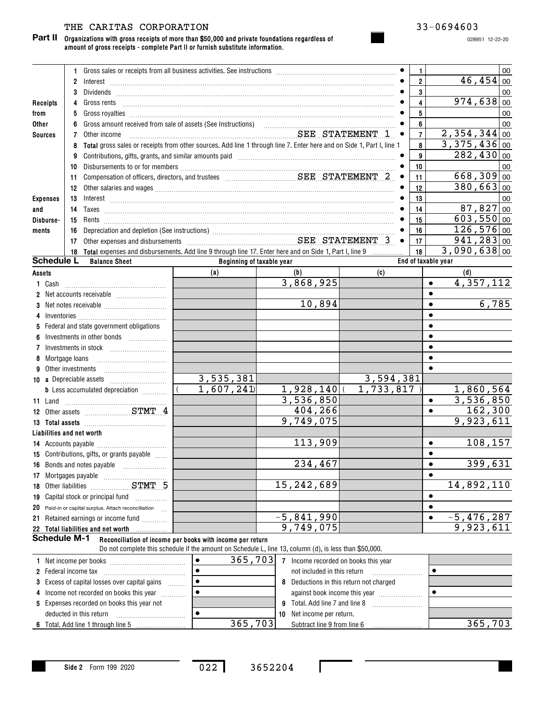# THE CARITAS CORPORATION 33-0694603

**Organizations with gross receipts of more than \$50,000 and private foundations regardless of Part II amount of gross receipts - complete Part II or furnish substitute information.**

028951 12-22-20

|                 | 1.                                                                                                                                                                                                                                                                                                                                                                                   |                                                                                                        |                                         |                                                      | 1<br>00                                        |
|-----------------|--------------------------------------------------------------------------------------------------------------------------------------------------------------------------------------------------------------------------------------------------------------------------------------------------------------------------------------------------------------------------------------|--------------------------------------------------------------------------------------------------------|-----------------------------------------|------------------------------------------------------|------------------------------------------------|
|                 |                                                                                                                                                                                                                                                                                                                                                                                      |                                                                                                        |                                         |                                                      | $46,454$ 00<br>$\overline{\mathbf{2}}$         |
|                 | 3                                                                                                                                                                                                                                                                                                                                                                                    |                                                                                                        |                                         |                                                      | 3<br>00                                        |
| Receipts        | 4                                                                                                                                                                                                                                                                                                                                                                                    |                                                                                                        |                                         |                                                      | $974,638$ 00<br>4                              |
| from            | 5                                                                                                                                                                                                                                                                                                                                                                                    |                                                                                                        |                                         |                                                      | 5<br>00                                        |
| <b>Other</b>    | 6                                                                                                                                                                                                                                                                                                                                                                                    |                                                                                                        |                                         |                                                      | 6<br>00                                        |
| <b>Sources</b>  | 7<br>Other income                                                                                                                                                                                                                                                                                                                                                                    | SEE STATEMENT 1                                                                                        |                                         |                                                      | $2,354,344$ 00<br>$\overline{7}$               |
|                 | Total gross sales or receipts from other sources. Add line 1 through line 7. Enter here and on Side 1, Part I, line 1<br>8                                                                                                                                                                                                                                                           |                                                                                                        |                                         |                                                      | 3,375,436 00<br>8                              |
|                 | Contributions, gifts, grants, and similar amounts paid manufactured contributions, and similar amounts and similar amounts paid manufactured contractions.<br>9                                                                                                                                                                                                                      |                                                                                                        |                                         |                                                      | 282,430 00<br>9                                |
|                 | 10                                                                                                                                                                                                                                                                                                                                                                                   |                                                                                                        |                                         |                                                      | 10<br>00                                       |
|                 | 11                                                                                                                                                                                                                                                                                                                                                                                   |                                                                                                        |                                         |                                                      | $668,309$ 00<br>11                             |
|                 | 12 <sup>°</sup>                                                                                                                                                                                                                                                                                                                                                                      |                                                                                                        |                                         |                                                      | $\overline{380,663}$ 00<br>12                  |
| <b>Expenses</b> | 13<br>$Interest \begin{array}{c} \rule{2.5cm}{0.15cm} \rule{2.5cm}{0.15cm} \rule{2.5cm}{0.15cm} \rule{2.5cm}{0.15cm} \rule{2.5cm}{0.15cm} \rule{2.5cm}{0.15cm} \rule{2.5cm}{0.15cm} \rule{2.5cm}{0.15cm} \rule{2.5cm}{0.15cm} \rule{2.5cm}{0.15cm} \rule{2.5cm}{0.15cm} \rule{2.5cm}{0.15cm} \rule{2.5cm}{0.15cm} \rule{2.5cm}{0.15cm} \rule{2.5cm}{0.15cm} \$                       |                                                                                                        |                                         |                                                      | 13<br>00                                       |
| and             | 14                                                                                                                                                                                                                                                                                                                                                                                   |                                                                                                        |                                         |                                                      | 87,827<br>14<br>l oo                           |
| Disburse-       | 15                                                                                                                                                                                                                                                                                                                                                                                   |                                                                                                        |                                         |                                                      | $603, 550 _{00}$<br>15                         |
| ments           | 16                                                                                                                                                                                                                                                                                                                                                                                   |                                                                                                        |                                         |                                                      | $126,576$ 00<br>16                             |
|                 | 17                                                                                                                                                                                                                                                                                                                                                                                   |                                                                                                        |                                         | $\bullet$                                            | $941, 283$ 00<br>17                            |
|                 | 18 Total expenses and disbursements. Add line 9 through line 17. Enter here and on Side 1, Part I, line 9                                                                                                                                                                                                                                                                            |                                                                                                        |                                         | .                                                    | $\overline{3,090,638}$ 00<br>18                |
|                 | <b>Schedule L</b><br><b>Balance Sheet</b>                                                                                                                                                                                                                                                                                                                                            | Beginning of taxable year                                                                              |                                         |                                                      | End of taxable year                            |
| Assets          |                                                                                                                                                                                                                                                                                                                                                                                      | (a)                                                                                                    | (b)                                     | (c)                                                  | (d)                                            |
|                 | 1 Cash                                                                                                                                                                                                                                                                                                                                                                               |                                                                                                        | 3,868,925                               |                                                      | 4,357,112<br>$\bullet$                         |
|                 |                                                                                                                                                                                                                                                                                                                                                                                      |                                                                                                        |                                         |                                                      | $\bullet$                                      |
| 3               |                                                                                                                                                                                                                                                                                                                                                                                      |                                                                                                        | 10,894                                  |                                                      | 6,785<br>$\bullet$                             |
| 4               | $Inventories \begin{picture}(1,0) \put(0,0){\vector(1,0){100}} \put(0,0){\vector(1,0){100}} \put(0,0){\vector(1,0){100}} \put(0,0){\vector(1,0){100}} \put(0,0){\vector(1,0){100}} \put(0,0){\vector(1,0){100}} \put(0,0){\vector(1,0){100}} \put(0,0){\vector(1,0){100}} \put(0,0){\vector(1,0){100}} \put(0,0){\vector(1,0){100}} \put(0,0){\vector(1,0){100}} \put(0,0){\vector($ |                                                                                                        |                                         |                                                      | $\bullet$                                      |
| 5               | Federal and state government obligations                                                                                                                                                                                                                                                                                                                                             |                                                                                                        |                                         |                                                      | $\bullet$                                      |
| 6               |                                                                                                                                                                                                                                                                                                                                                                                      |                                                                                                        |                                         |                                                      | $\bullet$                                      |
| 7               |                                                                                                                                                                                                                                                                                                                                                                                      |                                                                                                        |                                         |                                                      | $\bullet$                                      |
| 8               | Mortgage loans                                                                                                                                                                                                                                                                                                                                                                       |                                                                                                        |                                         |                                                      | $\bullet$                                      |
| 9               | Other investments <b>contained contained contained contained contained contained </b>                                                                                                                                                                                                                                                                                                |                                                                                                        |                                         |                                                      | $\bullet$                                      |
|                 |                                                                                                                                                                                                                                                                                                                                                                                      | 3,535,381                                                                                              |                                         | 3,594,381                                            |                                                |
|                 | <b>b</b> Less accumulated depreciation <i></i>                                                                                                                                                                                                                                                                                                                                       | 1,607,241                                                                                              | $\overline{1,928}, 140$ (<br>3,536,850  | 1,733,817                                            | 1,860,564                                      |
|                 |                                                                                                                                                                                                                                                                                                                                                                                      |                                                                                                        | 404,266                                 |                                                      | 3,536,850<br>$\bullet$<br>162,300<br>$\bullet$ |
|                 | 12 Other assets STMT 4                                                                                                                                                                                                                                                                                                                                                               |                                                                                                        | 9,749,075                               |                                                      | $\overline{9,923,611}$                         |
|                 |                                                                                                                                                                                                                                                                                                                                                                                      |                                                                                                        |                                         |                                                      |                                                |
|                 | Liabilities and net worth                                                                                                                                                                                                                                                                                                                                                            |                                                                                                        | 113,909                                 |                                                      | 108,157<br>$\bullet$                           |
|                 |                                                                                                                                                                                                                                                                                                                                                                                      |                                                                                                        |                                         |                                                      |                                                |
|                 | 15 Contributions, gifts, or grants payable                                                                                                                                                                                                                                                                                                                                           |                                                                                                        | 234, 467                                |                                                      | 399,631<br>$\bullet$                           |
|                 |                                                                                                                                                                                                                                                                                                                                                                                      |                                                                                                        |                                         |                                                      | $\bullet$                                      |
|                 | 18 Other liabilities STMT 5                                                                                                                                                                                                                                                                                                                                                          |                                                                                                        | 15, 242, 689                            |                                                      | $\overline{14,892,110}$                        |
|                 | 19 Capital stock or principal fund                                                                                                                                                                                                                                                                                                                                                   |                                                                                                        |                                         |                                                      | $\bullet$                                      |
|                 | 20 Paid-in or capital surplus. Attach reconciliation                                                                                                                                                                                                                                                                                                                                 |                                                                                                        |                                         |                                                      | $\bullet$                                      |
|                 | 21 Retained earnings or income fund                                                                                                                                                                                                                                                                                                                                                  |                                                                                                        | $-5,841,990$                            |                                                      | $-5,476,287$<br>$\bullet$                      |
|                 | 22 Total liabilities and net worth                                                                                                                                                                                                                                                                                                                                                   |                                                                                                        | 9,749,075                               |                                                      | 9,923,611                                      |
|                 | <b>Schedule M-1</b>                                                                                                                                                                                                                                                                                                                                                                  | Reconciliation of income per books with income per return                                              |                                         |                                                      |                                                |
|                 |                                                                                                                                                                                                                                                                                                                                                                                      | Do not complete this schedule if the amount on Schedule L, line 13, column (d), is less than \$50,000. |                                         |                                                      |                                                |
|                 |                                                                                                                                                                                                                                                                                                                                                                                      | 365,703<br>$\bullet$                                                                                   | 7 Income recorded on books this year    |                                                      |                                                |
|                 |                                                                                                                                                                                                                                                                                                                                                                                      |                                                                                                        | not included in this return             |                                                      | $\bullet$                                      |
|                 | 3 Excess of capital losses over capital gains                                                                                                                                                                                                                                                                                                                                        | $\bullet$                                                                                              | 8 Deductions in this return not charged |                                                      |                                                |
|                 | 4 Income not recorded on books this year                                                                                                                                                                                                                                                                                                                                             |                                                                                                        |                                         | against book income this year                        |                                                |
|                 | 5 Expenses recorded on books this year not                                                                                                                                                                                                                                                                                                                                           |                                                                                                        | 9 Total. Add line 7 and line 8          | <u> 1986 - Johann Stoff, Amerikaansk politiker (</u> |                                                |
|                 | deducted in this return                                                                                                                                                                                                                                                                                                                                                              | $\bullet$                                                                                              | 10 Net income per return.               |                                                      |                                                |

**Side 2** Form 199 2020

**6** Total. Add line 1 through line 5

022 3652204

365 , 703 Subtract line 9 from line 6 …………………… | 365 , 703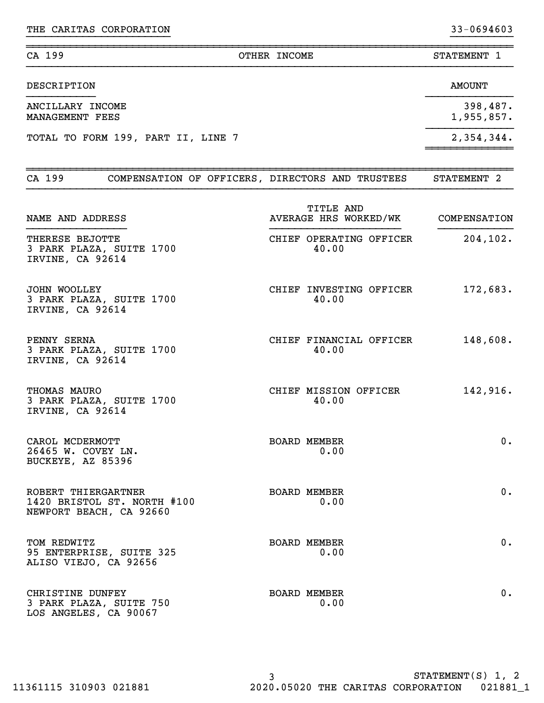THE CARITAS CORPORATION **33-0694603** 

|                                                                               |                                    | <b>vvjevvj</b>         |
|-------------------------------------------------------------------------------|------------------------------------|------------------------|
| CA 199                                                                        | OTHER INCOME                       | STATEMENT 1            |
| DESCRIPTION                                                                   |                                    | <b>AMOUNT</b>          |
| ANCILLARY INCOME<br>MANAGEMENT FEES                                           |                                    | 398,487.<br>1,955,857. |
| TOTAL TO FORM 199, PART II, LINE 7                                            |                                    | 2,354,344.             |
| CA 199<br>COMPENSATION OF OFFICERS, DIRECTORS AND TRUSTEES                    |                                    | STATEMENT 2            |
| NAME AND ADDRESS                                                              | TITLE AND<br>AVERAGE HRS WORKED/WK | COMPENSATION           |
| THERESE BEJOTTE<br>3 PARK PLAZA, SUITE 1700<br>IRVINE, CA 92614               | CHIEF OPERATING OFFICER<br>40.00   | 204, 102.              |
| JOHN WOOLLEY<br>3 PARK PLAZA, SUITE 1700<br>IRVINE, CA 92614                  | CHIEF INVESTING OFFICER<br>40.00   | 172,683.               |
| PENNY SERNA<br>3 PARK PLAZA, SUITE 1700<br>IRVINE, CA 92614                   | CHIEF FINANCIAL OFFICER<br>40.00   | 148,608.               |
| THOMAS MAURO<br>3 PARK PLAZA, SUITE 1700<br>IRVINE, CA 92614                  | CHIEF MISSION OFFICER<br>40.00     | 142,916.               |
| CAROL MCDERMOTT<br>26465 W. COVEY LN.<br>BUCKEYE, AZ 85396                    | <b>BOARD MEMBER</b><br>0.00        | 0.                     |
| ROBERT THIERGARTNER<br>1420 BRISTOL ST. NORTH #100<br>NEWPORT BEACH, CA 92660 | <b>BOARD MEMBER</b><br>0.00        | $0$ .                  |
| TOM REDWITZ<br>95 ENTERPRISE, SUITE 325<br>ALISO VIEJO, CA 92656              | <b>BOARD MEMBER</b><br>0.00        | 0.                     |
| CHRISTINE DUNFEY<br>3 PARK PLAZA, SUITE 750<br>LOS ANGELES, CA 90067          | BOARD MEMBER<br>0.00               | 0.                     |

3 STATEMENT(S) 1, 2 11361115 310903 021881 2020.05020 THE CARITAS CORPORATION 021881\_1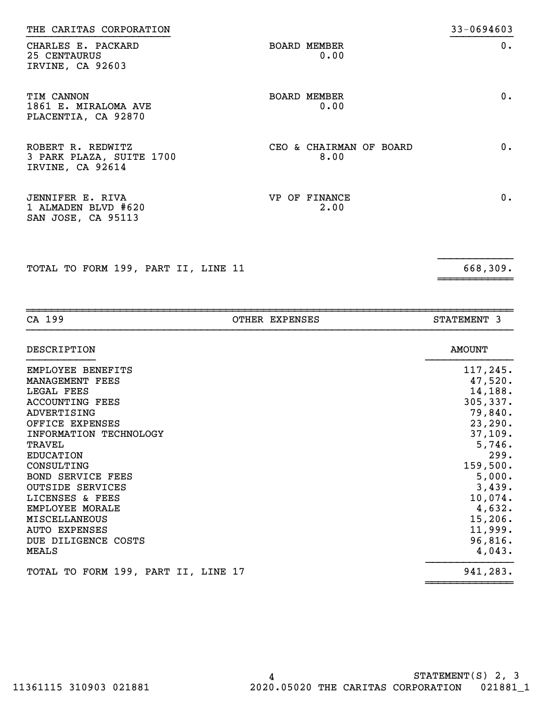| THE CARITAS CORPORATION                                           |                                 | $33 - 0694603$ |
|-------------------------------------------------------------------|---------------------------------|----------------|
| CHARLES E. PACKARD<br>25 CENTAURUS<br>IRVINE, CA 92603            | <b>BOARD MEMBER</b><br>0.00     | 0.             |
| <b>TIM CANNON</b><br>1861 E. MIRALOMA AVE<br>PLACENTIA, CA 92870  | <b>BOARD MEMBER</b><br>0.00     | 0.             |
| ROBERT R. REDWITZ<br>3 PARK PLAZA, SUITE 1700<br>IRVINE, CA 92614 | CEO & CHAIRMAN OF BOARD<br>8.00 | 0.             |
| JENNIFER E. RIVA<br>1 ALMADEN BLVD #620<br>SAN JOSE, CA 95113     | VP OF FINANCE<br>2.00           | 0.             |

}}}}}}}}}}}}

~~~~~~~~~~~~

~~~~~~~~~~~~~~~~~~~~~~~~~~~~~~~~~~~~~~~~~~~~~~~~~~~~~~~~~~~~~~~~~~~~~~~~~~~~~~

TOTAL TO FORM 199, PART II, LINE 11 668,309.

CA 199 OTHER EXPENSES STATEMENT 3 DESCRIPTION AMOUNT }}}}}}}}}}} }}}}}}}}}}}}}} EMPLOYEE BENEFITS 117, 245. MANAGEMENT FEES 47,520. LEGAL FEES 14,188. ACCOUNTING FEES 305,337. ADVERTISING 79,840. OFFICE EXPENSES 23, 290. INFORMATION TECHNOLOGY 37, 109. TRAVEL 5,746. EDUCATION 299. CONSULTING 159,500. BOND SERVICE FEES 5,000. OUTSIDE SERVICES 3,439. LICENSES & FEES 10,074. EMPLOYEE MORALE 4,632. MISCELLANEOUS 15,206. AUTO EXPENSES 11,999. DUE DILIGENCE COSTS 36.816.  $\,$  MEALS  $\,$   $\,$  4 , 043. TOTAL TO FORM 199, PART II, LINE 17 941,283.

~~~~~~~~~~~~~~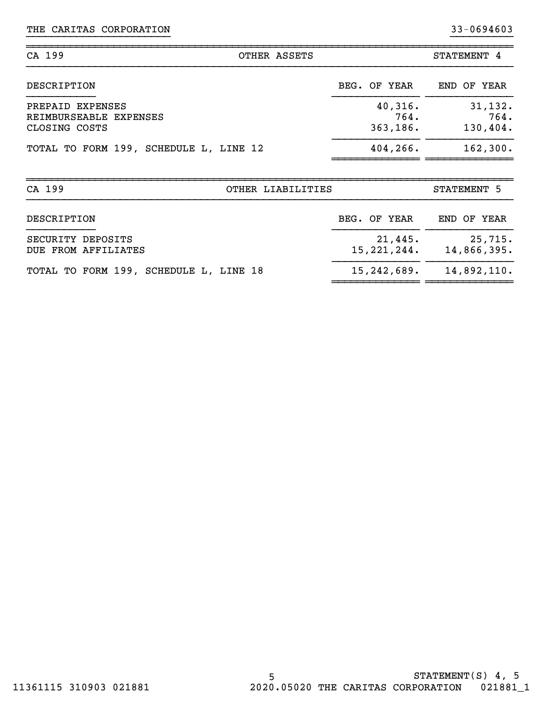THE CARITAS CORPORATION 33-0694603

| CA 199<br>OTHER ASSETS                                      |                              | STATEMENT 4                  |
|-------------------------------------------------------------|------------------------------|------------------------------|
| DESCRIPTION                                                 | BEG. OF YEAR                 | END OF YEAR                  |
| PREPAID EXPENSES<br>REIMBURSEABLE EXPENSES<br>CLOSING COSTS | 40,316.<br>764.<br>363, 186. | 31, 132.<br>764.<br>130,404. |
| TOTAL TO FORM 199, SCHEDULE L, LINE 12                      | 404,266.                     | 162,300.                     |

}}}}}}}}}}}}}}}}}}}}}}} }}}}}}}}}}

| CA 199                                   | OTHER LIABILITIES |               | STATEMENT 5                                |  |
|------------------------------------------|-------------------|---------------|--------------------------------------------|--|
| DESCRIPTION                              |                   | BEG. OF YEAR  | END OF YEAR                                |  |
| SECURITY DEPOSITS<br>DUE FROM AFFILIATES |                   | 21,445.       | 25,715.<br>$15, 221, 244.$ $14, 866, 395.$ |  |
| TOTAL TO FORM 199, SCHEDULE L, LINE 18   |                   | 15, 242, 689. | 14,892,110.                                |  |

~~~~~~~~~~~~~~ ~~~~~~~~~~~~~~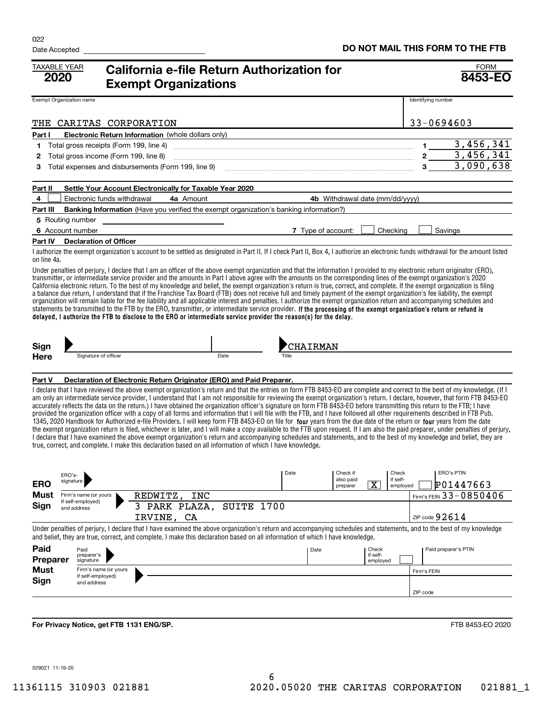| TAXABLE YEAR<br>2020           | <b>Exempt Organizations</b>                                                                              | California e-file Return Authorization for                                                                                                                                                                                                                                                                                                                                                                                                                                                                                                                                                                                                                                                                                                                                                                                                                                                                                                                                                                                                                                                                                                                                                                                                                |                                                          | <b>FORM</b><br>8453-EO               |
|--------------------------------|----------------------------------------------------------------------------------------------------------|-----------------------------------------------------------------------------------------------------------------------------------------------------------------------------------------------------------------------------------------------------------------------------------------------------------------------------------------------------------------------------------------------------------------------------------------------------------------------------------------------------------------------------------------------------------------------------------------------------------------------------------------------------------------------------------------------------------------------------------------------------------------------------------------------------------------------------------------------------------------------------------------------------------------------------------------------------------------------------------------------------------------------------------------------------------------------------------------------------------------------------------------------------------------------------------------------------------------------------------------------------------|----------------------------------------------------------|--------------------------------------|
| Exempt Organization name       |                                                                                                          |                                                                                                                                                                                                                                                                                                                                                                                                                                                                                                                                                                                                                                                                                                                                                                                                                                                                                                                                                                                                                                                                                                                                                                                                                                                           |                                                          | Identifying number                   |
| THE                            | CARITAS CORPORATION                                                                                      |                                                                                                                                                                                                                                                                                                                                                                                                                                                                                                                                                                                                                                                                                                                                                                                                                                                                                                                                                                                                                                                                                                                                                                                                                                                           |                                                          | 33-0694603                           |
| Part I                         | Electronic Return Information (whole dollars only)                                                       |                                                                                                                                                                                                                                                                                                                                                                                                                                                                                                                                                                                                                                                                                                                                                                                                                                                                                                                                                                                                                                                                                                                                                                                                                                                           |                                                          |                                      |
| 1                              | Total gross receipts (Form 199, line 4)                                                                  |                                                                                                                                                                                                                                                                                                                                                                                                                                                                                                                                                                                                                                                                                                                                                                                                                                                                                                                                                                                                                                                                                                                                                                                                                                                           |                                                          | $1 \underline{3, 456, 341}$          |
| 2                              | Total gross income (Form 199, line 8)                                                                    |                                                                                                                                                                                                                                                                                                                                                                                                                                                                                                                                                                                                                                                                                                                                                                                                                                                                                                                                                                                                                                                                                                                                                                                                                                                           |                                                          | $2\overline{3,456,341}$<br>3,090,638 |
| 3                              |                                                                                                          |                                                                                                                                                                                                                                                                                                                                                                                                                                                                                                                                                                                                                                                                                                                                                                                                                                                                                                                                                                                                                                                                                                                                                                                                                                                           |                                                          |                                      |
| Part II                        | Settle Your Account Electronically for Taxable Year 2020                                                 |                                                                                                                                                                                                                                                                                                                                                                                                                                                                                                                                                                                                                                                                                                                                                                                                                                                                                                                                                                                                                                                                                                                                                                                                                                                           |                                                          |                                      |
| 4                              | Electronic funds withdrawal<br>4a Amount                                                                 |                                                                                                                                                                                                                                                                                                                                                                                                                                                                                                                                                                                                                                                                                                                                                                                                                                                                                                                                                                                                                                                                                                                                                                                                                                                           | 4b Withdrawal date (mm/dd/yyyy)                          |                                      |
| Part III                       | <b>Banking Information</b> (Have you verified the exempt organization's banking information?)            |                                                                                                                                                                                                                                                                                                                                                                                                                                                                                                                                                                                                                                                                                                                                                                                                                                                                                                                                                                                                                                                                                                                                                                                                                                                           |                                                          |                                      |
| 5 Routing number               |                                                                                                          |                                                                                                                                                                                                                                                                                                                                                                                                                                                                                                                                                                                                                                                                                                                                                                                                                                                                                                                                                                                                                                                                                                                                                                                                                                                           |                                                          |                                      |
| 6 Account number<br>Part IV    | <b>Declaration of Officer</b>                                                                            | 7 Type of account:                                                                                                                                                                                                                                                                                                                                                                                                                                                                                                                                                                                                                                                                                                                                                                                                                                                                                                                                                                                                                                                                                                                                                                                                                                        | Checking                                                 | Savings                              |
|                                |                                                                                                          | I authorize the exempt organization's account to be settled as designated in Part II. If I check Part II, Box 4, I authorize an electronic funds withdrawal for the amount listed                                                                                                                                                                                                                                                                                                                                                                                                                                                                                                                                                                                                                                                                                                                                                                                                                                                                                                                                                                                                                                                                         |                                                          |                                      |
| on line 4a.                    |                                                                                                          |                                                                                                                                                                                                                                                                                                                                                                                                                                                                                                                                                                                                                                                                                                                                                                                                                                                                                                                                                                                                                                                                                                                                                                                                                                                           |                                                          |                                      |
|                                |                                                                                                          | Under penalties of perjury, I declare that I am an officer of the above exempt organization and that the information I provided to my electronic return originator (ERO),<br>transmitter, or intermediate service provider and the amounts in Part I above agree with the amounts on the corresponding lines of the exempt organization's 2020<br>California electronic return. To the best of my knowledge and belief, the exempt organization's return is true, correct, and complete. If the exempt organization is filing<br>a balance due return, I understand that if the Franchise Tax Board (FTB) does not receive full and timely payment of the exempt organization's fee liability, the exempt<br>organization will remain liable for the fee liability and all applicable interest and penalties. I authorize the exempt organization return and accompanying schedules and<br>statements be transmitted to the FTB by the ERO, transmitter, or intermediate service provider. If the processing of the exempt organization's return or refund is<br>delayed, I authorize the FTB to disclose to the ERO or intermediate service provider the reason(s) for the delay.                                                                        |                                                          |                                      |
| Sign                           |                                                                                                          | CHAIRMAN                                                                                                                                                                                                                                                                                                                                                                                                                                                                                                                                                                                                                                                                                                                                                                                                                                                                                                                                                                                                                                                                                                                                                                                                                                                  |                                                          |                                      |
| Here                           | Signature of officer                                                                                     | Date<br>Title                                                                                                                                                                                                                                                                                                                                                                                                                                                                                                                                                                                                                                                                                                                                                                                                                                                                                                                                                                                                                                                                                                                                                                                                                                             |                                                          |                                      |
| Part V                         | Declaration of Electronic Return Originator (ERO) and Paid Preparer.                                     |                                                                                                                                                                                                                                                                                                                                                                                                                                                                                                                                                                                                                                                                                                                                                                                                                                                                                                                                                                                                                                                                                                                                                                                                                                                           |                                                          |                                      |
|                                | true, correct, and complete. I make this declaration based on all information of which I have knowledge. | I declare that I have reviewed the above exempt organization's return and that the entries on form FTB 8453-EO are complete and correct to the best of my knowledge. (If I<br>am only an intermediate service provider, I understand that I am not responsible for reviewing the exempt organization's return. I declare, however, that form FTB 8453-EO<br>accurately reflects the data on the return.) I have obtained the organization officer's signature on form FTB 8453-EO before transmitting this return to the FTB; I have<br>provided the organization officer with a copy of all forms and information that I will file with the FTB, and I have followed all other requirements described in FTB Pub.<br>1345, 2020 Handbook for Authorized e-file Providers. I will keep form FTB 8453-EO on file for four years from the due date of the return or four years from the date<br>the exempt organization return is filed, whichever is later, and I will make a copy available to the FTB upon request. If I am also the paid preparer, under penalties of perjury,<br>I declare that I have examined the above exempt organization's return and accompanying schedules and statements, and to the best of my knowledge and belief, they are |                                                          |                                      |
| <b>ERO</b>                     | ERO's-<br>signature                                                                                      | Date<br>Check if<br>also paid<br>preparer                                                                                                                                                                                                                                                                                                                                                                                                                                                                                                                                                                                                                                                                                                                                                                                                                                                                                                                                                                                                                                                                                                                                                                                                                 | Check<br>if self-<br>$\overline{\texttt{x}}$<br>employed | <b>ERO's PTIN</b><br>P01447663       |
| Must                           | <b>INC</b><br>Firm's name (or yours<br>REDWITZ,                                                          |                                                                                                                                                                                                                                                                                                                                                                                                                                                                                                                                                                                                                                                                                                                                                                                                                                                                                                                                                                                                                                                                                                                                                                                                                                                           |                                                          | Firm's FEIN 33-0850406               |
| Sign                           | if self-employed)<br>and address<br>IRVINE, CA                                                           | 3 PARK PLAZA, SUITE 1700                                                                                                                                                                                                                                                                                                                                                                                                                                                                                                                                                                                                                                                                                                                                                                                                                                                                                                                                                                                                                                                                                                                                                                                                                                  |                                                          | ZIP code $92614$                     |
|                                |                                                                                                          | Under penalties of perjury, I declare that I have examined the above organization's return and accompanying schedules and statements, and to the best of my knowledge<br>and belief, they are true, correct, and complete. I make this declaration based on all information of which I have knowledge.                                                                                                                                                                                                                                                                                                                                                                                                                                                                                                                                                                                                                                                                                                                                                                                                                                                                                                                                                    |                                                          |                                      |
| Paid                           | Paid<br>preparer's                                                                                       | Date                                                                                                                                                                                                                                                                                                                                                                                                                                                                                                                                                                                                                                                                                                                                                                                                                                                                                                                                                                                                                                                                                                                                                                                                                                                      | Check<br>if self-                                        | Paid preparer's PTIN                 |
| <b>Preparer</b><br><b>Must</b> | signature<br>Firm's name (or yours                                                                       |                                                                                                                                                                                                                                                                                                                                                                                                                                                                                                                                                                                                                                                                                                                                                                                                                                                                                                                                                                                                                                                                                                                                                                                                                                                           | employed                                                 | Firm's FEIN                          |
| Sign                           | if self-employed)<br>and address                                                                         |                                                                                                                                                                                                                                                                                                                                                                                                                                                                                                                                                                                                                                                                                                                                                                                                                                                                                                                                                                                                                                                                                                                                                                                                                                                           |                                                          |                                      |
|                                |                                                                                                          |                                                                                                                                                                                                                                                                                                                                                                                                                                                                                                                                                                                                                                                                                                                                                                                                                                                                                                                                                                                                                                                                                                                                                                                                                                                           |                                                          | ZIP code                             |
|                                |                                                                                                          |                                                                                                                                                                                                                                                                                                                                                                                                                                                                                                                                                                                                                                                                                                                                                                                                                                                                                                                                                                                                                                                                                                                                                                                                                                                           |                                                          |                                      |
|                                | For Privacy Notice, get FTB 1131 ENG/SP.                                                                 |                                                                                                                                                                                                                                                                                                                                                                                                                                                                                                                                                                                                                                                                                                                                                                                                                                                                                                                                                                                                                                                                                                                                                                                                                                                           |                                                          | FTB 8453-EO 2020                     |

029021 11-19-20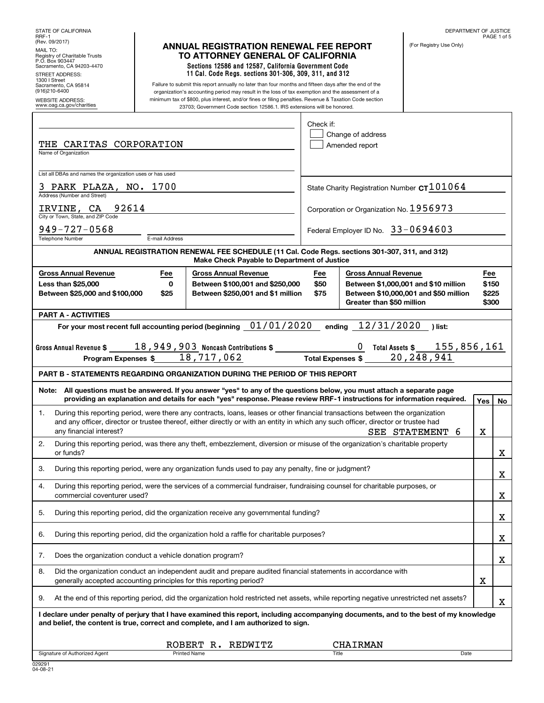| STATE OF CALIFORNIA<br>RRF-1<br>(Rev. 09/2017)<br>MAIL TO:<br>Registry of Charitable Trusts<br>P.O. Box 903447<br>Sacramento, CA 94203-4470<br><b>STREET ADDRESS:</b><br>1300   Street<br>Sacramento, CA 95814<br>(916)210-6400<br><b>WEBSITE ADDRESS:</b><br>www.oag.ca.gov/charities                                                              |                            |                                                | <b>ANNUAL REGISTRATION RENEWAL FEE REPORT</b><br>TO ATTORNEY GENERAL OF CALIFORNIA<br>Sections 12586 and 12587, California Government Code<br>11 Cal. Code Regs. sections 301-306, 309, 311, and 312<br>Failure to submit this report annually no later than four months and fifteen days after the end of the<br>organization's accounting period may result in the loss of tax exemption and the assessment of a<br>minimum tax of \$800, plus interest, and/or fines or filing penalties. Revenue & Taxation Code section<br>23703; Government Code section 12586.1. IRS extensions will be honored. |                     |                                                                                              | DEPARTMENT OF JUSTICE<br>(For Registry Use Only)                              |                                | PAGE 1 of 5 |
|-----------------------------------------------------------------------------------------------------------------------------------------------------------------------------------------------------------------------------------------------------------------------------------------------------------------------------------------------------|----------------------------|------------------------------------------------|---------------------------------------------------------------------------------------------------------------------------------------------------------------------------------------------------------------------------------------------------------------------------------------------------------------------------------------------------------------------------------------------------------------------------------------------------------------------------------------------------------------------------------------------------------------------------------------------------------|---------------------|----------------------------------------------------------------------------------------------|-------------------------------------------------------------------------------|--------------------------------|-------------|
| THE CARITAS CORPORATION<br>Name of Organization<br>List all DBAs and names the organization uses or has used                                                                                                                                                                                                                                        |                            |                                                |                                                                                                                                                                                                                                                                                                                                                                                                                                                                                                                                                                                                         | Check if:           | Change of address<br>Amended report                                                          |                                                                               |                                |             |
| 3 PARK PLAZA, NO. 1700<br>Address (Number and Street)                                                                                                                                                                                                                                                                                               |                            |                                                |                                                                                                                                                                                                                                                                                                                                                                                                                                                                                                                                                                                                         |                     |                                                                                              | State Charity Registration Number $c$ T $101064$                              |                                |             |
| <b>IRVINE, CA 92614</b><br>City or Town, State, and ZIP Code                                                                                                                                                                                                                                                                                        |                            |                                                |                                                                                                                                                                                                                                                                                                                                                                                                                                                                                                                                                                                                         |                     | Corporation or Organization No. 1956973                                                      |                                                                               |                                |             |
| $949 - 727 - 0568$                                                                                                                                                                                                                                                                                                                                  |                            |                                                |                                                                                                                                                                                                                                                                                                                                                                                                                                                                                                                                                                                                         |                     | Federal Employer ID No. 33-0694603                                                           |                                                                               |                                |             |
| <b>Telephone Number</b>                                                                                                                                                                                                                                                                                                                             | E-mail Address             |                                                |                                                                                                                                                                                                                                                                                                                                                                                                                                                                                                                                                                                                         |                     | ANNUAL REGISTRATION RENEWAL FEE SCHEDULE (11 Cal. Code Regs. sections 301-307, 311, and 312) |                                                                               |                                |             |
|                                                                                                                                                                                                                                                                                                                                                     |                            |                                                | Make Check Payable to Department of Justice                                                                                                                                                                                                                                                                                                                                                                                                                                                                                                                                                             |                     |                                                                                              |                                                                               |                                |             |
| <b>Gross Annual Revenue</b><br>Less than \$25,000<br>Between \$25,000 and \$100,000                                                                                                                                                                                                                                                                 | Fee<br>$\mathbf 0$<br>\$25 | <b>Gross Annual Revenue</b>                    | Between \$100,001 and \$250,000<br>Between \$250,001 and \$1 million                                                                                                                                                                                                                                                                                                                                                                                                                                                                                                                                    | Fee<br>\$50<br>\$75 | <b>Gross Annual Revenue</b><br>Greater than \$50 million                                     | Between \$1,000,001 and \$10 million<br>Between \$10,000,001 and \$50 million | Fee<br>\$150<br>\$225<br>\$300 |             |
| <b>PART A - ACTIVITIES</b>                                                                                                                                                                                                                                                                                                                          |                            |                                                |                                                                                                                                                                                                                                                                                                                                                                                                                                                                                                                                                                                                         |                     |                                                                                              |                                                                               |                                |             |
| For your most recent full accounting period (beginning 01/01/2020<br>ending 12/31/2020<br>) list:<br>Gross Annual Revenue $\frac{18,949,903}{\sqrt{25}}$ Noncash Contributions $\frac{2}{\sqrt{25}}$<br>evenue \$ 18,949,903 Noncash Contributions \$ 10 Total Assets \$ 155,856,161<br>Program Expenses \$ 18,717,062 Total Expenses \$ 20,248,941 |                            |                                                |                                                                                                                                                                                                                                                                                                                                                                                                                                                                                                                                                                                                         |                     |                                                                                              |                                                                               |                                |             |
| <b>PART B - STATEMENTS REGARDING ORGANIZATION DURING THE PERIOD OF THIS REPORT</b>                                                                                                                                                                                                                                                                  |                            |                                                |                                                                                                                                                                                                                                                                                                                                                                                                                                                                                                                                                                                                         |                     |                                                                                              |                                                                               |                                |             |
| All questions must be answered. If you answer "yes" to any of the questions below, you must attach a separate page<br>Note:<br>providing an explanation and details for each "yes" response. Please review RRF-1 instructions for information required.                                                                                             |                            |                                                |                                                                                                                                                                                                                                                                                                                                                                                                                                                                                                                                                                                                         |                     |                                                                                              |                                                                               | Yes                            | No          |
| During this reporting period, were there any contracts, loans, leases or other financial transactions between the organization<br>1.<br>and any officer, director or trustee thereof, either directly or with an entity in which any such officer, director or trustee had<br>any financial interest?                                               |                            |                                                |                                                                                                                                                                                                                                                                                                                                                                                                                                                                                                                                                                                                         |                     |                                                                                              | 6<br>SEE STATEMENT                                                            | X                              |             |
| During this reporting period, was there any theft, embezzlement, diversion or misuse of the organization's charitable property<br>2.<br>or funds?                                                                                                                                                                                                   |                            |                                                |                                                                                                                                                                                                                                                                                                                                                                                                                                                                                                                                                                                                         |                     |                                                                                              |                                                                               |                                | х           |
| 3.<br>During this reporting period, were any organization funds used to pay any penalty, fine or judgment?                                                                                                                                                                                                                                          |                            |                                                |                                                                                                                                                                                                                                                                                                                                                                                                                                                                                                                                                                                                         |                     |                                                                                              | х                                                                             |                                |             |
| 4.<br>During this reporting period, were the services of a commercial fundraiser, fundraising counsel for charitable purposes, or<br>commercial coventurer used?                                                                                                                                                                                    |                            |                                                |                                                                                                                                                                                                                                                                                                                                                                                                                                                                                                                                                                                                         |                     |                                                                                              |                                                                               |                                | х           |
| 5.<br>During this reporting period, did the organization receive any governmental funding?                                                                                                                                                                                                                                                          |                            |                                                |                                                                                                                                                                                                                                                                                                                                                                                                                                                                                                                                                                                                         |                     |                                                                                              |                                                                               |                                | х           |
| During this reporting period, did the organization hold a raffle for charitable purposes?<br>6.                                                                                                                                                                                                                                                     |                            |                                                |                                                                                                                                                                                                                                                                                                                                                                                                                                                                                                                                                                                                         |                     |                                                                                              |                                                                               |                                | х           |
| Does the organization conduct a vehicle donation program?<br>7.                                                                                                                                                                                                                                                                                     |                            |                                                |                                                                                                                                                                                                                                                                                                                                                                                                                                                                                                                                                                                                         |                     |                                                                                              |                                                                               |                                | х           |
| 8.<br>Did the organization conduct an independent audit and prepare audited financial statements in accordance with<br>generally accepted accounting principles for this reporting period?                                                                                                                                                          |                            |                                                |                                                                                                                                                                                                                                                                                                                                                                                                                                                                                                                                                                                                         |                     |                                                                                              |                                                                               | X                              |             |
| At the end of this reporting period, did the organization hold restricted net assets, while reporting negative unrestricted net assets?<br>9.                                                                                                                                                                                                       |                            |                                                |                                                                                                                                                                                                                                                                                                                                                                                                                                                                                                                                                                                                         |                     |                                                                                              |                                                                               |                                | х           |
| I declare under penalty of perjury that I have examined this report, including accompanying documents, and to the best of my knowledge<br>and belief, the content is true, correct and complete, and I am authorized to sign.                                                                                                                       |                            |                                                |                                                                                                                                                                                                                                                                                                                                                                                                                                                                                                                                                                                                         |                     |                                                                                              |                                                                               |                                |             |
|                                                                                                                                                                                                                                                                                                                                                     |                            |                                                |                                                                                                                                                                                                                                                                                                                                                                                                                                                                                                                                                                                                         |                     |                                                                                              |                                                                               |                                |             |
| Signature of Authorized Agent                                                                                                                                                                                                                                                                                                                       |                            | $\mathbf R$ .<br>ROBERT<br><b>Printed Name</b> | REDWITZ                                                                                                                                                                                                                                                                                                                                                                                                                                                                                                                                                                                                 | <b>Title</b>        | <b>CHAIRMAN</b>                                                                              | Date                                                                          |                                |             |